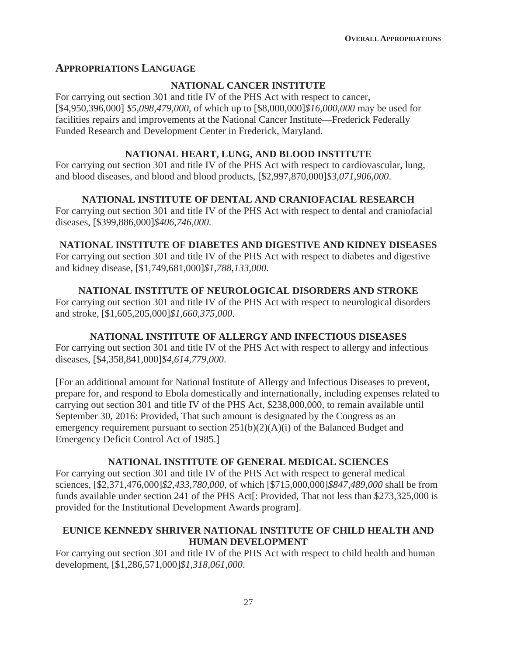## **APPROPRIATIONS LANGUAGE**

### **NATIONAL CANCER INSTITUTE**

For carrying out section 301 and title IV of the PHS Act with respect to cancer, [\$4,950,396,000] *\$5,098,479,000*, of which up to [\$8,000,000]*\$16,000,000* may be used for facilities repairs and improvements at the National Cancer Institute—Frederick Federally Funded Research and Development Center in Frederick, Maryland.

#### **NATIONAL HEART, LUNG, AND BLOOD INSTITUTE**

For carrying out section 301 and title IV of the PHS Act with respect to cardiovascular, lung, and blood diseases, and blood and blood products, [\$2,997,870,000]*\$3,071,906,000*.

### **NATIONAL INSTITUTE OF DENTAL AND CRANIOFACIAL RESEARCH**

For carrying out section 301 and title IV of the PHS Act with respect to dental and craniofacial diseases, [\$399,886,000]*\$406,746,000*.

## **NATIONAL INSTITUTE OF DIABETES AND DIGESTIVE AND KIDNEY DISEASES**

For carrying out section 301 and title IV of the PHS Act with respect to diabetes and digestive and kidney disease, [\$1,749,681,000]*\$1,788,133,000*.

## **NATIONAL INSTITUTE OF NEUROLOGICAL DISORDERS AND STROKE**

For carrying out section 301 and title IV of the PHS Act with respect to neurological disorders and stroke, [\$1,605,205,000]*\$1,660,375,000*.

## **NATIONAL INSTITUTE OF ALLERGY AND INFECTIOUS DISEASES**

For carrying out section 301 and title IV of the PHS Act with respect to allergy and infectious diseases, [\$4,358,841,000]*\$4,614,779,000*.

[For an additional amount for National Institute of Allergy and Infectious Diseases to prevent, prepare for, and respond to Ebola domestically and internationally, including expenses related to carrying out section 301 and title IV of the PHS Act, \$238,000,000, to remain available until September 30, 2016: Provided, That such amount is designated by the Congress as an emergency requirement pursuant to section 251(b)(2)(A)(i) of the Balanced Budget and Emergency Deficit Control Act of 1985.]

## **NATIONAL INSTITUTE OF GENERAL MEDICAL SCIENCES**

For carrying out section 301 and title IV of the PHS Act with respect to general medical sciences, [\$2,371,476,000]*\$2,433,780,000*, of which [\$715,000,000]*\$847,489,000* shall be from funds available under section 241 of the PHS Act[: Provided, That not less than \$273,325,000 is provided for the Institutional Development Awards program].

## **EUNICE KENNEDY SHRIVER NATIONAL INSTITUTE OF CHILD HEALTH AND HUMAN DEVELOPMENT**

For carrying out section 301 and title IV of the PHS Act with respect to child health and human development, [\$1,286,571,000]*\$1,318,061,000*.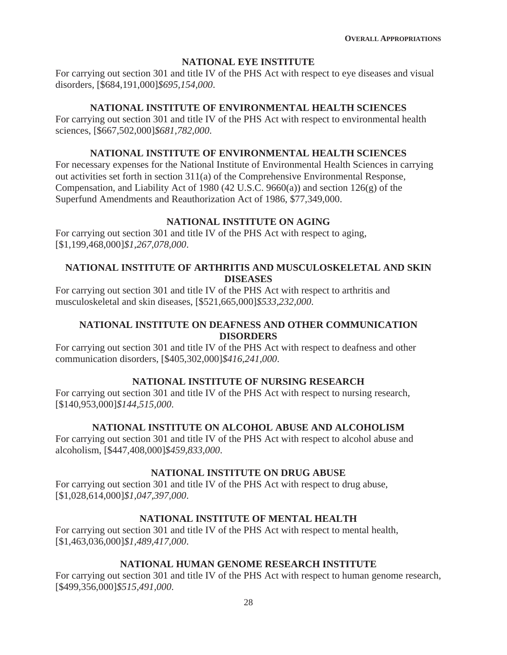### **NATIONAL EYE INSTITUTE**

For carrying out section 301 and title IV of the PHS Act with respect to eye diseases and visual disorders, [\$684,191,000]*\$695,154,000*.

#### **NATIONAL INSTITUTE OF ENVIRONMENTAL HEALTH SCIENCES**

For carrying out section 301 and title IV of the PHS Act with respect to environmental health sciences, [\$667,502,000]*\$681,782,000*.

#### **NATIONAL INSTITUTE OF ENVIRONMENTAL HEALTH SCIENCES**

For necessary expenses for the National Institute of Environmental Health Sciences in carrying out activities set forth in section 311(a) of the Comprehensive Environmental Response, Compensation, and Liability Act of 1980 (42 U.S.C. 9660(a)) and section 126(g) of the Superfund Amendments and Reauthorization Act of 1986, \$77,349,000.

### **NATIONAL INSTITUTE ON AGING**

For carrying out section 301 and title IV of the PHS Act with respect to aging, [\$1,199,468,000]*\$1,267,078,000*.

## **NATIONAL INSTITUTE OF ARTHRITIS AND MUSCULOSKELETAL AND SKIN DISEASES**

For carrying out section 301 and title IV of the PHS Act with respect to arthritis and musculoskeletal and skin diseases, [\$521,665,000]*\$533,232,000*.

## **NATIONAL INSTITUTE ON DEAFNESS AND OTHER COMMUNICATION DISORDERS**

For carrying out section 301 and title IV of the PHS Act with respect to deafness and other communication disorders, [\$405,302,000]*\$416,241,000*.

## **NATIONAL INSTITUTE OF NURSING RESEARCH**

For carrying out section 301 and title IV of the PHS Act with respect to nursing research, [\$140,953,000]*\$144,515,000*.

## **NATIONAL INSTITUTE ON ALCOHOL ABUSE AND ALCOHOLISM**

For carrying out section 301 and title IV of the PHS Act with respect to alcohol abuse and alcoholism, [\$447,408,000]*\$459,833,000*.

## **NATIONAL INSTITUTE ON DRUG ABUSE**

For carrying out section 301 and title IV of the PHS Act with respect to drug abuse, [\$1,028,614,000]*\$1,047,397,000*.

## **NATIONAL INSTITUTE OF MENTAL HEALTH**

For carrying out section 301 and title IV of the PHS Act with respect to mental health, [\$1,463,036,000]*\$1,489,417,000*.

## **NATIONAL HUMAN GENOME RESEARCH INSTITUTE**

For carrying out section 301 and title IV of the PHS Act with respect to human genome research, [\$499,356,000]*\$515,491,000*.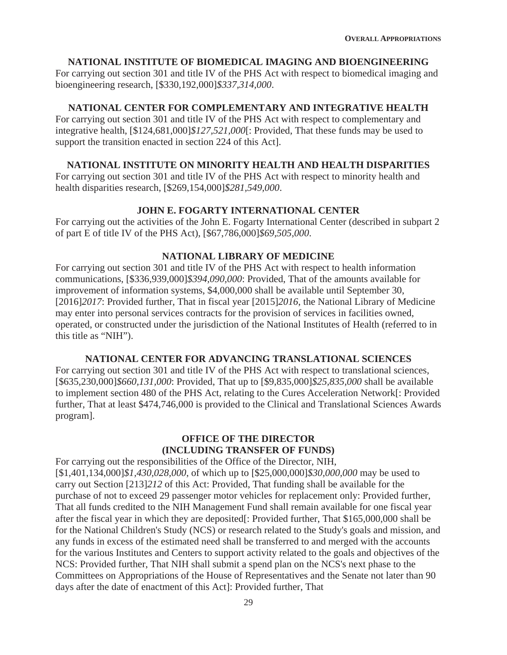#### **NATIONAL INSTITUTE OF BIOMEDICAL IMAGING AND BIOENGINEERING**

For carrying out section 301 and title IV of the PHS Act with respect to biomedical imaging and bioengineering research, [\$330,192,000]*\$337,314,000*.

#### **NATIONAL CENTER FOR COMPLEMENTARY AND INTEGRATIVE HEALTH**

For carrying out section 301 and title IV of the PHS Act with respect to complementary and integrative health, [\$124,681,000]*\$127,521,000*[: Provided, That these funds may be used to support the transition enacted in section 224 of this Act].

#### **NATIONAL INSTITUTE ON MINORITY HEALTH AND HEALTH DISPARITIES**

For carrying out section 301 and title IV of the PHS Act with respect to minority health and health disparities research, [\$269,154,000]*\$281,549,000*.

#### **JOHN E. FOGARTY INTERNATIONAL CENTER**

For carrying out the activities of the John E. Fogarty International Center (described in subpart 2 of part E of title IV of the PHS Act), [\$67,786,000]*\$69,505,000*.

#### **NATIONAL LIBRARY OF MEDICINE**

For carrying out section 301 and title IV of the PHS Act with respect to health information communications, [\$336,939,000]*\$394,090,000*: Provided, That of the amounts available for improvement of information systems, \$4,000,000 shall be available until September 30, [2016]*2017*: Provided further, That in fiscal year [2015]*2016*, the National Library of Medicine may enter into personal services contracts for the provision of services in facilities owned, operated, or constructed under the jurisdiction of the National Institutes of Health (referred to in this title as "NIH").

#### **NATIONAL CENTER FOR ADVANCING TRANSLATIONAL SCIENCES**

For carrying out section 301 and title IV of the PHS Act with respect to translational sciences, [\$635,230,000]*\$660,131,000*: Provided, That up to [\$9,835,000]*\$25,835,000* shall be available to implement section 480 of the PHS Act, relating to the Cures Acceleration Network[: Provided further, That at least \$474,746,000 is provided to the Clinical and Translational Sciences Awards program].

## **OFFICE OF THE DIRECTOR (INCLUDING TRANSFER OF FUNDS)**

For carrying out the responsibilities of the Office of the Director, NIH, [\$1,401,134,000]*\$1,430,028,000*, of which up to [\$25,000,000]*\$30,000,000* may be used to carry out Section [213]*212* of this Act: Provided, That funding shall be available for the purchase of not to exceed 29 passenger motor vehicles for replacement only: Provided further, That all funds credited to the NIH Management Fund shall remain available for one fiscal year after the fiscal year in which they are deposited[: Provided further, That \$165,000,000 shall be for the National Children's Study (NCS) or research related to the Study's goals and mission, and any funds in excess of the estimated need shall be transferred to and merged with the accounts for the various Institutes and Centers to support activity related to the goals and objectives of the NCS: Provided further, That NIH shall submit a spend plan on the NCS's next phase to the Committees on Appropriations of the House of Representatives and the Senate not later than 90 days after the date of enactment of this Act]: Provided further, That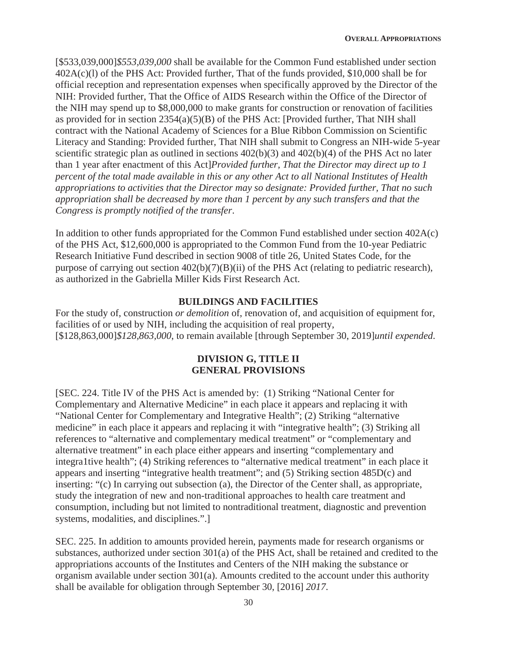[\$533,039,000]*\$553,039,000* shall be available for the Common Fund established under section 402A(c)(l) of the PHS Act: Provided further, That of the funds provided, \$10,000 shall be for official reception and representation expenses when specifically approved by the Director of the NIH: Provided further, That the Office of AIDS Research within the Office of the Director of the NIH may spend up to \$8,000,000 to make grants for construction or renovation of facilities as provided for in section  $2354(a)(5)(B)$  of the PHS Act: [Provided further, That NIH shall contract with the National Academy of Sciences for a Blue Ribbon Commission on Scientific Literacy and Standing: Provided further, That NIH shall submit to Congress an NIH-wide 5-year scientific strategic plan as outlined in sections 402(b)(3) and 402(b)(4) of the PHS Act no later than 1 year after enactment of this Act]*Provided further, That the Director may direct up to 1 percent of the total made available in this or any other Act to all National Institutes of Health appropriations to activities that the Director may so designate: Provided further, That no such appropriation shall be decreased by more than 1 percent by any such transfers and that the Congress is promptly notified of the transfer*.

In addition to other funds appropriated for the Common Fund established under section 402A(c) of the PHS Act, \$12,600,000 is appropriated to the Common Fund from the 10-year Pediatric Research Initiative Fund described in section 9008 of title 26, United States Code, for the purpose of carrying out section 402(b)(7)(B)(ii) of the PHS Act (relating to pediatric research), as authorized in the Gabriella Miller Kids First Research Act.

#### **BUILDINGS AND FACILITIES**

For the study of, construction *or demolition* of, renovation of, and acquisition of equipment for, facilities of or used by NIH, including the acquisition of real property, [\$128,863,000]*\$128,863,000*, to remain available [through September 30, 2019]*until expended*.

#### **DIVISION G, TITLE II GENERAL PROVISIONS**

[SEC. 224. Title IV of the PHS Act is amended by: (1) Striking "National Center for Complementary and Alternative Medicine" in each place it appears and replacing it with "National Center for Complementary and Integrative Health"; (2) Striking "alternative medicine" in each place it appears and replacing it with "integrative health"; (3) Striking all references to "alternative and complementary medical treatment" or "complementary and alternative treatment" in each place either appears and inserting "complementary and integra1tive health"; (4) Striking references to "alternative medical treatment" in each place it appears and inserting "integrative health treatment"; and (5) Striking section 485D(c) and inserting: "(c) In carrying out subsection (a), the Director of the Center shall, as appropriate, study the integration of new and non-traditional approaches to health care treatment and consumption, including but not limited to nontraditional treatment, diagnostic and prevention systems, modalities, and disciplines.".]

SEC. 225. In addition to amounts provided herein, payments made for research organisms or substances, authorized under section 301(a) of the PHS Act, shall be retained and credited to the appropriations accounts of the Institutes and Centers of the NIH making the substance or organism available under section 301(a). Amounts credited to the account under this authority shall be available for obligation through September 30, [2016] *2017*.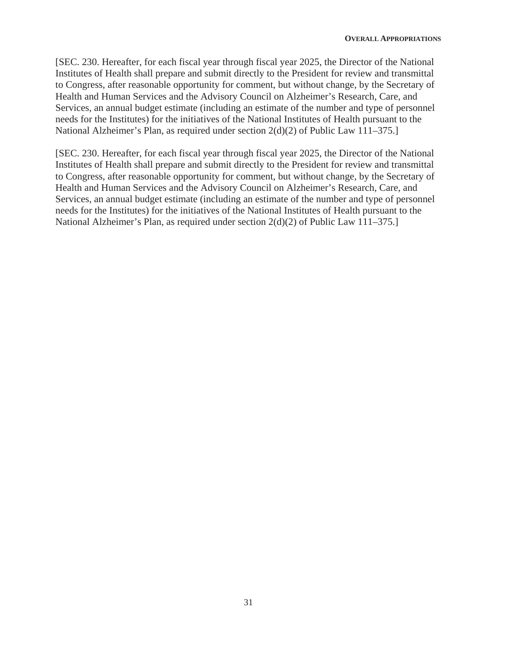[SEC. 230. Hereafter, for each fiscal year through fiscal year 2025, the Director of the National Institutes of Health shall prepare and submit directly to the President for review and transmittal to Congress, after reasonable opportunity for comment, but without change, by the Secretary of Health and Human Services and the Advisory Council on Alzheimer's Research, Care, and Services, an annual budget estimate (including an estimate of the number and type of personnel needs for the Institutes) for the initiatives of the National Institutes of Health pursuant to the National Alzheimer's Plan, as required under section 2(d)(2) of Public Law 111–375.]

[SEC. 230. Hereafter, for each fiscal year through fiscal year 2025, the Director of the National Institutes of Health shall prepare and submit directly to the President for review and transmittal to Congress, after reasonable opportunity for comment, but without change, by the Secretary of Health and Human Services and the Advisory Council on Alzheimer's Research, Care, and Services, an annual budget estimate (including an estimate of the number and type of personnel needs for the Institutes) for the initiatives of the National Institutes of Health pursuant to the National Alzheimer's Plan, as required under section 2(d)(2) of Public Law 111–375.]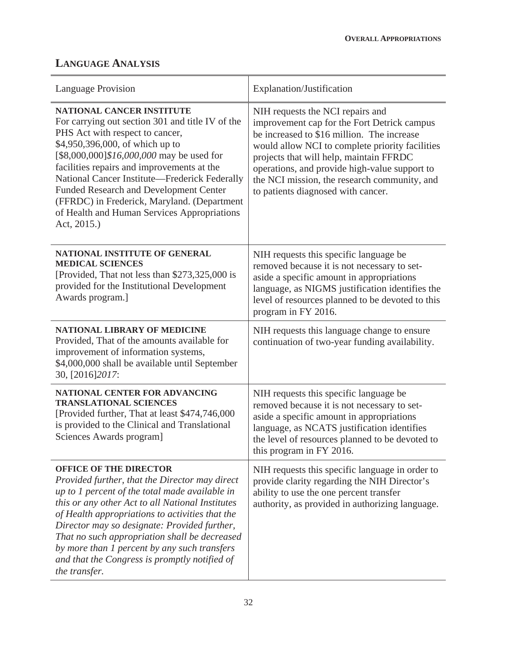# **LANGUAGE ANALYSIS**

| <b>Language Provision</b>                                                                                                                                                                                                                                                                                                                                                                                                                                            | Explanation/Justification                                                                                                                                                                                                                                                                                                                                          |
|----------------------------------------------------------------------------------------------------------------------------------------------------------------------------------------------------------------------------------------------------------------------------------------------------------------------------------------------------------------------------------------------------------------------------------------------------------------------|--------------------------------------------------------------------------------------------------------------------------------------------------------------------------------------------------------------------------------------------------------------------------------------------------------------------------------------------------------------------|
| <b>NATIONAL CANCER INSTITUTE</b><br>For carrying out section 301 and title IV of the<br>PHS Act with respect to cancer,<br>\$4,950,396,000, of which up to<br>[\$8,000,000]\$16,000,000 may be used for<br>facilities repairs and improvements at the<br>National Cancer Institute-Frederick Federally<br><b>Funded Research and Development Center</b><br>(FFRDC) in Frederick, Maryland. (Department<br>of Health and Human Services Appropriations<br>Act, 2015.) | NIH requests the NCI repairs and<br>improvement cap for the Fort Detrick campus<br>be increased to \$16 million. The increase<br>would allow NCI to complete priority facilities<br>projects that will help, maintain FFRDC<br>operations, and provide high-value support to<br>the NCI mission, the research community, and<br>to patients diagnosed with cancer. |
| <b>NATIONAL INSTITUTE OF GENERAL</b><br><b>MEDICAL SCIENCES</b><br>[Provided, That not less than \$273,325,000 is<br>provided for the Institutional Development<br>Awards program.]                                                                                                                                                                                                                                                                                  | NIH requests this specific language be<br>removed because it is not necessary to set-<br>aside a specific amount in appropriations<br>language, as NIGMS justification identifies the<br>level of resources planned to be devoted to this<br>program in FY 2016.                                                                                                   |
| <b>NATIONAL LIBRARY OF MEDICINE</b><br>Provided, That of the amounts available for<br>improvement of information systems,<br>\$4,000,000 shall be available until September<br>30, [2016] 2017:                                                                                                                                                                                                                                                                      | NIH requests this language change to ensure<br>continuation of two-year funding availability.                                                                                                                                                                                                                                                                      |
| NATIONAL CENTER FOR ADVANCING<br><b>TRANSLATIONAL SCIENCES</b><br>[Provided further, That at least \$474,746,000]<br>is provided to the Clinical and Translational<br>Sciences Awards program]                                                                                                                                                                                                                                                                       | NIH requests this specific language be<br>removed because it is not necessary to set-<br>aside a specific amount in appropriations<br>language, as NCATS justification identifies<br>the level of resources planned to be devoted to<br>this program in FY 2016.                                                                                                   |
| <b>OFFICE OF THE DIRECTOR</b><br>Provided further, that the Director may direct<br>up to 1 percent of the total made available in<br>this or any other Act to all National Institutes<br>of Health appropriations to activities that the<br>Director may so designate: Provided further,<br>That no such appropriation shall be decreased<br>by more than 1 percent by any such transfers<br>and that the Congress is promptly notified of<br>the transfer.          | NIH requests this specific language in order to<br>provide clarity regarding the NIH Director's<br>ability to use the one percent transfer<br>authority, as provided in authorizing language.                                                                                                                                                                      |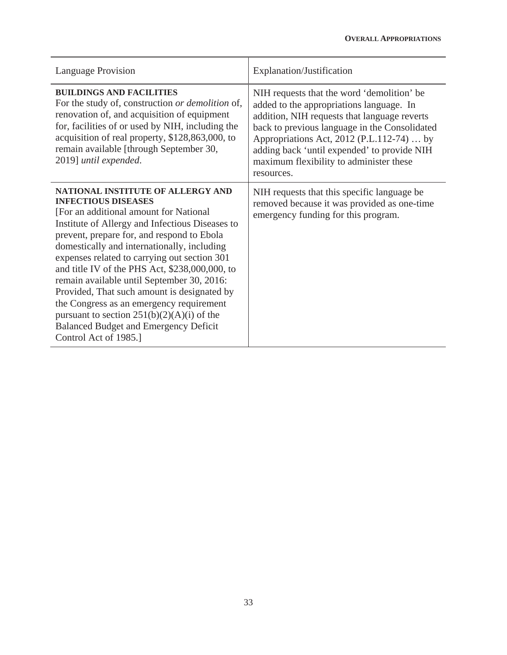| <b>Language Provision</b>                                                                                                                                                                                                                                                                                                                                                                                                                                                                                                                                                                                                      | Explanation/Justification                                                                                                                                                                                                                                                                                                                    |
|--------------------------------------------------------------------------------------------------------------------------------------------------------------------------------------------------------------------------------------------------------------------------------------------------------------------------------------------------------------------------------------------------------------------------------------------------------------------------------------------------------------------------------------------------------------------------------------------------------------------------------|----------------------------------------------------------------------------------------------------------------------------------------------------------------------------------------------------------------------------------------------------------------------------------------------------------------------------------------------|
| <b>BUILDINGS AND FACILITIES</b><br>For the study of, construction or demolition of,<br>renovation of, and acquisition of equipment<br>for, facilities of or used by NIH, including the<br>acquisition of real property, \$128,863,000, to<br>remain available [through September 30,<br>2019] until expended.                                                                                                                                                                                                                                                                                                                  | NIH requests that the word 'demolition' be<br>added to the appropriations language. In<br>addition, NIH requests that language reverts<br>back to previous language in the Consolidated<br>Appropriations Act, 2012 (P.L.112-74)  by<br>adding back 'until expended' to provide NIH<br>maximum flexibility to administer these<br>resources. |
| NATIONAL INSTITUTE OF ALLERGY AND<br><b>INFECTIOUS DISEASES</b><br>[For an additional amount for National]<br>Institute of Allergy and Infectious Diseases to<br>prevent, prepare for, and respond to Ebola<br>domestically and internationally, including<br>expenses related to carrying out section 301<br>and title IV of the PHS Act, \$238,000,000, to<br>remain available until September 30, 2016:<br>Provided, That such amount is designated by<br>the Congress as an emergency requirement<br>pursuant to section $251(b)(2)(A)(i)$ of the<br><b>Balanced Budget and Emergency Deficit</b><br>Control Act of 1985.] | NIH requests that this specific language be<br>removed because it was provided as one-time<br>emergency funding for this program.                                                                                                                                                                                                            |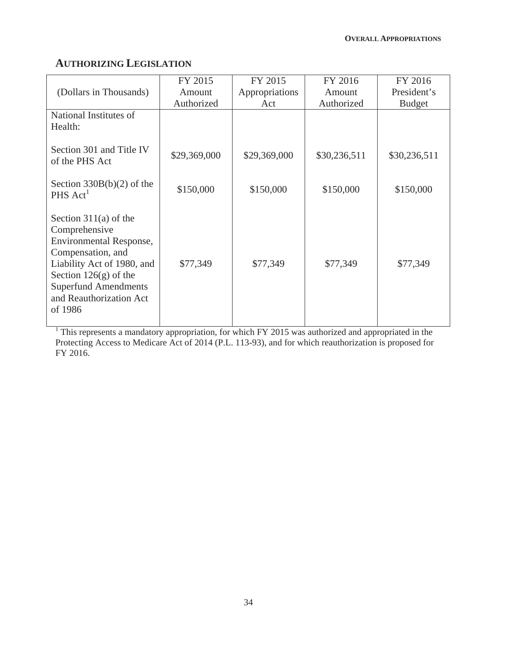# **AUTHORIZING LEGISLATION**

| (Dollars in Thousands)                                                                                                                                                                                                 | FY 2015<br>Amount | FY 2015<br>Appropriations | FY 2016<br>Amount | FY 2016<br>President's |
|------------------------------------------------------------------------------------------------------------------------------------------------------------------------------------------------------------------------|-------------------|---------------------------|-------------------|------------------------|
|                                                                                                                                                                                                                        | Authorized        | Act                       | Authorized        | <b>Budget</b>          |
| National Institutes of<br>Health:                                                                                                                                                                                      |                   |                           |                   |                        |
| Section 301 and Title IV<br>of the PHS Act                                                                                                                                                                             | \$29,369,000      | \$29,369,000              | \$30,236,511      | \$30,236,511           |
| Section $330B(b)(2)$ of the<br>$PHS$ Act <sup>1</sup>                                                                                                                                                                  | \$150,000         | \$150,000                 | \$150,000         | \$150,000              |
| Section $311(a)$ of the<br>Comprehensive<br>Environmental Response,<br>Compensation, and<br>Liability Act of 1980, and<br>Section $126(g)$ of the<br><b>Superfund Amendments</b><br>and Reauthorization Act<br>of 1986 | \$77,349          | \$77,349                  | \$77,349          | \$77,349               |

<sup>1</sup> This represents a mandatory appropriation, for which FY 2015 was authorized and appropriated in the Protecting Access to Medicare Act of 2014 (P.L. 113-93), and for which reauthorization is proposed for FY 2016.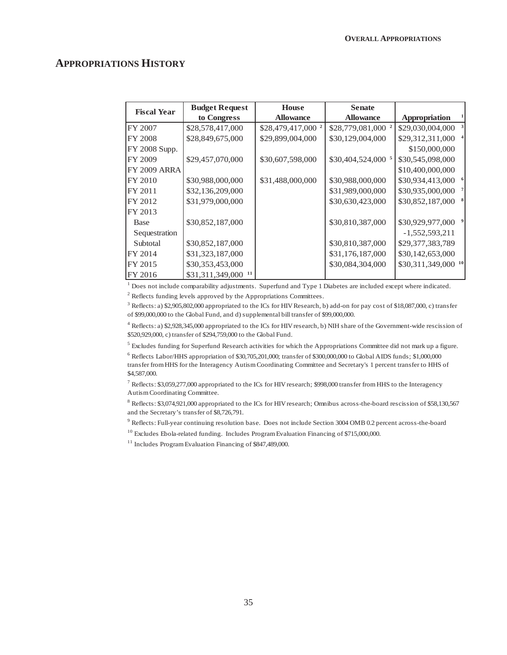### **APPROPRIATIONS HISTORY**

| <b>Fiscal Year</b>  | <b>Budget Request</b>  | <b>House</b>                  | <b>Senate</b>                 |                                 |              |
|---------------------|------------------------|-------------------------------|-------------------------------|---------------------------------|--------------|
|                     | to Congress            | <b>Allowance</b>              | <b>Allowance</b>              | Appropriation                   |              |
| FY 2007             | \$28,578,417,000       | \$28,479,417,000 <sup>2</sup> | \$28,779,081,000 <sup>2</sup> | \$29,030,004,000                | $\mathbf{3}$ |
| <b>FY 2008</b>      | \$28,849,675,000       | \$29,899,004,000              | \$30,129,004,000              | \$29,312,311,000                |              |
| FY 2008 Supp.       |                        |                               |                               | \$150,000,000                   |              |
| FY 2009             | \$29,457,070,000       | \$30,607,598,000              | \$30,404,524,000 5            | \$30,545,098,000                |              |
| <b>FY 2009 ARRA</b> |                        |                               |                               | \$10,400,000,000                |              |
| FY 2010             | \$30,988,000,000       | \$31,488,000,000              | \$30,988,000,000              | \$30,934,413,000                |              |
| FY 2011             | \$32,136,209,000       |                               | \$31,989,000,000              | \$30,935,000,000                |              |
| FY 2012             | \$31,979,000,000       |                               | \$30,630,423,000              | \$30,852,187,000                |              |
| FY 2013             |                        |                               |                               |                                 |              |
| <b>Base</b>         | \$30,852,187,000       |                               | \$30,810,387,000              | \$30,929,977,000                |              |
| Sequestration       |                        |                               |                               | $-1,552,593,211$                |              |
| Subtotal            | \$30,852,187,000       |                               | \$30,810,387,000              | \$29,377,383,789                |              |
| FY 2014             | \$31,323,187,000       |                               | \$31,176,187,000              | \$30,142,653,000                |              |
| FY 2015             | \$30,353,453,000       |                               | \$30,084,304,000              | $$30,311,349,000$ <sup>10</sup> |              |
| FY 2016             | \$31,311,349,000<br>11 |                               |                               |                                 |              |

 $<sup>1</sup>$  Does not include comparability adjustments. Superfund and Type 1 Diabetes are included except where indicated.</sup>

 $2^2$  Reflects funding levels approved by the Appropriations Committees.

<sup>3</sup> Reflects: a) \$2,905,802,000 appropriated to the ICs for HIV Research, b) add-on for pay cost of \$18,087,000, c) transfer of \$99,000,000 to the Global Fund, and d) supplemental bill transfer of \$99,000,000.

4 Reflects: a) \$2,928,345,000 appropriated to the ICs for HIV research, b) NIH share of the Government-wide rescission of \$520,929,000, c) transfer of \$294,759,000 to the Global Fund.

 $<sup>5</sup>$  Excludes funding for Superfund Research activities for which the Appropriations Committee did not mark up a figure.</sup>

6 Reflects Labor/HHS appropriation of \$30,705,201,000; transfer of \$300,000,000 to Global AIDS funds; \$1,000,000 transfer from HHS for the Interagency Autism Coordinating Committee and Secretary's 1 percent transfer to HHS of \$4,587,000.

<sup>7</sup> Reflects: \$3,059,277,000 appropriated to the ICs for HIV research; \$998,000 transfer from HHS to the Interagency Autism Coordinating Committee.

<sup>8</sup> Reflects: \$3,074,921,000 appropriated to the ICs for HIV research; Omnibus across-the-board rescission of \$58,130,567 and the Secretary's transfer of \$8,726,791.

9 Reflects: Full-year continuing resolution base. Does not include Section 3004 OMB 0.2 percent across-the-board

 $^{10}$  Excludes Ebola-related funding. Includes Program Evaluation Financing of \$715,000,000.

<sup>11</sup> Includes Program Evaluation Financing of \$847,489,000.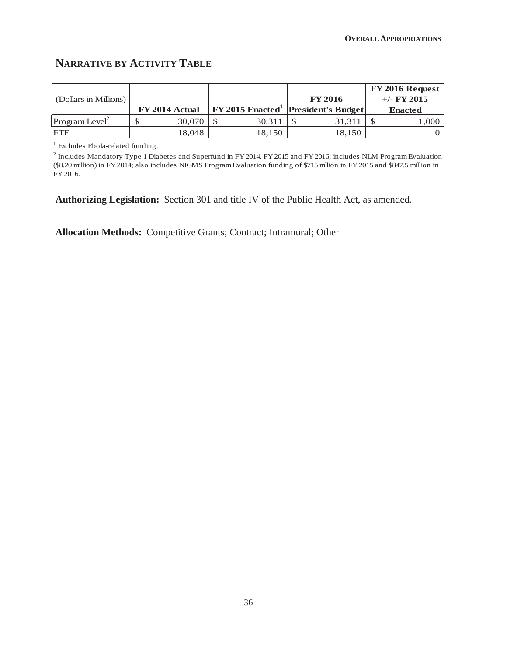# **NARRATIVE BY ACTIVITY TABLE**

|                            |                |        |                                           | $FY$ 2016 Request |
|----------------------------|----------------|--------|-------------------------------------------|-------------------|
| (Dollars in Millions)      |                |        | <b>FY 2016</b>                            | $+/-$ FY 2015     |
|                            | FY 2014 Actual |        | <b>FY 2015 Enacted</b> President's Budget | <b>Enacted</b>    |
| Program Level <sup>2</sup> | 30,070         | 30,311 | 31,311                                    | 1,000             |
| <b>IFTE</b>                | 18.048         | 18,150 | 18.150                                    |                   |

<sup>1</sup> Excludes Ebola-related funding.

 $^2$  Includes Mandatory Type 1 Diabetes and Superfund in FY 2014, FY 2015 and FY 2016; includes NLM Program Evaluation (\$8.20 million) in FY 2014; also includes NIGMS Program Evaluation funding of \$715 mllion in FY 2015 and \$847.5 million in FY 2016.

**Authorizing Legislation:** Section 301 and title IV of the Public Health Act, as amended.

**Allocation Methods:** Competitive Grants; Contract; Intramural; Other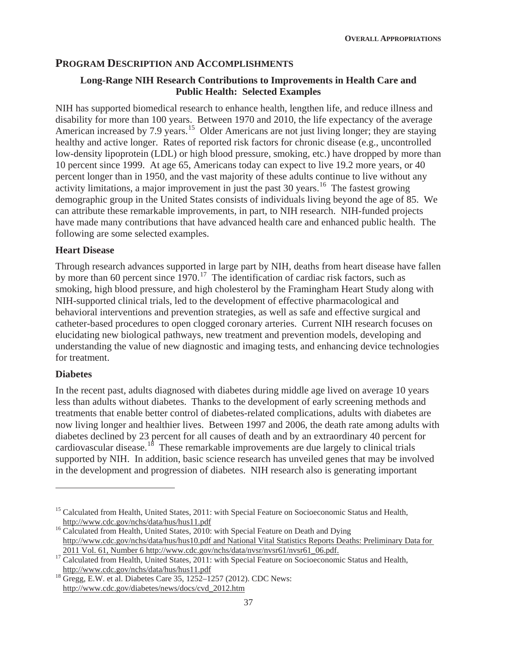## **PROGRAM DESCRIPTION AND ACCOMPLISHMENTS**

#### **Long-Range NIH Research Contributions to Improvements in Health Care and Public Health: Selected Examples**

NIH has supported biomedical research to enhance health, lengthen life, and reduce illness and disability for more than 100 years. Between 1970 and 2010, the life expectancy of the average American increased by 7.9 years.<sup>15</sup> Older Americans are not just living longer; they are staying healthy and active longer. Rates of reported risk factors for chronic disease (e.g., uncontrolled low-density lipoprotein (LDL) or high blood pressure, smoking, etc.) have dropped by more than 10 percent since 1999. At age 65, Americans today can expect to live 19.2 more years, or 40 percent longer than in 1950, and the vast majority of these adults continue to live without any activity limitations, a major improvement in just the past 30 years.<sup>16</sup> The fastest growing demographic group in the United States consists of individuals living beyond the age of 85. We can attribute these remarkable improvements, in part, to NIH research. NIH-funded projects have made many contributions that have advanced health care and enhanced public health. The following are some selected examples.

#### **Heart Disease**

Through research advances supported in large part by NIH, deaths from heart disease have fallen by more than 60 percent since  $1970$ .<sup>17</sup> The identification of cardiac risk factors, such as smoking, high blood pressure, and high cholesterol by the Framingham Heart Study along with NIH-supported clinical trials, led to the development of effective pharmacological and behavioral interventions and prevention strategies, as well as safe and effective surgical and catheter-based procedures to open clogged coronary arteries. Current NIH research focuses on elucidating new biological pathways, new treatment and prevention models, developing and understanding the value of new diagnostic and imaging tests, and enhancing device technologies for treatment.

#### **Diabetes**

In the recent past, adults diagnosed with diabetes during middle age lived on average 10 years less than adults without diabetes. Thanks to the development of early screening methods and treatments that enable better control of diabetes-related complications, adults with diabetes are now living longer and healthier lives. Between 1997 and 2006, the death rate among adults with diabetes declined by 23 percent for all causes of death and by an extraordinary 40 percent for cardiovascular disease.<sup>18</sup> These remarkable improvements are due largely to clinical trials supported by NIH. In addition, basic science research has unveiled genes that may be involved in the development and progression of diabetes. NIH research also is generating important

<sup>&</sup>lt;sup>15</sup> Calculated from Health, United States, 2011: with Special Feature on Socioeconomic Status and Health,

http://www.cdc.gov/nchs/data/hus/hus11.pdf<br><sup>16</sup> Calculated from Health, United States, 2010: with Special Feature on Death and Dying http://www.cdc.gov/nchs/data/hus/hus10.pdf and National Vital Statistics Reports Deaths: Preliminary Data for

<sup>&</sup>lt;sup>17</sup> Calculated from Health, United States, 2011: with Special Feature on Socioeconomic Status and Health, http://www.cdc.gov/nchs/data/hus/hus11.pdf

 $h^8$  Gregg, E.W. et al. Diabetes Care 35, 1252–1257 (2012). CDC News: http://www.cdc.gov/diabetes/news/docs/cvd\_2012.htm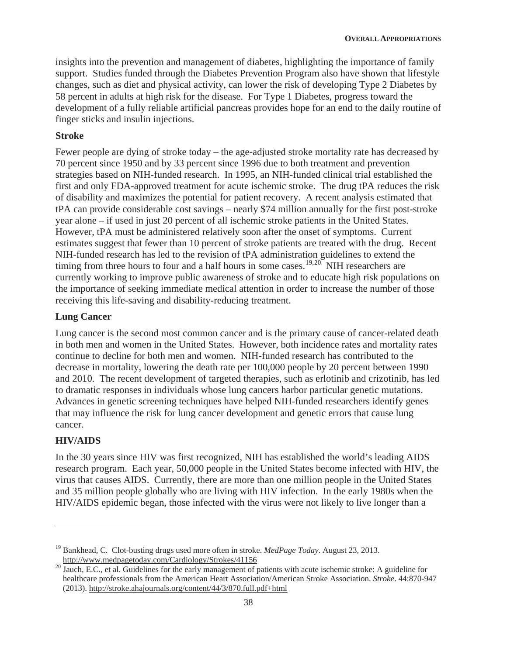insights into the prevention and management of diabetes, highlighting the importance of family support. Studies funded through the Diabetes Prevention Program also have shown that lifestyle changes, such as diet and physical activity, can lower the risk of developing Type 2 Diabetes by 58 percent in adults at high risk for the disease. For Type 1 Diabetes, progress toward the development of a fully reliable artificial pancreas provides hope for an end to the daily routine of finger sticks and insulin injections.

### **Stroke**

Fewer people are dying of stroke today – the age-adjusted stroke mortality rate has decreased by 70 percent since 1950 and by 33 percent since 1996 due to both treatment and prevention strategies based on NIH-funded research. In 1995, an NIH-funded clinical trial established the first and only FDA-approved treatment for acute ischemic stroke. The drug tPA reduces the risk of disability and maximizes the potential for patient recovery. A recent analysis estimated that tPA can provide considerable cost savings – nearly \$74 million annually for the first post-stroke year alone – if used in just 20 percent of all ischemic stroke patients in the United States. However, tPA must be administered relatively soon after the onset of symptoms. Current estimates suggest that fewer than 10 percent of stroke patients are treated with the drug. Recent NIH-funded research has led to the revision of tPA administration guidelines to extend the timing from three hours to four and a half hours in some cases.<sup>19,20</sup> NIH researchers are currently working to improve public awareness of stroke and to educate high risk populations on the importance of seeking immediate medical attention in order to increase the number of those receiving this life-saving and disability-reducing treatment.

### **Lung Cancer**

Lung cancer is the second most common cancer and is the primary cause of cancer-related death in both men and women in the United States. However, both incidence rates and mortality rates continue to decline for both men and women. NIH-funded research has contributed to the decrease in mortality, lowering the death rate per 100,000 people by 20 percent between 1990 and 2010. The recent development of targeted therapies, such as erlotinib and crizotinib, has led to dramatic responses in individuals whose lung cancers harbor particular genetic mutations. Advances in genetic screening techniques have helped NIH-funded researchers identify genes that may influence the risk for lung cancer development and genetic errors that cause lung cancer.

## **HIV/AIDS**

In the 30 years since HIV was first recognized, NIH has established the world's leading AIDS research program. Each year, 50,000 people in the United States become infected with HIV, the virus that causes AIDS. Currently, there are more than one million people in the United States and 35 million people globally who are living with HIV infection. In the early 1980s when the HIV/AIDS epidemic began, those infected with the virus were not likely to live longer than a

<sup>&</sup>lt;sup>19</sup> Bankhead, C. Clot-busting drugs used more often in stroke. *MedPage Today*. August 23, 2013.<br>http://www.medpagetoday.com/Cardiology/Strokes/41156

<sup>&</sup>lt;sup>20</sup> Jauch, E.C., et al. Guidelines for the early management of patients with acute ischemic stroke: A guideline for healthcare professionals from the American Heart Association/American Stroke Association. *Stroke*. 44:870-947 (2013). http://stroke.ahajournals.org/content/44/3/870.full.pdf+html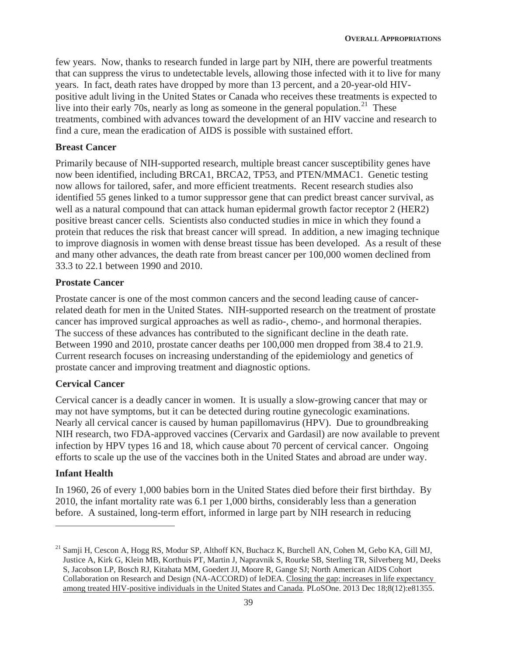few years. Now, thanks to research funded in large part by NIH, there are powerful treatments that can suppress the virus to undetectable levels, allowing those infected with it to live for many years. In fact, death rates have dropped by more than 13 percent, and a 20-year-old HIVpositive adult living in the United States or Canada who receives these treatments is expected to live into their early 70s, nearly as long as someone in the general population.<sup>21</sup> These treatments, combined with advances toward the development of an HIV vaccine and research to find a cure, mean the eradication of AIDS is possible with sustained effort.

#### **Breast Cancer**

Primarily because of NIH-supported research, multiple breast cancer susceptibility genes have now been identified, including BRCA1, BRCA2, TP53, and PTEN/MMAC1. Genetic testing now allows for tailored, safer, and more efficient treatments. Recent research studies also identified 55 genes linked to a tumor suppressor gene that can predict breast cancer survival, as well as a natural compound that can attack human epidermal growth factor receptor 2 (HER2) positive breast cancer cells. Scientists also conducted studies in mice in which they found a protein that reduces the risk that breast cancer will spread. In addition, a new imaging technique to improve diagnosis in women with dense breast tissue has been developed. As a result of these and many other advances, the death rate from breast cancer per 100,000 women declined from 33.3 to 22.1 between 1990 and 2010.

#### **Prostate Cancer**

Prostate cancer is one of the most common cancers and the second leading cause of cancerrelated death for men in the United States. NIH-supported research on the treatment of prostate cancer has improved surgical approaches as well as radio-, chemo-, and hormonal therapies. The success of these advances has contributed to the significant decline in the death rate. Between 1990 and 2010, prostate cancer deaths per 100,000 men dropped from 38.4 to 21.9. Current research focuses on increasing understanding of the epidemiology and genetics of prostate cancer and improving treatment and diagnostic options.

#### **Cervical Cancer**

Cervical cancer is a deadly cancer in women. It is usually a slow-growing cancer that may or may not have symptoms, but it can be detected during routine gynecologic examinations. Nearly all cervical cancer is caused by human papillomavirus (HPV). Due to groundbreaking NIH research, two FDA-approved vaccines (Cervarix and Gardasil) are now available to prevent infection by HPV types 16 and 18, which cause about 70 percent of cervical cancer. Ongoing efforts to scale up the use of the vaccines both in the United States and abroad are under way.

#### **Infant Health**

In 1960, 26 of every 1,000 babies born in the United States died before their first birthday. By 2010, the infant mortality rate was 6.1 per 1,000 births, considerably less than a generation before. A sustained, long-term effort, informed in large part by NIH research in reducing

<sup>&</sup>lt;sup>21</sup> Samji H, Cescon A, Hogg RS, Modur SP, Althoff KN, Buchacz K, Burchell AN, Cohen M, Gebo KA, Gill MJ, Justice A, Kirk G, Klein MB, Korthuis PT, Martin J, Napravnik S, Rourke SB, Sterling TR, Silverberg MJ, Deeks S, Jacobson LP, Bosch RJ, Kitahata MM, Goedert JJ, Moore R, Gange SJ; North American AIDS Cohort Collaboration on Research and Design (NA-ACCORD) of IeDEA. Closing the gap: increases in life expectancy among treated HIV-positive individuals in the United States and Canada. PLoSOne. 2013 Dec 18;8(12):e81355.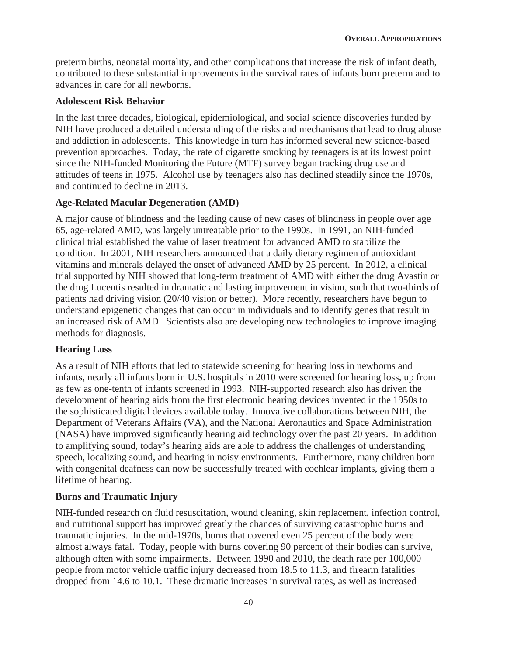preterm births, neonatal mortality, and other complications that increase the risk of infant death, contributed to these substantial improvements in the survival rates of infants born preterm and to advances in care for all newborns.

#### **Adolescent Risk Behavior**

In the last three decades, biological, epidemiological, and social science discoveries funded by NIH have produced a detailed understanding of the risks and mechanisms that lead to drug abuse and addiction in adolescents. This knowledge in turn has informed several new science-based prevention approaches. Today, the rate of cigarette smoking by teenagers is at its lowest point since the NIH-funded Monitoring the Future (MTF) survey began tracking drug use and attitudes of teens in 1975. Alcohol use by teenagers also has declined steadily since the 1970s, and continued to decline in 2013.

#### **Age-Related Macular Degeneration (AMD)**

A major cause of blindness and the leading cause of new cases of blindness in people over age 65, age-related AMD, was largely untreatable prior to the 1990s. In 1991, an NIH-funded clinical trial established the value of laser treatment for advanced AMD to stabilize the condition. In 2001, NIH researchers announced that a daily dietary regimen of antioxidant vitamins and minerals delayed the onset of advanced AMD by 25 percent. In 2012, a clinical trial supported by NIH showed that long-term treatment of AMD with either the drug Avastin or the drug Lucentis resulted in dramatic and lasting improvement in vision, such that two-thirds of patients had driving vision (20/40 vision or better). More recently, researchers have begun to understand epigenetic changes that can occur in individuals and to identify genes that result in an increased risk of AMD. Scientists also are developing new technologies to improve imaging methods for diagnosis.

#### **Hearing Loss**

As a result of NIH efforts that led to statewide screening for hearing loss in newborns and infants, nearly all infants born in U.S. hospitals in 2010 were screened for hearing loss, up from as few as one-tenth of infants screened in 1993. NIH-supported research also has driven the development of hearing aids from the first electronic hearing devices invented in the 1950s to the sophisticated digital devices available today. Innovative collaborations between NIH, the Department of Veterans Affairs (VA), and the National Aeronautics and Space Administration (NASA) have improved significantly hearing aid technology over the past 20 years. In addition to amplifying sound, today's hearing aids are able to address the challenges of understanding speech, localizing sound, and hearing in noisy environments. Furthermore, many children born with congenital deafness can now be successfully treated with cochlear implants, giving them a lifetime of hearing.

#### **Burns and Traumatic Injury**

NIH-funded research on fluid resuscitation, wound cleaning, skin replacement, infection control, and nutritional support has improved greatly the chances of surviving catastrophic burns and traumatic injuries. In the mid-1970s, burns that covered even 25 percent of the body were almost always fatal. Today, people with burns covering 90 percent of their bodies can survive, although often with some impairments. Between 1990 and 2010, the death rate per 100,000 people from motor vehicle traffic injury decreased from 18.5 to 11.3, and firearm fatalities dropped from 14.6 to 10.1. These dramatic increases in survival rates, as well as increased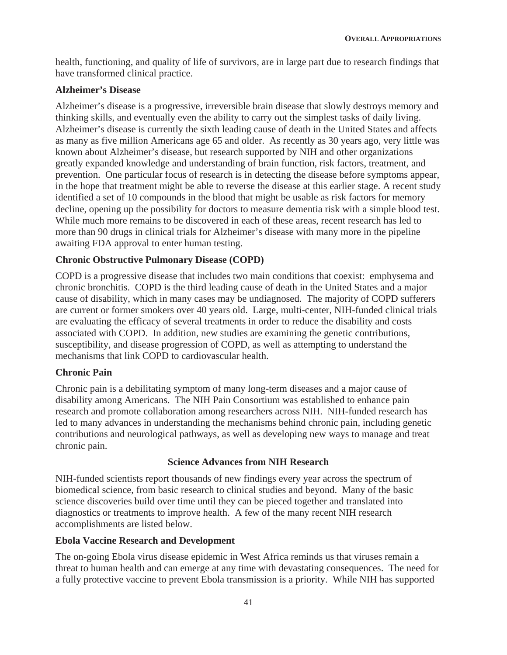health, functioning, and quality of life of survivors, are in large part due to research findings that have transformed clinical practice.

### **Alzheimer's Disease**

Alzheimer's disease is a progressive, irreversible brain disease that slowly destroys memory and thinking skills, and eventually even the ability to carry out the simplest tasks of daily living. Alzheimer's disease is currently the sixth leading cause of death in the United States and affects as many as five million Americans age 65 and older. As recently as 30 years ago, very little was known about Alzheimer's disease, but research supported by NIH and other organizations greatly expanded knowledge and understanding of brain function, risk factors, treatment, and prevention. One particular focus of research is in detecting the disease before symptoms appear, in the hope that treatment might be able to reverse the disease at this earlier stage. A recent study identified a set of 10 compounds in the blood that might be usable as risk factors for memory decline, opening up the possibility for doctors to measure dementia risk with a simple blood test. While much more remains to be discovered in each of these areas, recent research has led to more than 90 drugs in clinical trials for Alzheimer's disease with many more in the pipeline awaiting FDA approval to enter human testing.

## **Chronic Obstructive Pulmonary Disease (COPD)**

COPD is a progressive disease that includes two main conditions that coexist: emphysema and chronic bronchitis. COPD is the third leading cause of death in the United States and a major cause of disability, which in many cases may be undiagnosed. The majority of COPD sufferers are current or former smokers over 40 years old. Large, multi-center, NIH-funded clinical trials are evaluating the efficacy of several treatments in order to reduce the disability and costs associated with COPD. In addition, new studies are examining the genetic contributions, susceptibility, and disease progression of COPD, as well as attempting to understand the mechanisms that link COPD to cardiovascular health.

## **Chronic Pain**

Chronic pain is a debilitating symptom of many long-term diseases and a major cause of disability among Americans. The NIH Pain Consortium was established to enhance pain research and promote collaboration among researchers across NIH. NIH-funded research has led to many advances in understanding the mechanisms behind chronic pain, including genetic contributions and neurological pathways, as well as developing new ways to manage and treat chronic pain.

## **Science Advances from NIH Research**

NIH-funded scientists report thousands of new findings every year across the spectrum of biomedical science, from basic research to clinical studies and beyond. Many of the basic science discoveries build over time until they can be pieced together and translated into diagnostics or treatments to improve health. A few of the many recent NIH research accomplishments are listed below.

## **Ebola Vaccine Research and Development**

The on-going Ebola virus disease epidemic in West Africa reminds us that viruses remain a threat to human health and can emerge at any time with devastating consequences. The need for a fully protective vaccine to prevent Ebola transmission is a priority. While NIH has supported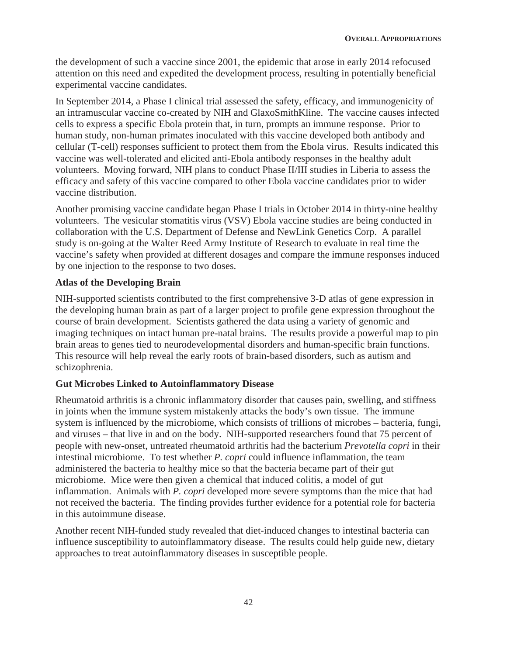the development of such a vaccine since 2001, the epidemic that arose in early 2014 refocused attention on this need and expedited the development process, resulting in potentially beneficial experimental vaccine candidates.

In September 2014, a Phase I clinical trial assessed the safety, efficacy, and immunogenicity of an intramuscular vaccine co-created by NIH and GlaxoSmithKline. The vaccine causes infected cells to express a specific Ebola protein that, in turn, prompts an immune response. Prior to human study, non-human primates inoculated with this vaccine developed both antibody and cellular (T-cell) responses sufficient to protect them from the Ebola virus. Results indicated this vaccine was well-tolerated and elicited anti-Ebola antibody responses in the healthy adult volunteers. Moving forward, NIH plans to conduct Phase II/III studies in Liberia to assess the efficacy and safety of this vaccine compared to other Ebola vaccine candidates prior to wider vaccine distribution.

Another promising vaccine candidate began Phase I trials in October 2014 in thirty-nine healthy volunteers. The vesicular stomatitis virus (VSV) Ebola vaccine studies are being conducted in collaboration with the U.S. Department of Defense and NewLink Genetics Corp. A parallel study is on-going at the Walter Reed Army Institute of Research to evaluate in real time the vaccine's safety when provided at different dosages and compare the immune responses induced by one injection to the response to two doses.

### **Atlas of the Developing Brain**

NIH-supported scientists contributed to the first comprehensive 3-D atlas of gene expression in the developing human brain as part of a larger project to profile gene expression throughout the course of brain development. Scientists gathered the data using a variety of genomic and imaging techniques on intact human pre-natal brains. The results provide a powerful map to pin brain areas to genes tied to neurodevelopmental disorders and human-specific brain functions. This resource will help reveal the early roots of brain-based disorders, such as autism and schizophrenia.

#### **Gut Microbes Linked to Autoinflammatory Disease**

Rheumatoid arthritis is a chronic inflammatory disorder that causes pain, swelling, and stiffness in joints when the immune system mistakenly attacks the body's own tissue. The immune system is influenced by the microbiome, which consists of trillions of microbes – bacteria, fungi, and viruses – that live in and on the body. NIH-supported researchers found that 75 percent of people with new-onset, untreated rheumatoid arthritis had the bacterium *Prevotella copri* in their intestinal microbiome. To test whether *P. copri* could influence inflammation, the team administered the bacteria to healthy mice so that the bacteria became part of their gut microbiome. Mice were then given a chemical that induced colitis, a model of gut inflammation. Animals with *P. copri* developed more severe symptoms than the mice that had not received the bacteria. The finding provides further evidence for a potential role for bacteria in this autoimmune disease.

Another recent NIH-funded study revealed that diet-induced changes to intestinal bacteria can influence susceptibility to autoinflammatory disease. The results could help guide new, dietary approaches to treat autoinflammatory diseases in susceptible people.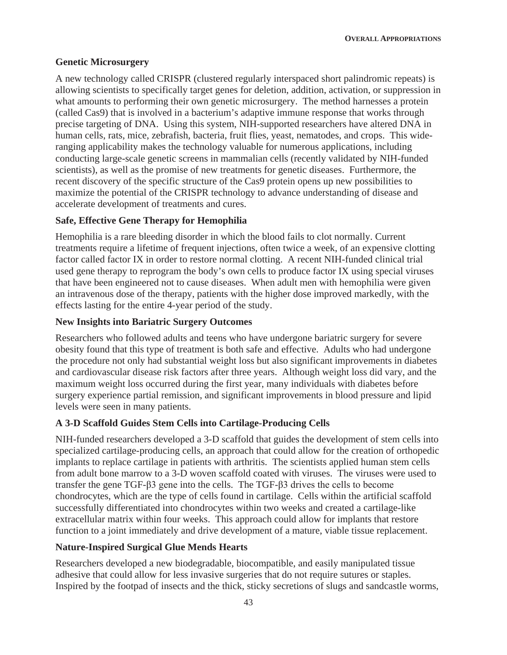### **Genetic Microsurgery**

A new technology called CRISPR (clustered regularly interspaced short palindromic repeats) is allowing scientists to specifically target genes for deletion, addition, activation, or suppression in what amounts to performing their own genetic microsurgery. The method harnesses a protein (called Cas9) that is involved in a bacterium's adaptive immune response that works through precise targeting of DNA. Using this system, NIH-supported researchers have altered DNA in human cells, rats, mice, zebrafish, bacteria, fruit flies, yeast, nematodes, and crops. This wideranging applicability makes the technology valuable for numerous applications, including conducting large-scale genetic screens in mammalian cells (recently validated by NIH-funded scientists), as well as the promise of new treatments for genetic diseases. Furthermore, the recent discovery of the specific structure of the Cas9 protein opens up new possibilities to maximize the potential of the CRISPR technology to advance understanding of disease and accelerate development of treatments and cures.

### **Safe, Effective Gene Therapy for Hemophilia**

Hemophilia is a rare bleeding disorder in which the blood fails to clot normally. Current treatments require a lifetime of frequent injections, often twice a week, of an expensive clotting factor called factor IX in order to restore normal clotting. A recent NIH-funded clinical trial used gene therapy to reprogram the body's own cells to produce factor IX using special viruses that have been engineered not to cause diseases. When adult men with hemophilia were given an intravenous dose of the therapy, patients with the higher dose improved markedly, with the effects lasting for the entire 4-year period of the study.

#### **New Insights into Bariatric Surgery Outcomes**

Researchers who followed adults and teens who have undergone bariatric surgery for severe obesity found that this type of treatment is both safe and effective. Adults who had undergone the procedure not only had substantial weight loss but also significant improvements in diabetes and cardiovascular disease risk factors after three years. Although weight loss did vary, and the maximum weight loss occurred during the first year, many individuals with diabetes before surgery experience partial remission, and significant improvements in blood pressure and lipid levels were seen in many patients.

#### **A 3-D Scaffold Guides Stem Cells into Cartilage-Producing Cells**

NIH-funded researchers developed a 3-D scaffold that guides the development of stem cells into specialized cartilage-producing cells, an approach that could allow for the creation of orthopedic implants to replace cartilage in patients with arthritis. The scientists applied human stem cells from adult bone marrow to a 3-D woven scaffold coated with viruses. The viruses were used to transfer the gene TGF- $\beta$  gene into the cells. The TGF- $\beta$ 3 drives the cells to become chondrocytes, which are the type of cells found in cartilage. Cells within the artificial scaffold successfully differentiated into chondrocytes within two weeks and created a cartilage-like extracellular matrix within four weeks. This approach could allow for implants that restore function to a joint immediately and drive development of a mature, viable tissue replacement.

#### **Nature-Inspired Surgical Glue Mends Hearts**

Researchers developed a new biodegradable, biocompatible, and easily manipulated tissue adhesive that could allow for less invasive surgeries that do not require sutures or staples. Inspired by the footpad of insects and the thick, sticky secretions of slugs and sandcastle worms,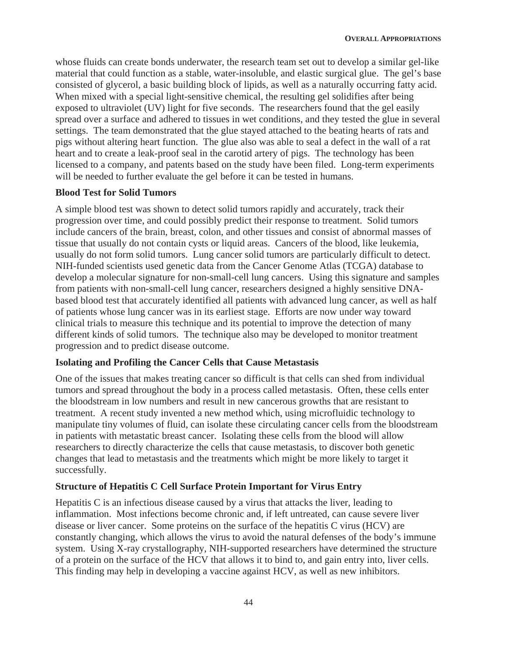whose fluids can create bonds underwater, the research team set out to develop a similar gel-like material that could function as a stable, water-insoluble, and elastic surgical glue. The gel's base consisted of glycerol, a basic building block of lipids, as well as a naturally occurring fatty acid. When mixed with a special light-sensitive chemical, the resulting gel solidifies after being exposed to ultraviolet (UV) light for five seconds. The researchers found that the gel easily spread over a surface and adhered to tissues in wet conditions, and they tested the glue in several settings. The team demonstrated that the glue stayed attached to the beating hearts of rats and pigs without altering heart function. The glue also was able to seal a defect in the wall of a rat heart and to create a leak-proof seal in the carotid artery of pigs. The technology has been licensed to a company, and patents based on the study have been filed. Long-term experiments will be needed to further evaluate the gel before it can be tested in humans.

#### **Blood Test for Solid Tumors**

A simple blood test was shown to detect solid tumors rapidly and accurately, track their progression over time, and could possibly predict their response to treatment. Solid tumors include cancers of the brain, breast, colon, and other tissues and consist of abnormal masses of tissue that usually do not contain cysts or liquid areas. Cancers of the blood, like leukemia, usually do not form solid tumors. Lung cancer solid tumors are particularly difficult to detect. NIH-funded scientists used genetic data from the Cancer Genome Atlas (TCGA) database to develop a molecular signature for non-small-cell lung cancers. Using this signature and samples from patients with non-small-cell lung cancer, researchers designed a highly sensitive DNAbased blood test that accurately identified all patients with advanced lung cancer, as well as half of patients whose lung cancer was in its earliest stage. Efforts are now under way toward clinical trials to measure this technique and its potential to improve the detection of many different kinds of solid tumors. The technique also may be developed to monitor treatment progression and to predict disease outcome.

#### **Isolating and Profiling the Cancer Cells that Cause Metastasis**

One of the issues that makes treating cancer so difficult is that cells can shed from individual tumors and spread throughout the body in a process called metastasis. Often, these cells enter the bloodstream in low numbers and result in new cancerous growths that are resistant to treatment. A recent study invented a new method which, using microfluidic technology to manipulate tiny volumes of fluid, can isolate these circulating cancer cells from the bloodstream in patients with metastatic breast cancer. Isolating these cells from the blood will allow researchers to directly characterize the cells that cause metastasis, to discover both genetic changes that lead to metastasis and the treatments which might be more likely to target it successfully.

## **Structure of Hepatitis C Cell Surface Protein Important for Virus Entry**

Hepatitis C is an infectious disease caused by a virus that attacks the liver, leading to inflammation. Most infections become chronic and, if left untreated, can cause severe liver disease or liver cancer. Some proteins on the surface of the hepatitis C virus (HCV) are constantly changing, which allows the virus to avoid the natural defenses of the body's immune system. Using X-ray crystallography, NIH-supported researchers have determined the structure of a protein on the surface of the HCV that allows it to bind to, and gain entry into, liver cells. This finding may help in developing a vaccine against HCV, as well as new inhibitors.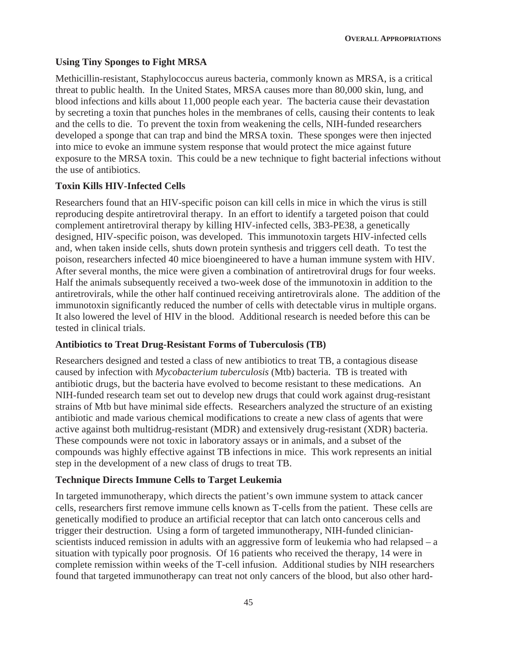## **Using Tiny Sponges to Fight MRSA**

Methicillin-resistant, Staphylococcus aureus bacteria, commonly known as MRSA, is a critical threat to public health. In the United States, MRSA causes more than 80,000 skin, lung, and blood infections and kills about 11,000 people each year. The bacteria cause their devastation by secreting a toxin that punches holes in the membranes of cells, causing their contents to leak and the cells to die. To prevent the toxin from weakening the cells, NIH-funded researchers developed a sponge that can trap and bind the MRSA toxin. These sponges were then injected into mice to evoke an immune system response that would protect the mice against future exposure to the MRSA toxin. This could be a new technique to fight bacterial infections without the use of antibiotics.

## **Toxin Kills HIV-Infected Cells**

Researchers found that an HIV-specific poison can kill cells in mice in which the virus is still reproducing despite antiretroviral therapy. In an effort to identify a targeted poison that could complement antiretroviral therapy by killing HIV-infected cells, 3B3-PE38, a genetically designed, HIV-specific poison, was developed. This immunotoxin targets HIV-infected cells and, when taken inside cells, shuts down protein synthesis and triggers cell death. To test the poison, researchers infected 40 mice bioengineered to have a human immune system with HIV. After several months, the mice were given a combination of antiretroviral drugs for four weeks. Half the animals subsequently received a two-week dose of the immunotoxin in addition to the antiretrovirals, while the other half continued receiving antiretrovirals alone. The addition of the immunotoxin significantly reduced the number of cells with detectable virus in multiple organs. It also lowered the level of HIV in the blood. Additional research is needed before this can be tested in clinical trials.

## **Antibiotics to Treat Drug-Resistant Forms of Tuberculosis (TB)**

Researchers designed and tested a class of new antibiotics to treat TB, a contagious disease caused by infection with *Mycobacterium tuberculosis* (Mtb) bacteria. TB is treated with antibiotic drugs, but the bacteria have evolved to become resistant to these medications. An NIH-funded research team set out to develop new drugs that could work against drug-resistant strains of Mtb but have minimal side effects. Researchers analyzed the structure of an existing antibiotic and made various chemical modifications to create a new class of agents that were active against both multidrug-resistant (MDR) and extensively drug-resistant (XDR) bacteria. These compounds were not toxic in laboratory assays or in animals, and a subset of the compounds was highly effective against TB infections in mice. This work represents an initial step in the development of a new class of drugs to treat TB.

## **Technique Directs Immune Cells to Target Leukemia**

In targeted immunotherapy, which directs the patient's own immune system to attack cancer cells, researchers first remove immune cells known as T-cells from the patient. These cells are genetically modified to produce an artificial receptor that can latch onto cancerous cells and trigger their destruction. Using a form of targeted immunotherapy, NIH-funded clinicianscientists induced remission in adults with an aggressive form of leukemia who had relapsed – a situation with typically poor prognosis. Of 16 patients who received the therapy, 14 were in complete remission within weeks of the T-cell infusion. Additional studies by NIH researchers found that targeted immunotherapy can treat not only cancers of the blood, but also other hard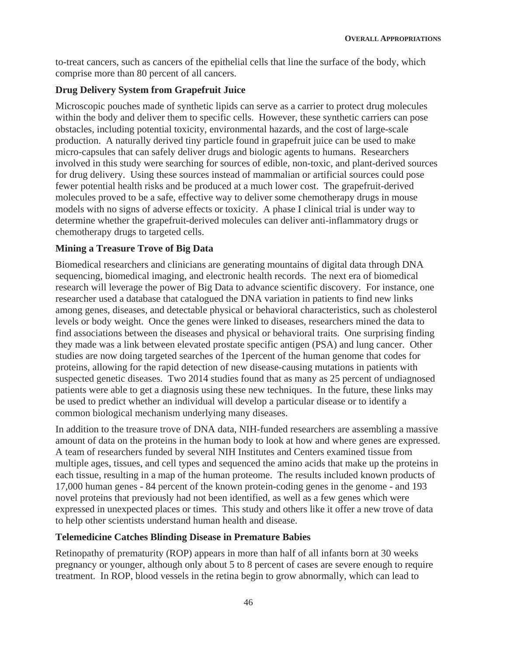to-treat cancers, such as cancers of the epithelial cells that line the surface of the body, which comprise more than 80 percent of all cancers.

### **Drug Delivery System from Grapefruit Juice**

Microscopic pouches made of synthetic lipids can serve as a carrier to protect drug molecules within the body and deliver them to specific cells. However, these synthetic carriers can pose obstacles, including potential toxicity, environmental hazards, and the cost of large-scale production. A naturally derived tiny particle found in grapefruit juice can be used to make micro-capsules that can safely deliver drugs and biologic agents to humans. Researchers involved in this study were searching for sources of edible, non-toxic, and plant-derived sources for drug delivery. Using these sources instead of mammalian or artificial sources could pose fewer potential health risks and be produced at a much lower cost. The grapefruit-derived molecules proved to be a safe, effective way to deliver some chemotherapy drugs in mouse models with no signs of adverse effects or toxicity. A phase I clinical trial is under way to determine whether the grapefruit-derived molecules can deliver anti-inflammatory drugs or chemotherapy drugs to targeted cells.

### **Mining a Treasure Trove of Big Data**

Biomedical researchers and clinicians are generating mountains of digital data through DNA sequencing, biomedical imaging, and electronic health records. The next era of biomedical research will leverage the power of Big Data to advance scientific discovery. For instance, one researcher used a database that catalogued the DNA variation in patients to find new links among genes, diseases, and detectable physical or behavioral characteristics, such as cholesterol levels or body weight. Once the genes were linked to diseases, researchers mined the data to find associations between the diseases and physical or behavioral traits. One surprising finding they made was a link between elevated prostate specific antigen (PSA) and lung cancer. Other studies are now doing targeted searches of the 1percent of the human genome that codes for proteins, allowing for the rapid detection of new disease-causing mutations in patients with suspected genetic diseases. Two 2014 studies found that as many as 25 percent of undiagnosed patients were able to get a diagnosis using these new techniques. In the future, these links may be used to predict whether an individual will develop a particular disease or to identify a common biological mechanism underlying many diseases.

In addition to the treasure trove of DNA data, NIH-funded researchers are assembling a massive amount of data on the proteins in the human body to look at how and where genes are expressed. A team of researchers funded by several NIH Institutes and Centers examined tissue from multiple ages, tissues, and cell types and sequenced the amino acids that make up the proteins in each tissue, resulting in a map of the human proteome. The results included known products of 17,000 human genes - 84 percent of the known protein-coding genes in the genome - and 193 novel proteins that previously had not been identified, as well as a few genes which were expressed in unexpected places or times. This study and others like it offer a new trove of data to help other scientists understand human health and disease.

#### **Telemedicine Catches Blinding Disease in Premature Babies**

Retinopathy of prematurity (ROP) appears in more than half of all infants born at 30 weeks pregnancy or younger, although only about 5 to 8 percent of cases are severe enough to require treatment. In ROP, blood vessels in the retina begin to grow abnormally, which can lead to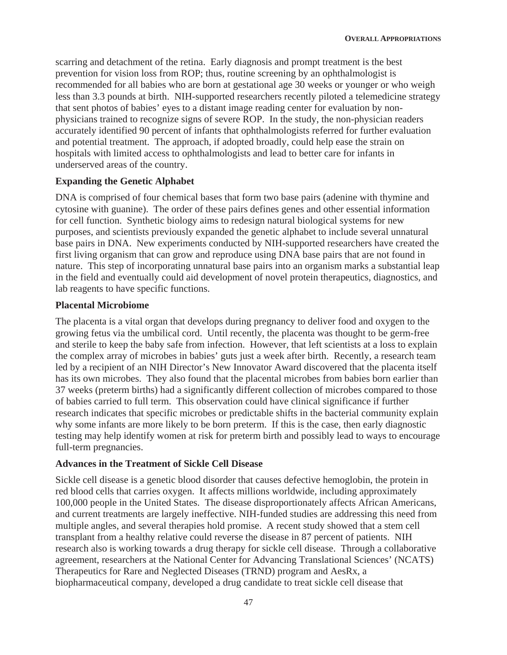scarring and detachment of the retina. Early diagnosis and prompt treatment is the best prevention for vision loss from ROP; thus, routine screening by an ophthalmologist is recommended for all babies who are born at gestational age 30 weeks or younger or who weigh less than 3.3 pounds at birth. NIH-supported researchers recently piloted a telemedicine strategy that sent photos of babies' eyes to a distant image reading center for evaluation by nonphysicians trained to recognize signs of severe ROP. In the study, the non-physician readers accurately identified 90 percent of infants that ophthalmologists referred for further evaluation and potential treatment. The approach, if adopted broadly, could help ease the strain on hospitals with limited access to ophthalmologists and lead to better care for infants in underserved areas of the country.

### **Expanding the Genetic Alphabet**

DNA is comprised of four chemical bases that form two base pairs (adenine with thymine and cytosine with guanine). The order of these pairs defines genes and other essential information for cell function. Synthetic biology aims to redesign natural biological systems for new purposes, and scientists previously expanded the genetic alphabet to include several unnatural base pairs in DNA. New experiments conducted by NIH-supported researchers have created the first living organism that can grow and reproduce using DNA base pairs that are not found in nature. This step of incorporating unnatural base pairs into an organism marks a substantial leap in the field and eventually could aid development of novel protein therapeutics, diagnostics, and lab reagents to have specific functions.

#### **Placental Microbiome**

The placenta is a vital organ that develops during pregnancy to deliver food and oxygen to the growing fetus via the umbilical cord. Until recently, the placenta was thought to be germ-free and sterile to keep the baby safe from infection. However, that left scientists at a loss to explain the complex array of microbes in babies' guts just a week after birth. Recently, a research team led by a recipient of an NIH Director's New Innovator Award discovered that the placenta itself has its own microbes. They also found that the placental microbes from babies born earlier than 37 weeks (preterm births) had a significantly different collection of microbes compared to those of babies carried to full term. This observation could have clinical significance if further research indicates that specific microbes or predictable shifts in the bacterial community explain why some infants are more likely to be born preterm. If this is the case, then early diagnostic testing may help identify women at risk for preterm birth and possibly lead to ways to encourage full-term pregnancies.

## **Advances in the Treatment of Sickle Cell Disease**

Sickle cell disease is a genetic blood disorder that causes defective hemoglobin, the protein in red blood cells that carries oxygen. It affects millions worldwide, including approximately 100,000 people in the United States. The disease disproportionately affects African Americans, and current treatments are largely ineffective. NIH-funded studies are addressing this need from multiple angles, and several therapies hold promise. A recent study showed that a stem cell transplant from a healthy relative could reverse the disease in 87 percent of patients. NIH research also is working towards a drug therapy for sickle cell disease. Through a collaborative agreement, researchers at the National Center for Advancing Translational Sciences' (NCATS) Therapeutics for Rare and Neglected Diseases (TRND) program and AesRx, a biopharmaceutical company, developed a drug candidate to treat sickle cell disease that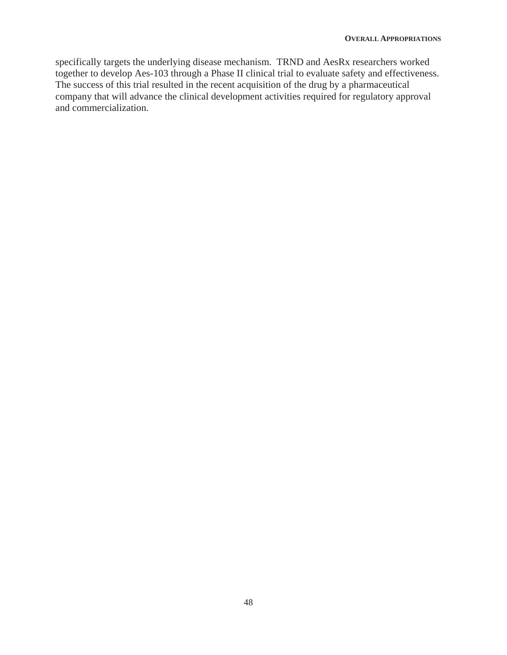specifically targets the underlying disease mechanism. TRND and AesRx researchers worked together to develop Aes-103 through a Phase II clinical trial to evaluate safety and effectiveness. The success of this trial resulted in the recent acquisition of the drug by a pharmaceutical company that will advance the clinical development activities required for regulatory approval and commercialization.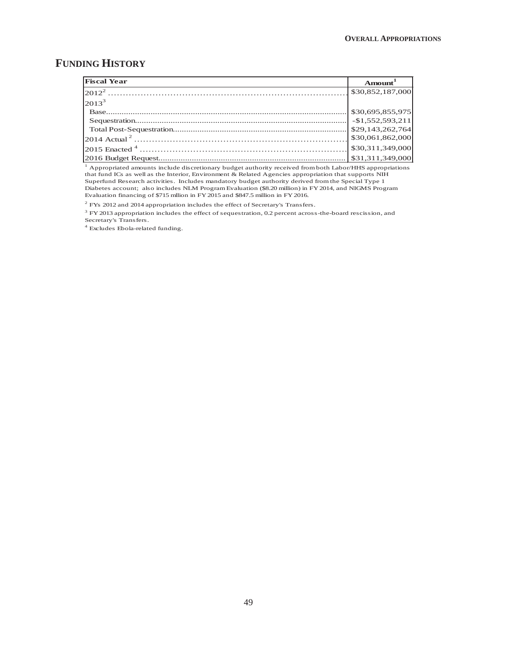# **FUNDING HISTORY**

| <b>Fiscal Year</b>                 | Amount <sup>1</sup> |
|------------------------------------|---------------------|
|                                    | \$30,852,187,000    |
| $2013^3$                           |                     |
|                                    | \$30,695,855,975    |
|                                    |                     |
|                                    |                     |
|                                    | \$30,061,862,000    |
| $ 2015 \text{ Enacted }^4 \dots  $ | \$30,311,349,000    |
|                                    |                     |

<sup>1</sup> Appropriated amounts include discretionary budget authority received from both Labor/HHS appropriations that fund ICs as well as the Interior, Environment & Related Agencies appropriation that supports NIH Superfund Research activities. Includes mandatory budget authority derived from the Special Type 1 Diabetes account; also includes NLM Program Evaluation (\$8.20 million) in FY 2014, and NIGMS Program Evaluation financing of \$715 mllion in FY 2015 and \$847.5 million in FY 2016.

 $2$  FYs 2012 and 2014 appropriation includes the effect of Secretary's Transfers.

 $3$  FY 2013 appropriation includes the effect of sequestration, 0.2 percent across-the-board rescission, and Secretary's Transfers.

4 Excludes Ebola-related funding.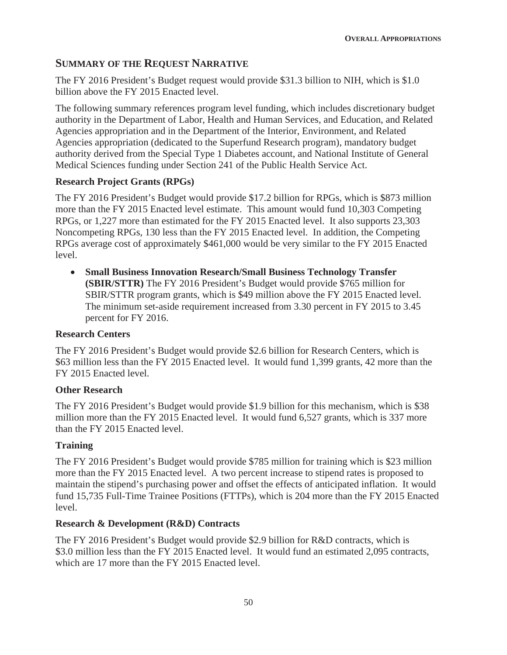# **SUMMARY OF THE REQUEST NARRATIVE**

The FY 2016 President's Budget request would provide \$31.3 billion to NIH, which is \$1.0 billion above the FY 2015 Enacted level.

The following summary references program level funding, which includes discretionary budget authority in the Department of Labor, Health and Human Services, and Education, and Related Agencies appropriation and in the Department of the Interior, Environment, and Related Agencies appropriation (dedicated to the Superfund Research program), mandatory budget authority derived from the Special Type 1 Diabetes account, and National Institute of General Medical Sciences funding under Section 241 of the Public Health Service Act.

## **Research Project Grants (RPGs)**

The FY 2016 President's Budget would provide \$17.2 billion for RPGs, which is \$873 million more than the FY 2015 Enacted level estimate. This amount would fund 10,303 Competing RPGs, or 1,227 more than estimated for the FY 2015 Enacted level. It also supports 23,303 Noncompeting RPGs, 130 less than the FY 2015 Enacted level. In addition, the Competing RPGs average cost of approximately \$461,000 would be very similar to the FY 2015 Enacted level.

x **Small Business Innovation Research/Small Business Technology Transfer (SBIR/STTR)** The FY 2016 President's Budget would provide \$765 million for SBIR/STTR program grants, which is \$49 million above the FY 2015 Enacted level. The minimum set-aside requirement increased from 3.30 percent in FY 2015 to 3.45 percent for FY 2016.

## **Research Centers**

The FY 2016 President's Budget would provide \$2.6 billion for Research Centers, which is \$63 million less than the FY 2015 Enacted level. It would fund 1,399 grants, 42 more than the FY 2015 Enacted level.

## **Other Research**

The FY 2016 President's Budget would provide \$1.9 billion for this mechanism, which is \$38 million more than the FY 2015 Enacted level. It would fund 6,527 grants, which is 337 more than the FY 2015 Enacted level.

## **Training**

The FY 2016 President's Budget would provide \$785 million for training which is \$23 million more than the FY 2015 Enacted level. A two percent increase to stipend rates is proposed to maintain the stipend's purchasing power and offset the effects of anticipated inflation. It would fund 15,735 Full-Time Trainee Positions (FTTPs), which is 204 more than the FY 2015 Enacted level.

#### **Research & Development (R&D) Contracts**

The FY 2016 President's Budget would provide \$2.9 billion for R&D contracts, which is \$3.0 million less than the FY 2015 Enacted level. It would fund an estimated 2,095 contracts, which are 17 more than the FY 2015 Enacted level.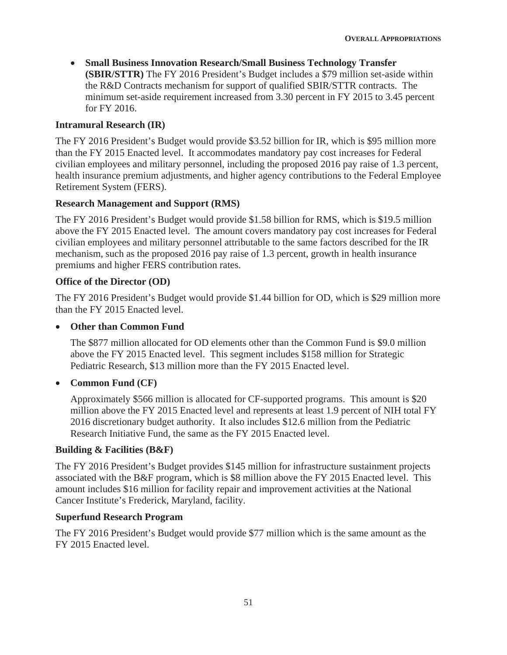x **Small Business Innovation Research/Small Business Technology Transfer (SBIR/STTR)** The FY 2016 President's Budget includes a \$79 million set-aside within the R&D Contracts mechanism for support of qualified SBIR/STTR contracts. The minimum set-aside requirement increased from 3.30 percent in FY 2015 to 3.45 percent for FY 2016.

#### **Intramural Research (IR)**

The FY 2016 President's Budget would provide \$3.52 billion for IR, which is \$95 million more than the FY 2015 Enacted level. It accommodates mandatory pay cost increases for Federal civilian employees and military personnel, including the proposed 2016 pay raise of 1.3 percent, health insurance premium adjustments, and higher agency contributions to the Federal Employee Retirement System (FERS).

#### **Research Management and Support (RMS)**

The FY 2016 President's Budget would provide \$1.58 billion for RMS, which is \$19.5 million above the FY 2015 Enacted level. The amount covers mandatory pay cost increases for Federal civilian employees and military personnel attributable to the same factors described for the IR mechanism, such as the proposed 2016 pay raise of 1.3 percent, growth in health insurance premiums and higher FERS contribution rates.

#### **Office of the Director (OD)**

The FY 2016 President's Budget would provide \$1.44 billion for OD, which is \$29 million more than the FY 2015 Enacted level.

#### **• Other than Common Fund**

The \$877 million allocated for OD elements other than the Common Fund is \$9.0 million above the FY 2015 Enacted level. This segment includes \$158 million for Strategic Pediatric Research, \$13 million more than the FY 2015 Enacted level.

#### x **Common Fund (CF)**

Approximately \$566 million is allocated for CF-supported programs. This amount is \$20 million above the FY 2015 Enacted level and represents at least 1.9 percent of NIH total FY 2016 discretionary budget authority. It also includes \$12.6 million from the Pediatric Research Initiative Fund, the same as the FY 2015 Enacted level.

#### **Building & Facilities (B&F)**

The FY 2016 President's Budget provides \$145 million for infrastructure sustainment projects associated with the B&F program, which is \$8 million above the FY 2015 Enacted level. This amount includes \$16 million for facility repair and improvement activities at the National Cancer Institute's Frederick, Maryland, facility.

#### **Superfund Research Program**

The FY 2016 President's Budget would provide \$77 million which is the same amount as the FY 2015 Enacted level.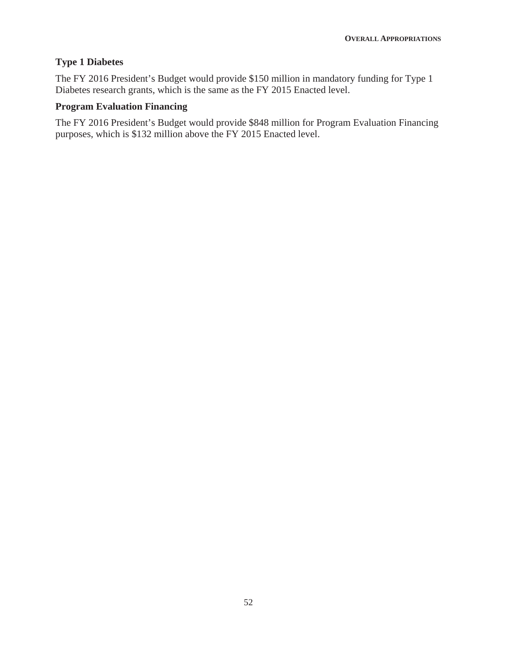# **Type 1 Diabetes**

The FY 2016 President's Budget would provide \$150 million in mandatory funding for Type 1 Diabetes research grants, which is the same as the FY 2015 Enacted level.

### **Program Evaluation Financing**

The FY 2016 President's Budget would provide \$848 million for Program Evaluation Financing purposes, which is \$132 million above the FY 2015 Enacted level.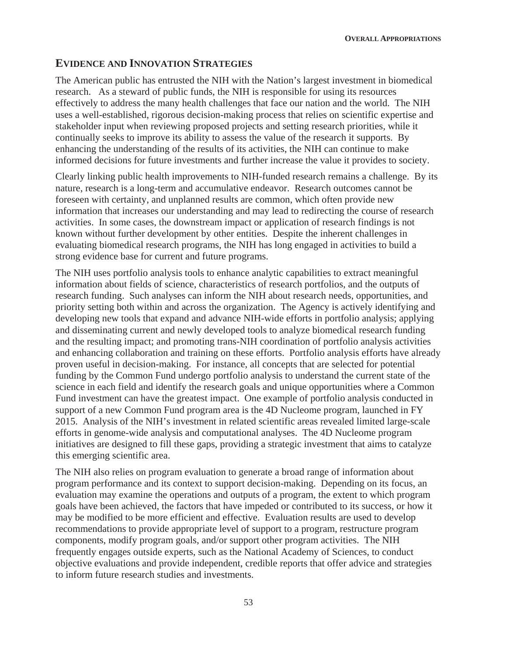### **EVIDENCE AND INNOVATION STRATEGIES**

The American public has entrusted the NIH with the Nation's largest investment in biomedical research. As a steward of public funds, the NIH is responsible for using its resources effectively to address the many health challenges that face our nation and the world. The NIH uses a well-established, rigorous decision-making process that relies on scientific expertise and stakeholder input when reviewing proposed projects and setting research priorities, while it continually seeks to improve its ability to assess the value of the research it supports. By enhancing the understanding of the results of its activities, the NIH can continue to make informed decisions for future investments and further increase the value it provides to society.

Clearly linking public health improvements to NIH-funded research remains a challenge. By its nature, research is a long-term and accumulative endeavor. Research outcomes cannot be foreseen with certainty, and unplanned results are common, which often provide new information that increases our understanding and may lead to redirecting the course of research activities. In some cases, the downstream impact or application of research findings is not known without further development by other entities. Despite the inherent challenges in evaluating biomedical research programs, the NIH has long engaged in activities to build a strong evidence base for current and future programs.

The NIH uses portfolio analysis tools to enhance analytic capabilities to extract meaningful information about fields of science, characteristics of research portfolios, and the outputs of research funding. Such analyses can inform the NIH about research needs, opportunities, and priority setting both within and across the organization. The Agency is actively identifying and developing new tools that expand and advance NIH-wide efforts in portfolio analysis; applying and disseminating current and newly developed tools to analyze biomedical research funding and the resulting impact; and promoting trans-NIH coordination of portfolio analysis activities and enhancing collaboration and training on these efforts. Portfolio analysis efforts have already proven useful in decision-making. For instance, all concepts that are selected for potential funding by the Common Fund undergo portfolio analysis to understand the current state of the science in each field and identify the research goals and unique opportunities where a Common Fund investment can have the greatest impact. One example of portfolio analysis conducted in support of a new Common Fund program area is the 4D Nucleome program, launched in FY 2015. Analysis of the NIH's investment in related scientific areas revealed limited large-scale efforts in genome-wide analysis and computational analyses. The 4D Nucleome program initiatives are designed to fill these gaps, providing a strategic investment that aims to catalyze this emerging scientific area.

The NIH also relies on program evaluation to generate a broad range of information about program performance and its context to support decision-making. Depending on its focus, an evaluation may examine the operations and outputs of a program, the extent to which program goals have been achieved, the factors that have impeded or contributed to its success, or how it may be modified to be more efficient and effective. Evaluation results are used to develop recommendations to provide appropriate level of support to a program, restructure program components, modify program goals, and/or support other program activities. The NIH frequently engages outside experts, such as the National Academy of Sciences, to conduct objective evaluations and provide independent, credible reports that offer advice and strategies to inform future research studies and investments.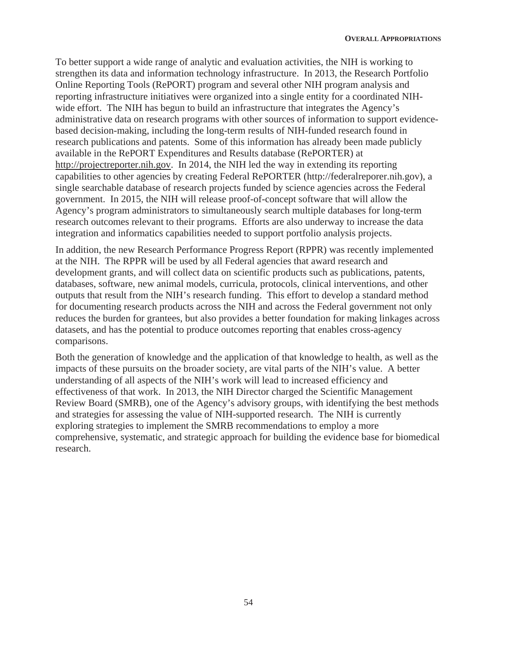To better support a wide range of analytic and evaluation activities, the NIH is working to strengthen its data and information technology infrastructure. In 2013, the Research Portfolio Online Reporting Tools (RePORT) program and several other NIH program analysis and reporting infrastructure initiatives were organized into a single entity for a coordinated NIHwide effort. The NIH has begun to build an infrastructure that integrates the Agency's administrative data on research programs with other sources of information to support evidencebased decision-making, including the long-term results of NIH-funded research found in research publications and patents. Some of this information has already been made publicly available in the RePORT Expenditures and Results database (RePORTER) at http://projectreporter.nih.gov. In 2014, the NIH led the way in extending its reporting capabilities to other agencies by creating Federal RePORTER (http://federalreporer.nih.gov), a single searchable database of research projects funded by science agencies across the Federal government. In 2015, the NIH will release proof-of-concept software that will allow the Agency's program administrators to simultaneously search multiple databases for long-term research outcomes relevant to their programs. Efforts are also underway to increase the data integration and informatics capabilities needed to support portfolio analysis projects.

In addition, the new Research Performance Progress Report (RPPR) was recently implemented at the NIH. The RPPR will be used by all Federal agencies that award research and development grants, and will collect data on scientific products such as publications, patents, databases, software, new animal models, curricula, protocols, clinical interventions, and other outputs that result from the NIH's research funding. This effort to develop a standard method for documenting research products across the NIH and across the Federal government not only reduces the burden for grantees, but also provides a better foundation for making linkages across datasets, and has the potential to produce outcomes reporting that enables cross-agency comparisons.

Both the generation of knowledge and the application of that knowledge to health, as well as the impacts of these pursuits on the broader society, are vital parts of the NIH's value. A better understanding of all aspects of the NIH's work will lead to increased efficiency and effectiveness of that work. In 2013, the NIH Director charged the Scientific Management Review Board (SMRB), one of the Agency's advisory groups, with identifying the best methods and strategies for assessing the value of NIH-supported research. The NIH is currently exploring strategies to implement the SMRB recommendations to employ a more comprehensive, systematic, and strategic approach for building the evidence base for biomedical research.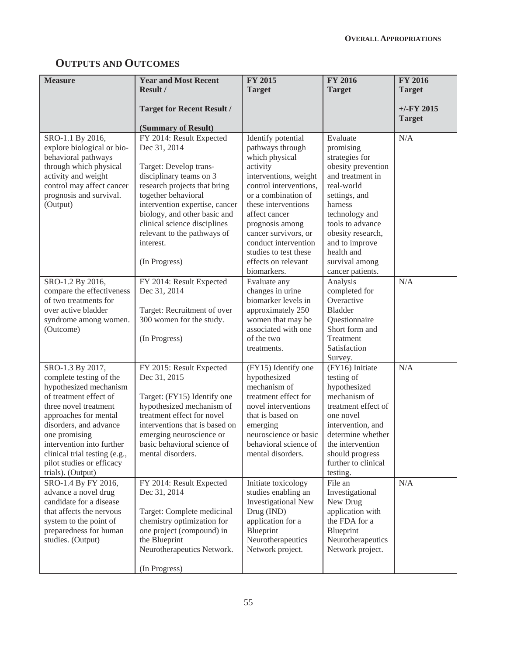# **OUTPUTS AND OUTCOMES**

| <b>Measure</b>                                                                                                                                                                                                                                                                                               | <b>Year and Most Recent</b><br>Result /                                                                                                                                                                                                                                                                             | <b>FY 2015</b><br><b>Target</b>                                                                                                                                                                                                                                                                                          | <b>FY 2016</b><br><b>Target</b>                                                                                                                                                                                                                              | FY 2016<br><b>Target</b>       |
|--------------------------------------------------------------------------------------------------------------------------------------------------------------------------------------------------------------------------------------------------------------------------------------------------------------|---------------------------------------------------------------------------------------------------------------------------------------------------------------------------------------------------------------------------------------------------------------------------------------------------------------------|--------------------------------------------------------------------------------------------------------------------------------------------------------------------------------------------------------------------------------------------------------------------------------------------------------------------------|--------------------------------------------------------------------------------------------------------------------------------------------------------------------------------------------------------------------------------------------------------------|--------------------------------|
|                                                                                                                                                                                                                                                                                                              | <b>Target for Recent Result /</b><br>(Summary of Result)                                                                                                                                                                                                                                                            |                                                                                                                                                                                                                                                                                                                          |                                                                                                                                                                                                                                                              | $+/-$ FY 2015<br><b>Target</b> |
| SRO-1.1 By 2016,<br>explore biological or bio-<br>behavioral pathways<br>through which physical<br>activity and weight<br>control may affect cancer<br>prognosis and survival.<br>(Output)                                                                                                                   | FY 2014: Result Expected<br>Dec 31, 2014<br>Target: Develop trans-<br>disciplinary teams on 3<br>research projects that bring<br>together behavioral<br>intervention expertise, cancer<br>biology, and other basic and<br>clinical science disciplines<br>relevant to the pathways of<br>interest.<br>(In Progress) | Identify potential<br>pathways through<br>which physical<br>activity<br>interventions, weight<br>control interventions,<br>or a combination of<br>these interventions<br>affect cancer<br>prognosis among<br>cancer survivors, or<br>conduct intervention<br>studies to test these<br>effects on relevant<br>biomarkers. | Evaluate<br>promising<br>strategies for<br>obesity prevention<br>and treatment in<br>real-world<br>settings, and<br>harness<br>technology and<br>tools to advance<br>obesity research,<br>and to improve<br>health and<br>survival among<br>cancer patients. | N/A                            |
| SRO-1.2 By 2016,<br>compare the effectiveness<br>of two treatments for<br>over active bladder<br>syndrome among women.<br>(Outcome)                                                                                                                                                                          | FY 2014: Result Expected<br>Dec 31, 2014<br>Target: Recruitment of over<br>300 women for the study.<br>(In Progress)                                                                                                                                                                                                | Evaluate any<br>changes in urine<br>biomarker levels in<br>approximately 250<br>women that may be<br>associated with one<br>of the two<br>treatments.                                                                                                                                                                    | Analysis<br>completed for<br>Overactive<br><b>Bladder</b><br>Questionnaire<br>Short form and<br>Treatment<br>Satisfaction<br>Survey.                                                                                                                         | N/A                            |
| SRO-1.3 By 2017,<br>complete testing of the<br>hypothesized mechanism<br>of treatment effect of<br>three novel treatment<br>approaches for mental<br>disorders, and advance<br>one promising<br>intervention into further<br>clinical trial testing (e.g.,<br>pilot studies or efficacy<br>trials). (Output) | FY 2015: Result Expected<br>Dec 31, 2015<br>Target: (FY15) Identify one<br>hypothesized mechanism of<br>treatment effect for novel<br>interventions that is based on<br>emerging neuroscience or<br>basic behavioral science of<br>mental disorders.                                                                | (FY15) Identify one<br>hypothesized<br>mechanism of<br>treatment effect for<br>novel interventions<br>that is based on<br>emerging<br>neuroscience or basic<br>behavioral science of<br>mental disorders.                                                                                                                | (FY16) Initiate<br>testing of<br>hypothesized<br>mechanism of<br>treatment effect of<br>one novel<br>intervention, and<br>determine whether<br>the intervention<br>should progress<br>further to clinical<br>testing.                                        | N/A                            |
| SRO-1.4 By FY 2016,<br>advance a novel drug<br>candidate for a disease<br>that affects the nervous<br>system to the point of<br>preparedness for human<br>studies. (Output)                                                                                                                                  | FY 2014: Result Expected<br>Dec 31, 2014<br>Target: Complete medicinal<br>chemistry optimization for<br>one project (compound) in<br>the Blueprint<br>Neurotherapeutics Network.<br>(In Progress)                                                                                                                   | Initiate toxicology<br>studies enabling an<br><b>Investigational New</b><br>Drug (IND)<br>application for a<br>Blueprint<br>Neurotherapeutics<br>Network project.                                                                                                                                                        | File an<br>Investigational<br>New Drug<br>application with<br>the FDA for a<br>Blueprint<br>Neurotherapeutics<br>Network project.                                                                                                                            | N/A                            |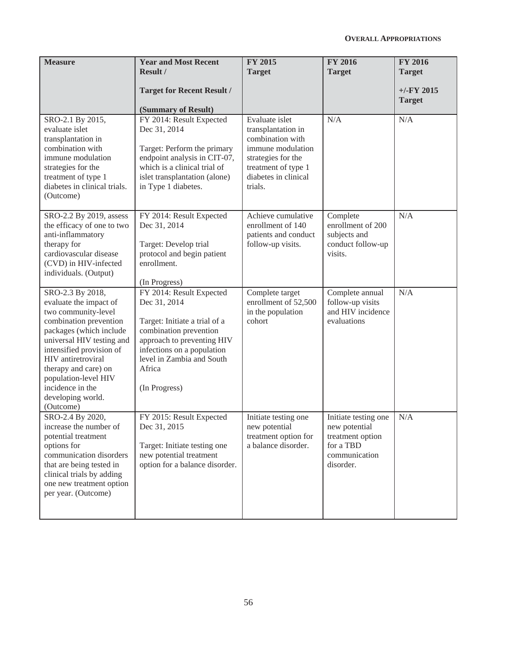| <b>Measure</b>                                                                                                                                                                                                                                                                                              | <b>Year and Most Recent</b><br>Result /<br><b>Target for Recent Result /</b>                                                                                                                                            | <b>FY 2015</b><br><b>Target</b>                                                                                                                               | <b>FY 2016</b><br><b>Target</b>                                                                      | <b>FY 2016</b><br><b>Target</b><br>$+/-$ FY 2015<br><b>Target</b> |
|-------------------------------------------------------------------------------------------------------------------------------------------------------------------------------------------------------------------------------------------------------------------------------------------------------------|-------------------------------------------------------------------------------------------------------------------------------------------------------------------------------------------------------------------------|---------------------------------------------------------------------------------------------------------------------------------------------------------------|------------------------------------------------------------------------------------------------------|-------------------------------------------------------------------|
| SRO-2.1 By 2015,<br>evaluate islet<br>transplantation in<br>combination with<br>immune modulation<br>strategies for the<br>treatment of type 1<br>diabetes in clinical trials.<br>(Outcome)                                                                                                                 | (Summary of Result)<br>FY 2014: Result Expected<br>Dec 31, 2014<br>Target: Perform the primary<br>endpoint analysis in CIT-07,<br>which is a clinical trial of<br>islet transplantation (alone)<br>in Type 1 diabetes.  | Evaluate islet<br>transplantation in<br>combination with<br>immune modulation<br>strategies for the<br>treatment of type 1<br>diabetes in clinical<br>trials. | N/A                                                                                                  | N/A                                                               |
| SRO-2.2 By 2019, assess<br>the efficacy of one to two<br>anti-inflammatory<br>therapy for<br>cardiovascular disease<br>(CVD) in HIV-infected<br>individuals. (Output)                                                                                                                                       | FY 2014: Result Expected<br>Dec 31, 2014<br>Target: Develop trial<br>protocol and begin patient<br>enrollment.<br>(In Progress)                                                                                         | Achieve cumulative<br>enrollment of 140<br>patients and conduct<br>follow-up visits.                                                                          | Complete<br>enrollment of 200<br>subjects and<br>conduct follow-up<br>visits.                        | N/A                                                               |
| SRO-2.3 By 2018,<br>evaluate the impact of<br>two community-level<br>combination prevention<br>packages (which include<br>universal HIV testing and<br>intensified provision of<br>HIV antiretroviral<br>therapy and care) on<br>population-level HIV<br>incidence in the<br>developing world.<br>(Outcome) | FY 2014: Result Expected<br>Dec 31, 2014<br>Target: Initiate a trial of a<br>combination prevention<br>approach to preventing HIV<br>infections on a population<br>level in Zambia and South<br>Africa<br>(In Progress) | Complete target<br>enrollment of 52,500<br>in the population<br>cohort                                                                                        | Complete annual<br>follow-up visits<br>and HIV incidence<br>evaluations                              | N/A                                                               |
| SRO-2.4 By 2020,<br>increase the number of<br>potential treatment<br>options for<br>communication disorders<br>that are being tested in<br>clinical trials by adding<br>one new treatment option<br>per year. (Outcome)                                                                                     | FY 2015: Result Expected<br>Dec 31, 2015<br>Target: Initiate testing one<br>new potential treatment<br>option for a balance disorder.                                                                                   | Initiate testing one<br>new potential<br>treatment option for<br>a balance disorder.                                                                          | Initiate testing one<br>new potential<br>treatment option<br>for a TBD<br>communication<br>disorder. | N/A                                                               |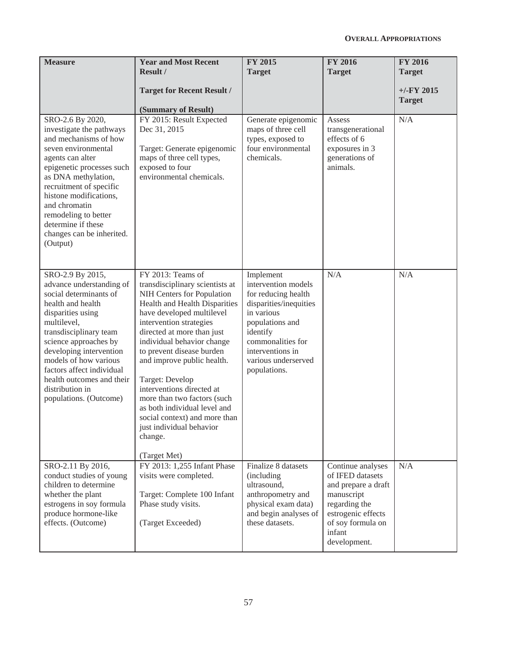| <b>Measure</b>                                                                                                                                                                                                                                                                                                                                | <b>Year and Most Recent</b><br>Result /<br><b>Target for Recent Result /</b><br>(Summary of Result)                                                                                                                                                                                                                                                                                                                                                                                                       | <b>FY 2015</b><br><b>Target</b>                                                                                                                                                                                | <b>FY 2016</b><br><b>Target</b>                                                                                                                                  | <b>FY 2016</b><br><b>Target</b><br>$+/-$ FY 2015<br><b>Target</b> |
|-----------------------------------------------------------------------------------------------------------------------------------------------------------------------------------------------------------------------------------------------------------------------------------------------------------------------------------------------|-----------------------------------------------------------------------------------------------------------------------------------------------------------------------------------------------------------------------------------------------------------------------------------------------------------------------------------------------------------------------------------------------------------------------------------------------------------------------------------------------------------|----------------------------------------------------------------------------------------------------------------------------------------------------------------------------------------------------------------|------------------------------------------------------------------------------------------------------------------------------------------------------------------|-------------------------------------------------------------------|
| SRO-2.6 By 2020,<br>investigate the pathways<br>and mechanisms of how<br>seven environmental<br>agents can alter<br>epigenetic processes such<br>as DNA methylation,<br>recruitment of specific<br>histone modifications,<br>and chromatin<br>remodeling to better<br>determine if these<br>changes can be inherited.<br>(Output)             | FY 2015: Result Expected<br>Dec 31, 2015<br>Target: Generate epigenomic<br>maps of three cell types,<br>exposed to four<br>environmental chemicals.                                                                                                                                                                                                                                                                                                                                                       | Generate epigenomic<br>maps of three cell<br>types, exposed to<br>four environmental<br>chemicals.                                                                                                             | Assess<br>transgenerational<br>effects of 6<br>exposures in 3<br>generations of<br>animals.                                                                      | N/A                                                               |
| SRO-2.9 By 2015,<br>advance understanding of<br>social determinants of<br>health and health<br>disparities using<br>multilevel,<br>transdisciplinary team<br>science approaches by<br>developing intervention<br>models of how various<br>factors affect individual<br>health outcomes and their<br>distribution in<br>populations. (Outcome) | FY 2013: Teams of<br>transdisciplinary scientists at<br>NIH Centers for Population<br>Health and Health Disparities<br>have developed multilevel<br>intervention strategies<br>directed at more than just<br>individual behavior change<br>to prevent disease burden<br>and improve public health.<br>Target: Develop<br>interventions directed at<br>more than two factors (such<br>as both individual level and<br>social context) and more than<br>just individual behavior<br>change.<br>(Target Met) | Implement<br>intervention models<br>for reducing health<br>disparities/inequities<br>in various<br>populations and<br>identify<br>commonalities for<br>interventions in<br>various underserved<br>populations. | N/A                                                                                                                                                              | N/A                                                               |
| SRO-2.11 By 2016,<br>conduct studies of young<br>children to determine<br>whether the plant<br>estrogens in soy formula<br>produce hormone-like<br>effects. (Outcome)                                                                                                                                                                         | FY 2013: 1,255 Infant Phase<br>visits were completed.<br>Target: Complete 100 Infant<br>Phase study visits.<br>(Target Exceeded)                                                                                                                                                                                                                                                                                                                                                                          | Finalize 8 datasets<br>(including)<br>ultrasound,<br>anthropometry and<br>physical exam data)<br>and begin analyses of<br>these datasets.                                                                      | Continue analyses<br>of IFED datasets<br>and prepare a draft<br>manuscript<br>regarding the<br>estrogenic effects<br>of soy formula on<br>infant<br>development. | N/A                                                               |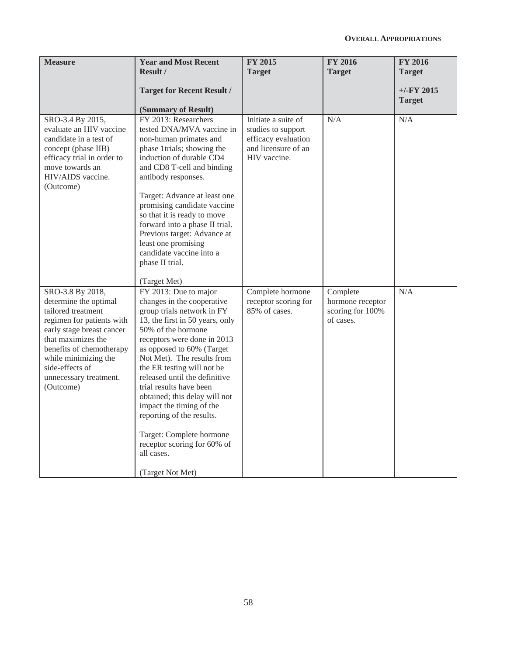| <b>Measure</b>                                                                                                                                                                                                                                                | <b>Year and Most Recent</b><br>Result /<br><b>Target for Recent Result /</b><br>(Summary of Result)                                                                                                                                                                                                                                                                                                                                                                                                                   | <b>FY 2015</b><br><b>Target</b>                                                                         | <b>FY 2016</b><br><b>Target</b>                               | <b>FY 2016</b><br><b>Target</b><br>$+/-$ FY 2015<br><b>Target</b> |
|---------------------------------------------------------------------------------------------------------------------------------------------------------------------------------------------------------------------------------------------------------------|-----------------------------------------------------------------------------------------------------------------------------------------------------------------------------------------------------------------------------------------------------------------------------------------------------------------------------------------------------------------------------------------------------------------------------------------------------------------------------------------------------------------------|---------------------------------------------------------------------------------------------------------|---------------------------------------------------------------|-------------------------------------------------------------------|
| SRO-3.4 By 2015,<br>evaluate an HIV vaccine<br>candidate in a test of<br>concept (phase IIB)<br>efficacy trial in order to<br>move towards an<br>HIV/AIDS vaccine.<br>(Outcome)                                                                               | FY 2013: Researchers<br>tested DNA/MVA vaccine in<br>non-human primates and<br>phase 1trials; showing the<br>induction of durable CD4<br>and CD8 T-cell and binding<br>antibody responses.<br>Target: Advance at least one<br>promising candidate vaccine<br>so that it is ready to move<br>forward into a phase II trial.<br>Previous target: Advance at<br>least one promising<br>candidate vaccine into a<br>phase II trial.<br>(Target Met)                                                                       | Initiate a suite of<br>studies to support<br>efficacy evaluation<br>and licensure of an<br>HIV vaccine. | N/A                                                           | N/A                                                               |
| SRO-3.8 By 2018,<br>determine the optimal<br>tailored treatment<br>regimen for patients with<br>early stage breast cancer<br>that maximizes the<br>benefits of chemotherapy<br>while minimizing the<br>side-effects of<br>unnecessary treatment.<br>(Outcome) | FY 2013: Due to major<br>changes in the cooperative<br>group trials network in FY<br>13, the first in 50 years, only<br>50% of the hormone<br>receptors were done in 2013<br>as opposed to 60% (Target<br>Not Met). The results from<br>the ER testing will not be<br>released until the definitive<br>trial results have been<br>obtained; this delay will not<br>impact the timing of the<br>reporting of the results.<br>Target: Complete hormone<br>receptor scoring for 60% of<br>all cases.<br>(Target Not Met) | Complete hormone<br>receptor scoring for<br>85% of cases.                                               | Complete<br>hormone receptor<br>scoring for 100%<br>of cases. | N/A                                                               |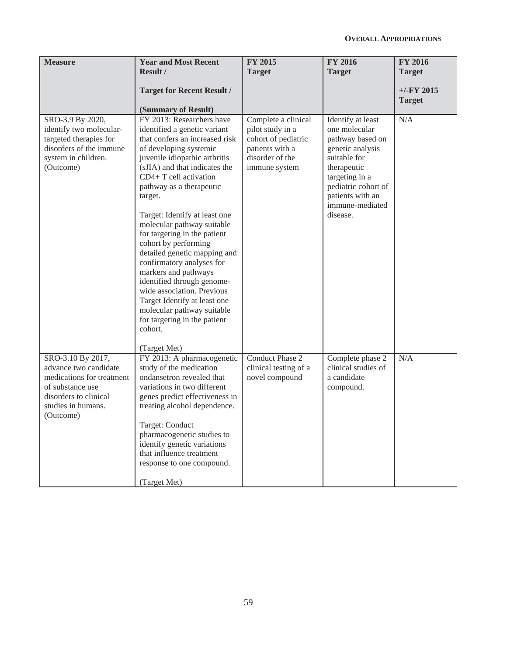| <b>Measure</b>                                                                                                                                          | <b>Year and Most Recent</b><br>Result /                                                                                                                                                                                                                                                                                                                                                                                                                                                                                                                                                                                                                   | <b>FY 2015</b><br><b>Target</b>                                                                                       | <b>FY 2016</b><br><b>Target</b>                                                                                                                                                                       | <b>FY 2016</b><br><b>Target</b> |
|---------------------------------------------------------------------------------------------------------------------------------------------------------|-----------------------------------------------------------------------------------------------------------------------------------------------------------------------------------------------------------------------------------------------------------------------------------------------------------------------------------------------------------------------------------------------------------------------------------------------------------------------------------------------------------------------------------------------------------------------------------------------------------------------------------------------------------|-----------------------------------------------------------------------------------------------------------------------|-------------------------------------------------------------------------------------------------------------------------------------------------------------------------------------------------------|---------------------------------|
|                                                                                                                                                         | <b>Target for Recent Result /</b><br>(Summary of Result)                                                                                                                                                                                                                                                                                                                                                                                                                                                                                                                                                                                                  |                                                                                                                       |                                                                                                                                                                                                       | $+/-FY$ 2015<br><b>Target</b>   |
| SRO-3.9 By 2020,<br>identify two molecular-<br>targeted therapies for<br>disorders of the immune<br>system in children.<br>(Outcome)                    | FY 2013: Researchers have<br>identified a genetic variant<br>that confers an increased risk<br>of developing systemic<br>juvenile idiopathic arthritis<br>(sJIA) and that indicates the<br>CD4+ T cell activation<br>pathway as a therapeutic<br>target.<br>Target: Identify at least one<br>molecular pathway suitable<br>for targeting in the patient<br>cohort by performing<br>detailed genetic mapping and<br>confirmatory analyses for<br>markers and pathways<br>identified through genome-<br>wide association. Previous<br>Target Identify at least one<br>molecular pathway suitable<br>for targeting in the patient<br>cohort.<br>(Target Met) | Complete a clinical<br>pilot study in a<br>cohort of pediatric<br>patients with a<br>disorder of the<br>immune system | Identify at least<br>one molecular<br>pathway based on<br>genetic analysis<br>suitable for<br>therapeutic<br>targeting in a<br>pediatric cohort of<br>patients with an<br>immune-mediated<br>disease. | N/A                             |
| SRO-3.10 By 2017,<br>advance two candidate<br>medications for treatment<br>of substance use<br>disorders to clinical<br>studies in humans.<br>(Outcome) | FY 2013: A pharmacogenetic<br>study of the medication<br>ondansetron revealed that<br>variations in two different<br>genes predict effectiveness in<br>treating alcohol dependence.<br>Target: Conduct<br>pharmacogenetic studies to<br>identify genetic variations<br>that influence treatment<br>response to one compound.<br>(Target Met)                                                                                                                                                                                                                                                                                                              | Conduct Phase 2<br>clinical testing of a<br>novel compound                                                            | Complete phase 2<br>clinical studies of<br>a candidate<br>compound.                                                                                                                                   | N/A                             |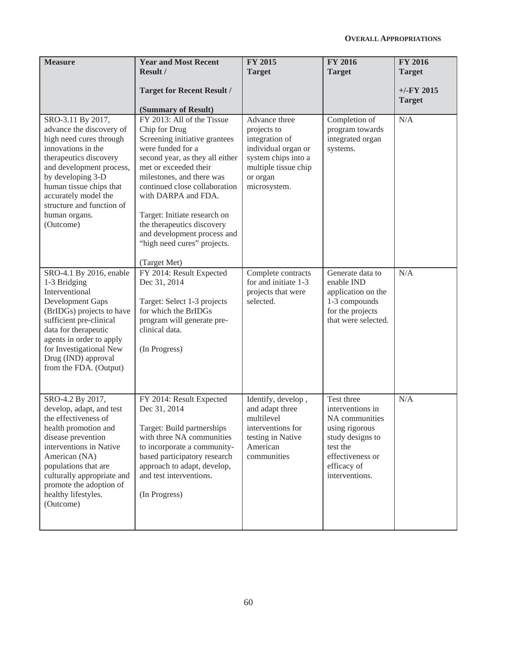| <b>Measure</b>                                                                                                                                                                                                                                                                          | <b>Year and Most Recent</b><br>Result /<br><b>Target for Recent Result /</b>                                                                                                                                                                                                                                                                                                                                          | <b>FY 2015</b><br><b>Target</b>                                                                                                                  | <b>FY 2016</b><br><b>Target</b>                                                                                                                         | <b>FY 2016</b><br><b>Target</b><br>$+/-$ FY 2015<br><b>Target</b> |
|-----------------------------------------------------------------------------------------------------------------------------------------------------------------------------------------------------------------------------------------------------------------------------------------|-----------------------------------------------------------------------------------------------------------------------------------------------------------------------------------------------------------------------------------------------------------------------------------------------------------------------------------------------------------------------------------------------------------------------|--------------------------------------------------------------------------------------------------------------------------------------------------|---------------------------------------------------------------------------------------------------------------------------------------------------------|-------------------------------------------------------------------|
| SRO-3.11 By 2017,<br>advance the discovery of<br>high need cures through<br>innovations in the<br>therapeutics discovery<br>and development process,<br>by developing 3-D<br>human tissue chips that<br>accurately model the<br>structure and function of<br>human organs.<br>(Outcome) | (Summary of Result)<br>FY 2013: All of the Tissue<br>Chip for Drug<br>Screening initiative grantees<br>were funded for a<br>second year, as they all either<br>met or exceeded their<br>milestones, and there was<br>continued close collaboration<br>with DARPA and FDA.<br>Target: Initiate research on<br>the therapeutics discovery<br>and development process and<br>"high need cures" projects.<br>(Target Met) | Advance three<br>projects to<br>integration of<br>individual organ or<br>system chips into a<br>multiple tissue chip<br>or organ<br>microsystem. | Completion of<br>program towards<br>integrated organ<br>systems.                                                                                        | N/A                                                               |
| SRO-4.1 By 2016, enable<br>1-3 Bridging<br>Interventional<br>Development Gaps<br>(BrIDGs) projects to have<br>sufficient pre-clinical<br>data for therapeutic<br>agents in order to apply<br>for Investigational New<br>Drug (IND) approval<br>from the FDA. (Output)                   | FY 2014: Result Expected<br>Dec 31, 2014<br>Target: Select 1-3 projects<br>for which the BrIDGs<br>program will generate pre-<br>clinical data.<br>(In Progress)                                                                                                                                                                                                                                                      | Complete contracts<br>for and initiate 1-3<br>projects that were<br>selected.                                                                    | Generate data to<br>enable IND<br>application on the<br>1-3 compounds<br>for the projects<br>that were selected.                                        | N/A                                                               |
| SRO-4.2 By 2017,<br>develop, adapt, and test<br>the effectiveness of<br>health promotion and<br>disease prevention<br>interventions in Native<br>American (NA)<br>populations that are<br>culturally appropriate and<br>promote the adoption of<br>healthy lifestyles.<br>(Outcome)     | FY 2014: Result Expected<br>Dec 31, 2014<br>Target: Build partnerships<br>with three NA communities<br>to incorporate a community-<br>based participatory research<br>approach to adapt, develop,<br>and test interventions.<br>(In Progress)                                                                                                                                                                         | Identify, develop,<br>and adapt three<br>multilevel<br>interventions for<br>testing in Native<br>American<br>communities                         | Test three<br>interventions in<br>NA communities<br>using rigorous<br>study designs to<br>test the<br>effectiveness or<br>efficacy of<br>interventions. | N/A                                                               |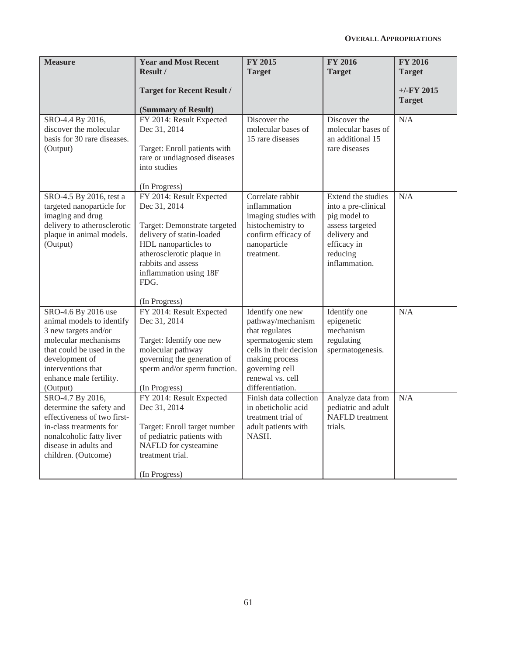| <b>Measure</b>                                                                                                                                                                                               | <b>Year and Most Recent</b><br><b>Result /</b>                                                                                                                                                                                      | <b>FY 2015</b><br><b>Target</b>                                                                                                                                                      | <b>FY 2016</b><br><b>Target</b>                                                                                                          | <b>FY 2016</b><br><b>Target</b> |
|--------------------------------------------------------------------------------------------------------------------------------------------------------------------------------------------------------------|-------------------------------------------------------------------------------------------------------------------------------------------------------------------------------------------------------------------------------------|--------------------------------------------------------------------------------------------------------------------------------------------------------------------------------------|------------------------------------------------------------------------------------------------------------------------------------------|---------------------------------|
|                                                                                                                                                                                                              | <b>Target for Recent Result /</b><br>(Summary of Result)                                                                                                                                                                            |                                                                                                                                                                                      |                                                                                                                                          | $+/-$ FY 2015<br><b>Target</b>  |
| SRO-4.4 By 2016,<br>discover the molecular<br>basis for 30 rare diseases.<br>(Output)                                                                                                                        | FY 2014: Result Expected<br>Dec 31, 2014<br>Target: Enroll patients with<br>rare or undiagnosed diseases<br>into studies<br>(In Progress)                                                                                           | Discover the<br>molecular bases of<br>15 rare diseases                                                                                                                               | Discover the<br>molecular bases of<br>an additional 15<br>rare diseases                                                                  | N/A                             |
| SRO-4.5 By 2016, test a<br>targeted nanoparticle for<br>imaging and drug<br>delivery to atherosclerotic<br>plaque in animal models.<br>(Output)                                                              | FY 2014: Result Expected<br>Dec 31, 2014<br>Target: Demonstrate targeted<br>delivery of statin-loaded<br>HDL nanoparticles to<br>atherosclerotic plaque in<br>rabbits and assess<br>inflammation using 18F<br>FDG.<br>(In Progress) | Correlate rabbit<br>inflammation<br>imaging studies with<br>histochemistry to<br>confirm efficacy of<br>nanoparticle<br>treatment.                                                   | Extend the studies<br>into a pre-clinical<br>pig model to<br>assess targeted<br>delivery and<br>efficacy in<br>reducing<br>inflammation. | N/A                             |
| SRO-4.6 By 2016 use<br>animal models to identify<br>3 new targets and/or<br>molecular mechanisms<br>that could be used in the<br>development of<br>interventions that<br>enhance male fertility.<br>(Output) | FY 2014: Result Expected<br>Dec 31, 2014<br>Target: Identify one new<br>molecular pathway<br>governing the generation of<br>sperm and/or sperm function.<br>(In Progress)                                                           | Identify one new<br>pathway/mechanism<br>that regulates<br>spermatogenic stem<br>cells in their decision<br>making process<br>governing cell<br>renewal vs. cell<br>differentiation. | Identify one<br>epigenetic<br>mechanism<br>regulating<br>spermatogenesis.                                                                | N/A                             |
| SRO-4.7 By 2016,<br>determine the safety and<br>effectiveness of two first-<br>in-class treatments for<br>nonalcoholic fatty liver<br>disease in adults and<br>children. (Outcome)                           | FY 2014: Result Expected<br>Dec 31, 2014<br>Target: Enroll target number<br>of pediatric patients with<br>NAFLD for cysteamine<br>treatment trial.<br>(In Progress)                                                                 | Finish data collection<br>in obeticholic acid<br>treatment trial of<br>adult patients with<br>NASH.                                                                                  | Analyze data from<br>pediatric and adult<br><b>NAFLD</b> treatment<br>trials.                                                            | N/A                             |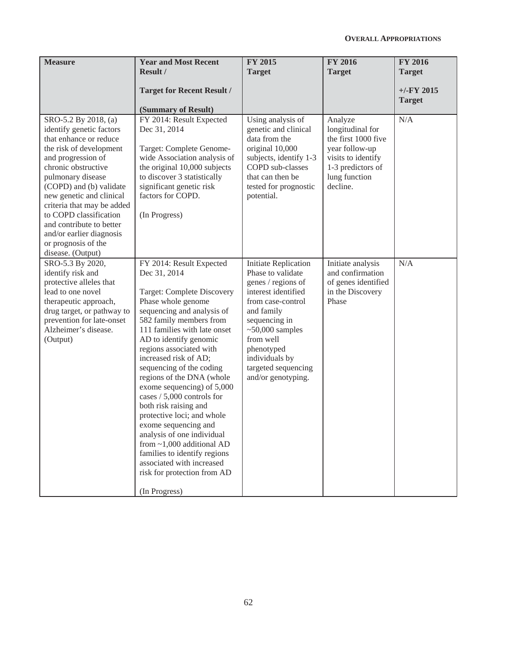| <b>Measure</b>                                                                                                                                                                                                                                                                                                                                                                             | <b>Year and Most Recent</b><br>Result /                                                                                                                                                                                                                                                                                                                                                                                                                                                                                                                                                                                                                      | <b>FY 2015</b><br><b>Target</b>                                                                                                                                                                                                                           | <b>FY 2016</b><br><b>Target</b>                                                                                                              | <b>FY 2016</b><br><b>Target</b> |
|--------------------------------------------------------------------------------------------------------------------------------------------------------------------------------------------------------------------------------------------------------------------------------------------------------------------------------------------------------------------------------------------|--------------------------------------------------------------------------------------------------------------------------------------------------------------------------------------------------------------------------------------------------------------------------------------------------------------------------------------------------------------------------------------------------------------------------------------------------------------------------------------------------------------------------------------------------------------------------------------------------------------------------------------------------------------|-----------------------------------------------------------------------------------------------------------------------------------------------------------------------------------------------------------------------------------------------------------|----------------------------------------------------------------------------------------------------------------------------------------------|---------------------------------|
|                                                                                                                                                                                                                                                                                                                                                                                            | <b>Target for Recent Result /</b><br>(Summary of Result)                                                                                                                                                                                                                                                                                                                                                                                                                                                                                                                                                                                                     |                                                                                                                                                                                                                                                           |                                                                                                                                              | $+/-FY$ 2015<br><b>Target</b>   |
| SRO-5.2 By 2018, (a)<br>identify genetic factors<br>that enhance or reduce<br>the risk of development<br>and progression of<br>chronic obstructive<br>pulmonary disease<br>(COPD) and (b) validate<br>new genetic and clinical<br>criteria that may be added<br>to COPD classification<br>and contribute to better<br>and/or earlier diagnosis<br>or prognosis of the<br>disease. (Output) | FY 2014: Result Expected<br>Dec 31, 2014<br>Target: Complete Genome-<br>wide Association analysis of<br>the original 10,000 subjects<br>to discover 3 statistically<br>significant genetic risk<br>factors for COPD.<br>(In Progress)                                                                                                                                                                                                                                                                                                                                                                                                                        | Using analysis of<br>genetic and clinical<br>data from the<br>original 10,000<br>subjects, identify 1-3<br>COPD sub-classes<br>that can then be<br>tested for prognostic<br>potential.                                                                    | Analyze<br>longitudinal for<br>the first 1000 five<br>year follow-up<br>visits to identify<br>1-3 predictors of<br>lung function<br>decline. | N/A                             |
| SRO-5.3 By 2020,<br>identify risk and<br>protective alleles that<br>lead to one novel<br>therapeutic approach,<br>drug target, or pathway to<br>prevention for late-onset<br>Alzheimer's disease.<br>(Output)                                                                                                                                                                              | FY 2014: Result Expected<br>Dec 31, 2014<br><b>Target: Complete Discovery</b><br>Phase whole genome<br>sequencing and analysis of<br>582 family members from<br>111 families with late onset<br>AD to identify genomic<br>regions associated with<br>increased risk of AD;<br>sequencing of the coding<br>regions of the DNA (whole<br>exome sequencing) of 5,000<br>cases / 5,000 controls for<br>both risk raising and<br>protective loci; and whole<br>exome sequencing and<br>analysis of one individual<br>from $\sim$ 1,000 additional AD<br>families to identify regions<br>associated with increased<br>risk for protection from AD<br>(In Progress) | Initiate Replication<br>Phase to validate<br>genes / regions of<br>interest identified<br>from case-control<br>and family<br>sequencing in<br>$~50,000$ samples<br>from well<br>phenotyped<br>individuals by<br>targeted sequencing<br>and/or genotyping. | Initiate analysis<br>and confirmation<br>of genes identified<br>in the Discovery<br>Phase                                                    | N/A                             |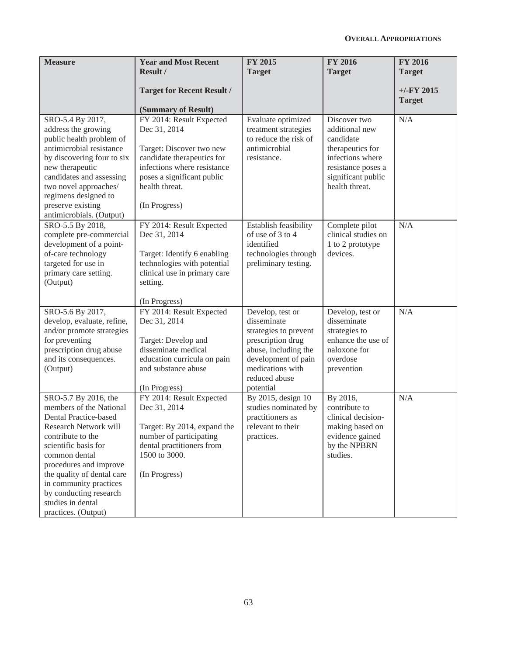| <b>Measure</b>                                                                                                                                                                                                                                                                                                          | <b>Year and Most Recent</b><br><b>Result /</b>                                                                                                                                                     | <b>FY 2015</b><br><b>Target</b>                                                                                                                                                | <b>FY 2016</b><br><b>Target</b>                                                                                                                   | <b>FY 2016</b><br><b>Target</b> |
|-------------------------------------------------------------------------------------------------------------------------------------------------------------------------------------------------------------------------------------------------------------------------------------------------------------------------|----------------------------------------------------------------------------------------------------------------------------------------------------------------------------------------------------|--------------------------------------------------------------------------------------------------------------------------------------------------------------------------------|---------------------------------------------------------------------------------------------------------------------------------------------------|---------------------------------|
|                                                                                                                                                                                                                                                                                                                         | <b>Target for Recent Result /</b><br>(Summary of Result)                                                                                                                                           |                                                                                                                                                                                |                                                                                                                                                   | $+/-$ FY 2015<br><b>Target</b>  |
| SRO-5.4 By 2017,<br>address the growing<br>public health problem of<br>antimicrobial resistance<br>by discovering four to six<br>new therapeutic<br>candidates and assessing<br>two novel approaches/<br>regimens designed to<br>preserve existing<br>antimicrobials. (Output)                                          | FY 2014: Result Expected<br>Dec 31, 2014<br>Target: Discover two new<br>candidate therapeutics for<br>infections where resistance<br>poses a significant public<br>health threat.<br>(In Progress) | Evaluate optimized<br>treatment strategies<br>to reduce the risk of<br>antimicrobial<br>resistance.                                                                            | Discover two<br>additional new<br>candidate<br>therapeutics for<br>infections where<br>resistance poses a<br>significant public<br>health threat. | N/A                             |
| SRO-5.5 By 2018,<br>complete pre-commercial<br>development of a point-<br>of-care technology<br>targeted for use in<br>primary care setting.<br>(Output)                                                                                                                                                                | FY 2014: Result Expected<br>Dec 31, 2014<br>Target: Identify 6 enabling<br>technologies with potential<br>clinical use in primary care<br>setting.<br>(In Progress)                                | Establish feasibility<br>of use of 3 to 4<br>identified<br>technologies through<br>preliminary testing.                                                                        | Complete pilot<br>clinical studies on<br>1 to 2 prototype<br>devices.                                                                             | N/A                             |
| SRO-5.6 By 2017,<br>develop, evaluate, refine,<br>and/or promote strategies<br>for preventing<br>prescription drug abuse<br>and its consequences.<br>(Output)                                                                                                                                                           | FY 2014: Result Expected<br>Dec 31, 2014<br>Target: Develop and<br>disseminate medical<br>education curricula on pain<br>and substance abuse<br>(In Progress)                                      | Develop, test or<br>disseminate<br>strategies to prevent<br>prescription drug<br>abuse, including the<br>development of pain<br>medications with<br>reduced abuse<br>potential | Develop, test or<br>disseminate<br>strategies to<br>enhance the use of<br>naloxone for<br>overdose<br>prevention                                  | N/A                             |
| SRO-5.7 By 2016, the<br>members of the National<br>Dental Practice-based<br>Research Network will<br>contribute to the<br>scientific basis for<br>common dental<br>procedures and improve<br>the quality of dental care<br>in community practices<br>by conducting research<br>studies in dental<br>practices. (Output) | FY 2014: Result Expected<br>Dec 31, 2014<br>Target: By 2014, expand the<br>number of participating<br>dental practitioners from<br>1500 to 3000.<br>(In Progress)                                  | By 2015, design 10<br>studies nominated by<br>practitioners as<br>relevant to their<br>practices.                                                                              | By 2016,<br>contribute to<br>clinical decision-<br>making based on<br>evidence gained<br>by the NPBRN<br>studies.                                 | N/A                             |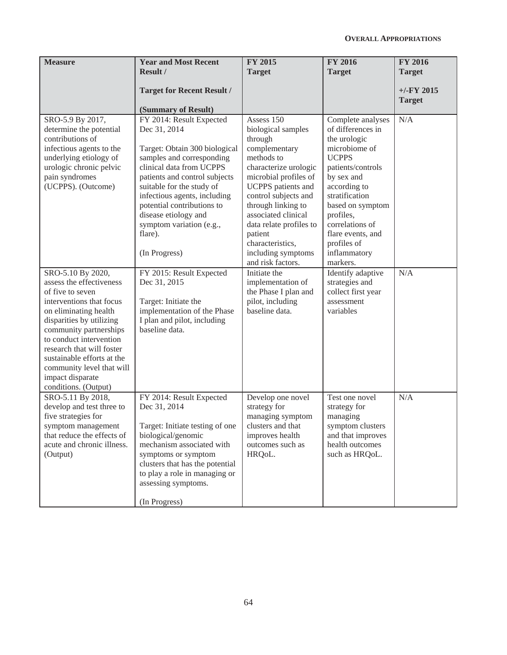| <b>Measure</b>                                                                                                                                                                                                                                                                             | <b>Year and Most Recent</b><br>Result /                                                                                                                                                                                                                                                                                                                                                    | <b>FY 2015</b><br><b>Target</b>                                                                                                                                                                                                                                                                                                                                   | <b>FY 2016</b><br><b>Target</b>                                                                                                                                                                                                                                                                                         | <b>FY 2016</b><br><b>Target</b> |
|--------------------------------------------------------------------------------------------------------------------------------------------------------------------------------------------------------------------------------------------------------------------------------------------|--------------------------------------------------------------------------------------------------------------------------------------------------------------------------------------------------------------------------------------------------------------------------------------------------------------------------------------------------------------------------------------------|-------------------------------------------------------------------------------------------------------------------------------------------------------------------------------------------------------------------------------------------------------------------------------------------------------------------------------------------------------------------|-------------------------------------------------------------------------------------------------------------------------------------------------------------------------------------------------------------------------------------------------------------------------------------------------------------------------|---------------------------------|
|                                                                                                                                                                                                                                                                                            | <b>Target for Recent Result /</b><br>(Summary of Result)                                                                                                                                                                                                                                                                                                                                   |                                                                                                                                                                                                                                                                                                                                                                   |                                                                                                                                                                                                                                                                                                                         | $+/-$ FY 2015<br><b>Target</b>  |
| SRO-5.9 By 2017,<br>determine the potential<br>contributions of<br>infectious agents to the<br>underlying etiology of<br>urologic chronic pelvic<br>pain syndromes<br>(UCPPS). (Outcome)<br>SRO-5.10 By 2020,<br>assess the effectiveness                                                  | FY 2014: Result Expected<br>Dec 31, 2014<br>Target: Obtain 300 biological<br>samples and corresponding<br>clinical data from UCPPS<br>patients and control subjects<br>suitable for the study of<br>infectious agents, including<br>potential contributions to<br>disease etiology and<br>symptom variation (e.g.,<br>flare).<br>(In Progress)<br>FY 2015: Result Expected<br>Dec 31, 2015 | Assess 150<br>biological samples<br>through<br>complementary<br>methods to<br>characterize urologic<br>microbial profiles of<br>UCPPS patients and<br>control subjects and<br>through linking to<br>associated clinical<br>data relate profiles to<br>patient<br>characteristics,<br>including symptoms<br>and risk factors.<br>Initiate the<br>implementation of | Complete analyses<br>of differences in<br>the urologic<br>microbiome of<br><b>UCPPS</b><br>patients/controls<br>by sex and<br>according to<br>stratification<br>based on symptom<br>profiles,<br>correlations of<br>flare events, and<br>profiles of<br>inflammatory<br>markers.<br>Identify adaptive<br>strategies and | N/A<br>N/A                      |
| of five to seven<br>interventions that focus<br>on eliminating health<br>disparities by utilizing<br>community partnerships<br>to conduct intervention<br>research that will foster<br>sustainable efforts at the<br>community level that will<br>impact disparate<br>conditions. (Output) | Target: Initiate the<br>implementation of the Phase<br>I plan and pilot, including<br>baseline data.                                                                                                                                                                                                                                                                                       | the Phase I plan and<br>pilot, including<br>baseline data.                                                                                                                                                                                                                                                                                                        | collect first year<br>assessment<br>variables                                                                                                                                                                                                                                                                           |                                 |
| SRO-5.11 By 2018,<br>develop and test three to<br>five strategies for<br>symptom management<br>that reduce the effects of<br>acute and chronic illness.<br>(Output)                                                                                                                        | FY 2014: Result Expected<br>Dec 31, 2014<br>Target: Initiate testing of one<br>biological/genomic<br>mechanism associated with<br>symptoms or symptom<br>clusters that has the potential<br>to play a role in managing or<br>assessing symptoms.<br>(In Progress)                                                                                                                          | Develop one novel<br>strategy for<br>managing symptom<br>clusters and that<br>improves health<br>outcomes such as<br>HRQoL.                                                                                                                                                                                                                                       | Test one novel<br>strategy for<br>managing<br>symptom clusters<br>and that improves<br>health outcomes<br>such as HRQoL.                                                                                                                                                                                                | N/A                             |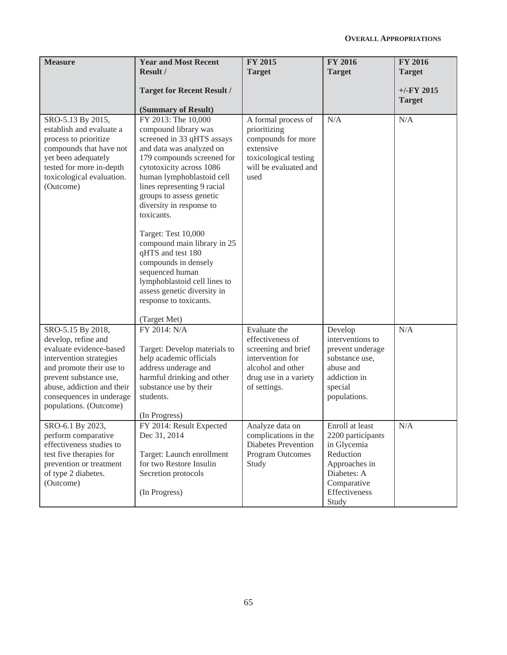| <b>Measure</b>                                                                                                                                                                                                                           | <b>Year and Most Recent</b><br><b>Result /</b>                                                                                                                                                                                                                                                                                                                                                                                                                                                                                   | <b>FY 2015</b><br><b>Target</b>                                                                                                           | <b>FY 2016</b><br><b>Target</b>                                                                                                           | <b>FY 2016</b><br><b>Target</b> |
|------------------------------------------------------------------------------------------------------------------------------------------------------------------------------------------------------------------------------------------|----------------------------------------------------------------------------------------------------------------------------------------------------------------------------------------------------------------------------------------------------------------------------------------------------------------------------------------------------------------------------------------------------------------------------------------------------------------------------------------------------------------------------------|-------------------------------------------------------------------------------------------------------------------------------------------|-------------------------------------------------------------------------------------------------------------------------------------------|---------------------------------|
|                                                                                                                                                                                                                                          | <b>Target for Recent Result /</b><br>(Summary of Result)                                                                                                                                                                                                                                                                                                                                                                                                                                                                         |                                                                                                                                           |                                                                                                                                           | $+/-$ FY 2015<br><b>Target</b>  |
| SRO-5.13 By 2015,<br>establish and evaluate a<br>process to prioritize<br>compounds that have not<br>yet been adequately<br>tested for more in-depth<br>toxicological evaluation.<br>(Outcome)                                           | FY 2013: The 10,000<br>compound library was<br>screened in 33 qHTS assays<br>and data was analyzed on<br>179 compounds screened for<br>cytotoxicity across 1086<br>human lymphoblastoid cell<br>lines representing 9 racial<br>groups to assess genetic<br>diversity in response to<br>toxicants.<br>Target: Test 10,000<br>compound main library in 25<br>qHTS and test 180<br>compounds in densely<br>sequenced human<br>lymphoblastoid cell lines to<br>assess genetic diversity in<br>response to toxicants.<br>(Target Met) | A formal process of<br>prioritizing<br>compounds for more<br>extensive<br>toxicological testing<br>will be evaluated and<br>used          | N/A                                                                                                                                       | N/A                             |
| SRO-5.15 By 2018,<br>develop, refine and<br>evaluate evidence-based<br>intervention strategies<br>and promote their use to<br>prevent substance use,<br>abuse, addiction and their<br>consequences in underage<br>populations. (Outcome) | FY 2014: N/A<br>Target: Develop materials to<br>help academic officials<br>address underage and<br>harmful drinking and other<br>substance use by their<br>students.<br>(In Progress)                                                                                                                                                                                                                                                                                                                                            | Evaluate the<br>effectiveness of<br>screening and brief<br>intervention for<br>alcohol and other<br>drug use in a variety<br>of settings. | Develop<br>interventions to<br>prevent underage<br>substance use,<br>abuse and<br>addiction in<br>special<br>populations.                 | N/A                             |
| SRO-6.1 By 2023,<br>perform comparative<br>effectiveness studies to<br>test five therapies for<br>prevention or treatment<br>of type 2 diabetes.<br>(Outcome)                                                                            | FY 2014: Result Expected<br>Dec 31, 2014<br>Target: Launch enrollment<br>for two Restore Insulin<br>Secretion protocols<br>(In Progress)                                                                                                                                                                                                                                                                                                                                                                                         | Analyze data on<br>complications in the<br><b>Diabetes Prevention</b><br>Program Outcomes<br>Study                                        | Enroll at least<br>2200 participants<br>in Glycemia<br>Reduction<br>Approaches in<br>Diabetes: A<br>Comparative<br>Effectiveness<br>Study | N/A                             |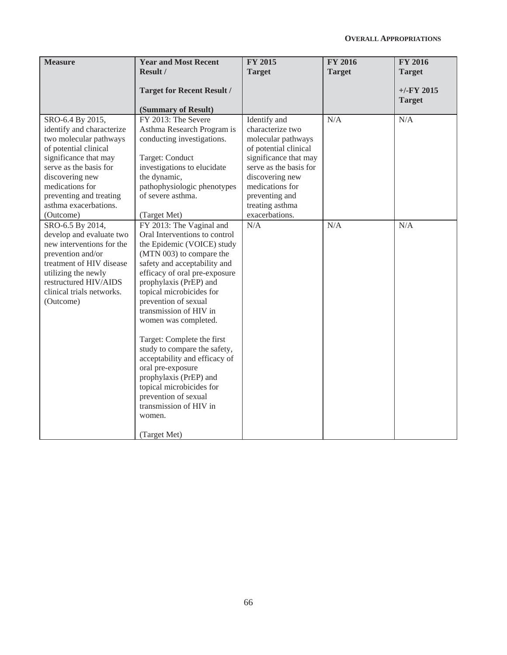| <b>Measure</b>                                                                                                                                                                                                                                             | <b>Year and Most Recent</b><br>Result /                                                                                                                                                                                                                                                                                                                                                                                                                                                                                                                                    | <b>FY 2015</b><br><b>Target</b>                                                                                                                                                                                                 | <b>FY 2016</b><br><b>Target</b> | <b>FY 2016</b><br><b>Target</b><br>$+/-$ FY 2015 |
|------------------------------------------------------------------------------------------------------------------------------------------------------------------------------------------------------------------------------------------------------------|----------------------------------------------------------------------------------------------------------------------------------------------------------------------------------------------------------------------------------------------------------------------------------------------------------------------------------------------------------------------------------------------------------------------------------------------------------------------------------------------------------------------------------------------------------------------------|---------------------------------------------------------------------------------------------------------------------------------------------------------------------------------------------------------------------------------|---------------------------------|--------------------------------------------------|
|                                                                                                                                                                                                                                                            | <b>Target for Recent Result /</b><br>(Summary of Result)                                                                                                                                                                                                                                                                                                                                                                                                                                                                                                                   |                                                                                                                                                                                                                                 |                                 | <b>Target</b>                                    |
| SRO-6.4 By 2015,<br>identify and characterize<br>two molecular pathways<br>of potential clinical<br>significance that may<br>serve as the basis for<br>discovering new<br>medications for<br>preventing and treating<br>asthma exacerbations.<br>(Outcome) | FY 2013: The Severe<br>Asthma Research Program is<br>conducting investigations.<br>Target: Conduct<br>investigations to elucidate<br>the dynamic,<br>pathophysiologic phenotypes<br>of severe asthma.<br>(Target Met)                                                                                                                                                                                                                                                                                                                                                      | Identify and<br>characterize two<br>molecular pathways<br>of potential clinical<br>significance that may<br>serve as the basis for<br>discovering new<br>medications for<br>preventing and<br>treating asthma<br>exacerbations. | N/A                             | N/A                                              |
| SRO-6.5 By 2014,<br>develop and evaluate two<br>new interventions for the<br>prevention and/or<br>treatment of HIV disease<br>utilizing the newly<br>restructured HIV/AIDS<br>clinical trials networks.<br>(Outcome)                                       | FY 2013: The Vaginal and<br>Oral Interventions to control<br>the Epidemic (VOICE) study<br>(MTN 003) to compare the<br>safety and acceptability and<br>efficacy of oral pre-exposure<br>prophylaxis (PrEP) and<br>topical microbicides for<br>prevention of sexual<br>transmission of HIV in<br>women was completed.<br>Target: Complete the first<br>study to compare the safety,<br>acceptability and efficacy of<br>oral pre-exposure<br>prophylaxis (PrEP) and<br>topical microbicides for<br>prevention of sexual<br>transmission of HIV in<br>women.<br>(Target Met) | N/A                                                                                                                                                                                                                             | N/A                             | N/A                                              |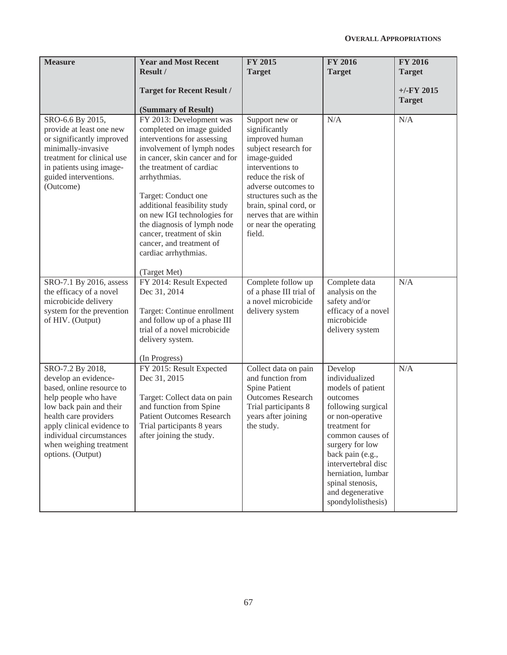| <b>Measure</b>                                                                                                                                                                                                                                              | <b>Year and Most Recent</b><br>Result /                                                                                                                                                                                                                                                                                                                                                                                | <b>FY 2015</b><br><b>Target</b>                                                                                                                                                                                                                                             | <b>FY 2016</b><br><b>Target</b>                                                                                                                                                                                                                                                             | <b>FY 2016</b><br><b>Target</b> |
|-------------------------------------------------------------------------------------------------------------------------------------------------------------------------------------------------------------------------------------------------------------|------------------------------------------------------------------------------------------------------------------------------------------------------------------------------------------------------------------------------------------------------------------------------------------------------------------------------------------------------------------------------------------------------------------------|-----------------------------------------------------------------------------------------------------------------------------------------------------------------------------------------------------------------------------------------------------------------------------|---------------------------------------------------------------------------------------------------------------------------------------------------------------------------------------------------------------------------------------------------------------------------------------------|---------------------------------|
|                                                                                                                                                                                                                                                             | <b>Target for Recent Result /</b><br>(Summary of Result)                                                                                                                                                                                                                                                                                                                                                               |                                                                                                                                                                                                                                                                             |                                                                                                                                                                                                                                                                                             | $+/-$ FY 2015<br><b>Target</b>  |
| SRO-6.6 By 2015,<br>provide at least one new<br>or significantly improved<br>minimally-invasive<br>treatment for clinical use<br>in patients using image-<br>guided interventions.<br>(Outcome)                                                             | FY 2013: Development was<br>completed on image guided<br>interventions for assessing<br>involvement of lymph nodes<br>in cancer, skin cancer and for<br>the treatment of cardiac<br>arrhythmias.<br>Target: Conduct one<br>additional feasibility study<br>on new IGI technologies for<br>the diagnosis of lymph node<br>cancer, treatment of skin<br>cancer, and treatment of<br>cardiac arrhythmias.<br>(Target Met) | Support new or<br>significantly<br>improved human<br>subject research for<br>image-guided<br>interventions to<br>reduce the risk of<br>adverse outcomes to<br>structures such as the<br>brain, spinal cord, or<br>nerves that are within<br>or near the operating<br>field. | N/A                                                                                                                                                                                                                                                                                         | N/A                             |
| SRO-7.1 By 2016, assess<br>the efficacy of a novel<br>microbicide delivery<br>system for the prevention<br>of HIV. (Output)                                                                                                                                 | FY 2014: Result Expected<br>Dec 31, 2014<br>Target: Continue enrollment<br>and follow up of a phase III<br>trial of a novel microbicide<br>delivery system.<br>(In Progress)                                                                                                                                                                                                                                           | Complete follow up<br>of a phase III trial of<br>a novel microbicide<br>delivery system                                                                                                                                                                                     | Complete data<br>analysis on the<br>safety and/or<br>efficacy of a novel<br>microbicide<br>delivery system                                                                                                                                                                                  | N/A                             |
| SRO-7.2 By 2018,<br>develop an evidence-<br>based, online resource to<br>help people who have<br>low back pain and their<br>health care providers<br>apply clinical evidence to<br>individual circumstances<br>when weighing treatment<br>options. (Output) | FY 2015: Result Expected<br>Dec 31, 2015<br>Target: Collect data on pain<br>and function from Spine<br><b>Patient Outcomes Research</b><br>Trial participants 8 years<br>after joining the study.                                                                                                                                                                                                                      | Collect data on pain<br>and function from<br>Spine Patient<br><b>Outcomes Research</b><br>Trial participants 8<br>years after joining<br>the study.                                                                                                                         | Develop<br>individualized<br>models of patient<br>outcomes<br>following surgical<br>or non-operative<br>treatment for<br>common causes of<br>surgery for low<br>back pain (e.g.,<br>intervertebral disc<br>herniation, lumbar<br>spinal stenosis,<br>and degenerative<br>spondylolisthesis) | N/A                             |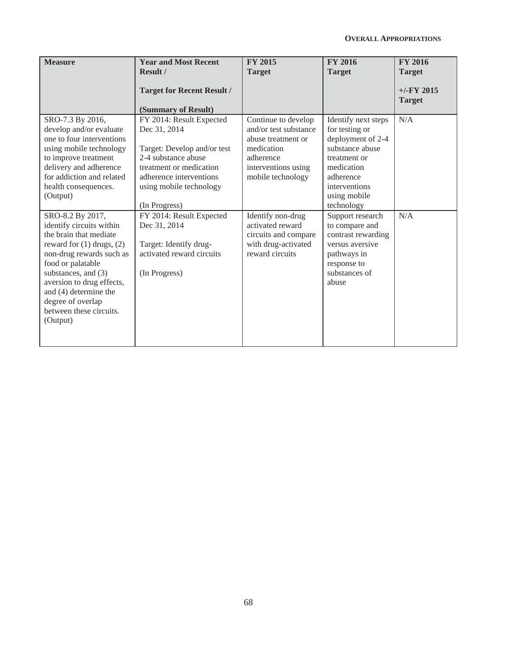| <b>Measure</b>                                                                                                                                                                                                                                                                | <b>Year and Most Recent</b><br><b>Result /</b>                                                                                                                                                                               | <b>FY 2015</b><br><b>Target</b>                                                                                                                                | <b>FY 2016</b><br><b>Target</b>                                                                                                                                                             | <b>FY 2016</b><br><b>Target</b> |
|-------------------------------------------------------------------------------------------------------------------------------------------------------------------------------------------------------------------------------------------------------------------------------|------------------------------------------------------------------------------------------------------------------------------------------------------------------------------------------------------------------------------|----------------------------------------------------------------------------------------------------------------------------------------------------------------|---------------------------------------------------------------------------------------------------------------------------------------------------------------------------------------------|---------------------------------|
|                                                                                                                                                                                                                                                                               | <b>Target for Recent Result /</b><br>(Summary of Result)                                                                                                                                                                     |                                                                                                                                                                |                                                                                                                                                                                             | $+/-$ FY 2015<br><b>Target</b>  |
| SRO-7.3 By 2016,<br>develop and/or evaluate<br>one to four interventions<br>using mobile technology<br>to improve treatment<br>delivery and adherence<br>for addiction and related<br>health consequences.<br>(Output)<br>SRO-8.2 By 2017,                                    | FY 2014: Result Expected<br>Dec 31, 2014<br>Target: Develop and/or test<br>2-4 substance abuse<br>treatment or medication<br>adherence interventions<br>using mobile technology<br>(In Progress)<br>FY 2014: Result Expected | Continue to develop<br>and/or test substance<br>abuse treatment or<br>medication<br>adherence<br>interventions using<br>mobile technology<br>Identify non-drug | Identify next steps<br>for testing or<br>deployment of 2-4<br>substance abuse<br>treatment or<br>medication<br>adherence<br>interventions<br>using mobile<br>technology<br>Support research | N/A<br>N/A                      |
| identify circuits within<br>the brain that mediate<br>reward for $(1)$ drugs, $(2)$<br>non-drug rewards such as<br>food or palatable<br>substances, and (3)<br>aversion to drug effects,<br>and (4) determine the<br>degree of overlap<br>between these circuits.<br>(Output) | Dec 31, 2014<br>Target: Identify drug-<br>activated reward circuits<br>(In Progress)                                                                                                                                         | activated reward<br>circuits and compare<br>with drug-activated<br>reward circuits                                                                             | to compare and<br>contrast rewarding<br>versus aversive<br>pathways in<br>response to<br>substances of<br>abuse                                                                             |                                 |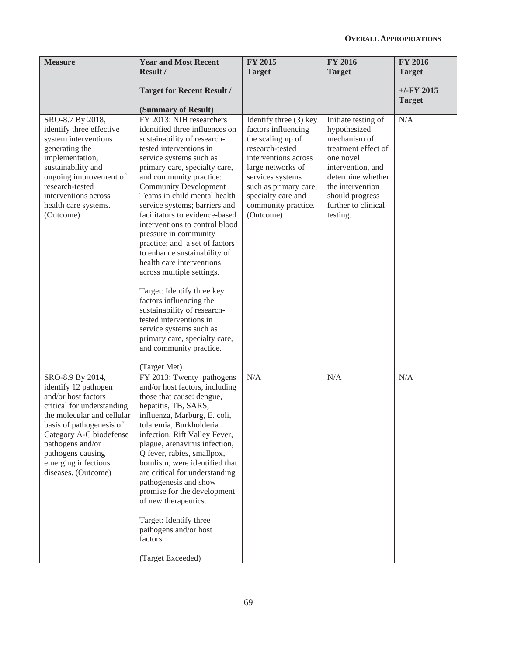| <b>Measure</b>                                                                                                                                                                                                                                                            | <b>Year and Most Recent</b><br>Result /                                                                                                                                                                                                                                                                                                                                                                                                                                                                                                                                                                                                                                                                                                                         | <b>FY 2015</b><br><b>Target</b>                                                                                                                                                                                                           | <b>FY 2016</b><br><b>Target</b>                                                                                                                                                                             | <b>FY 2016</b><br><b>Target</b> |
|---------------------------------------------------------------------------------------------------------------------------------------------------------------------------------------------------------------------------------------------------------------------------|-----------------------------------------------------------------------------------------------------------------------------------------------------------------------------------------------------------------------------------------------------------------------------------------------------------------------------------------------------------------------------------------------------------------------------------------------------------------------------------------------------------------------------------------------------------------------------------------------------------------------------------------------------------------------------------------------------------------------------------------------------------------|-------------------------------------------------------------------------------------------------------------------------------------------------------------------------------------------------------------------------------------------|-------------------------------------------------------------------------------------------------------------------------------------------------------------------------------------------------------------|---------------------------------|
|                                                                                                                                                                                                                                                                           | <b>Target for Recent Result /</b><br>(Summary of Result)                                                                                                                                                                                                                                                                                                                                                                                                                                                                                                                                                                                                                                                                                                        |                                                                                                                                                                                                                                           |                                                                                                                                                                                                             | $+/-FY$ 2015<br><b>Target</b>   |
| SRO-8.7 By 2018,<br>identify three effective<br>system interventions<br>generating the<br>implementation,<br>sustainability and<br>ongoing improvement of<br>research-tested<br>interventions across<br>health care systems.<br>(Outcome)                                 | FY 2013: NIH researchers<br>identified three influences on<br>sustainability of research-<br>tested interventions in<br>service systems such as<br>primary care, specialty care,<br>and community practice:<br><b>Community Development</b><br>Teams in child mental health<br>service systems; barriers and<br>facilitators to evidence-based<br>interventions to control blood<br>pressure in community<br>practice; and a set of factors<br>to enhance sustainability of<br>health care interventions<br>across multiple settings.<br>Target: Identify three key<br>factors influencing the<br>sustainability of research-<br>tested interventions in<br>service systems such as<br>primary care, specialty care,<br>and community practice.<br>(Target Met) | Identify three (3) key<br>factors influencing<br>the scaling up of<br>research-tested<br>interventions across<br>large networks of<br>services systems<br>such as primary care,<br>specialty care and<br>community practice.<br>(Outcome) | Initiate testing of<br>hypothesized<br>mechanism of<br>treatment effect of<br>one novel<br>intervention, and<br>determine whether<br>the intervention<br>should progress<br>further to clinical<br>testing. | N/A                             |
| SRO-8.9 By 2014,<br>identify 12 pathogen<br>and/or host factors<br>critical for understanding<br>the molecular and cellular<br>basis of pathogenesis of<br>Category A-C biodefense<br>pathogens and/or<br>pathogens causing<br>emerging infectious<br>diseases. (Outcome) | FY 2013: Twenty pathogens<br>and/or host factors, including<br>those that cause: dengue,<br>hepatitis, TB, SARS,<br>influenza, Marburg, E. coli,<br>tularemia, Burkholderia<br>infection, Rift Valley Fever,<br>plague, arenavirus infection,<br>Q fever, rabies, smallpox,<br>botulism, were identified that<br>are critical for understanding<br>pathogenesis and show<br>promise for the development<br>of new therapeutics.<br>Target: Identify three<br>pathogens and/or host<br>factors.<br>(Target Exceeded)                                                                                                                                                                                                                                             | N/A                                                                                                                                                                                                                                       | N/A                                                                                                                                                                                                         | N/A                             |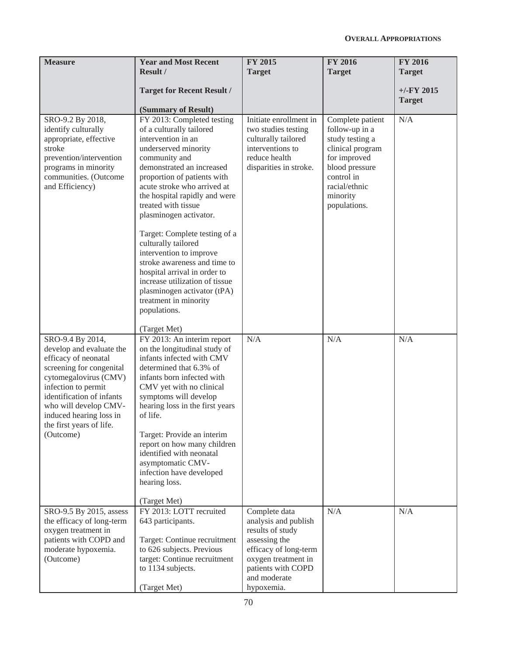| <b>Measure</b>                                                                                                                                                                                                                                                             | <b>Year and Most Recent</b><br>Result /                                                                                                                                                                                                                                                                                                                                                                                                                                                                                                                         | <b>FY 2015</b><br><b>Target</b>                                                                                                                                                | <b>FY 2016</b><br><b>Target</b>                                                                                                                                        | <b>FY 2016</b><br><b>Target</b> |
|----------------------------------------------------------------------------------------------------------------------------------------------------------------------------------------------------------------------------------------------------------------------------|-----------------------------------------------------------------------------------------------------------------------------------------------------------------------------------------------------------------------------------------------------------------------------------------------------------------------------------------------------------------------------------------------------------------------------------------------------------------------------------------------------------------------------------------------------------------|--------------------------------------------------------------------------------------------------------------------------------------------------------------------------------|------------------------------------------------------------------------------------------------------------------------------------------------------------------------|---------------------------------|
|                                                                                                                                                                                                                                                                            | <b>Target for Recent Result /</b><br>(Summary of Result)                                                                                                                                                                                                                                                                                                                                                                                                                                                                                                        |                                                                                                                                                                                |                                                                                                                                                                        | $+/-$ FY 2015<br><b>Target</b>  |
| SRO-9.2 By 2018,<br>identify culturally<br>appropriate, effective<br>stroke<br>prevention/intervention<br>programs in minority<br>communities. (Outcome<br>and Efficiency)                                                                                                 | FY 2013: Completed testing<br>of a culturally tailored<br>intervention in an<br>underserved minority<br>community and<br>demonstrated an increased<br>proportion of patients with<br>acute stroke who arrived at<br>the hospital rapidly and were<br>treated with tissue<br>plasminogen activator.<br>Target: Complete testing of a<br>culturally tailored<br>intervention to improve<br>stroke awareness and time to<br>hospital arrival in order to<br>increase utilization of tissue<br>plasminogen activator (tPA)<br>treatment in minority<br>populations. | Initiate enrollment in<br>two studies testing<br>culturally tailored<br>interventions to<br>reduce health<br>disparities in stroke.                                            | Complete patient<br>follow-up in a<br>study testing a<br>clinical program<br>for improved<br>blood pressure<br>control in<br>racial/ethnic<br>minority<br>populations. | N/A                             |
| SRO-9.4 By 2014,<br>develop and evaluate the<br>efficacy of neonatal<br>screening for congenital<br>cytomegalovirus (CMV)<br>infection to permit<br>identification of infants<br>who will develop CMV-<br>induced hearing loss in<br>the first years of life.<br>(Outcome) | (Target Met)<br>FY 2013: An interim report<br>on the longitudinal study of<br>infants infected with CMV<br>determined that 6.3% of<br>infants born infected with<br>CMV yet with no clinical<br>symptoms will develop<br>hearing loss in the first years<br>of life.<br>Target: Provide an interim<br>report on how many children<br>identified with neonatal<br>asymptomatic CMV-<br>infection have developed<br>hearing loss.<br>(Target Met)                                                                                                                 | N/A                                                                                                                                                                            | N/A                                                                                                                                                                    | N/A                             |
| SRO-9.5 By 2015, assess<br>the efficacy of long-term<br>oxygen treatment in<br>patients with COPD and<br>moderate hypoxemia.<br>(Outcome)                                                                                                                                  | FY 2013: LOTT recruited<br>643 participants.<br>Target: Continue recruitment<br>to 626 subjects. Previous<br>target: Continue recruitment<br>to 1134 subjects.<br>(Target Met)                                                                                                                                                                                                                                                                                                                                                                                  | Complete data<br>analysis and publish<br>results of study<br>assessing the<br>efficacy of long-term<br>oxygen treatment in<br>patients with COPD<br>and moderate<br>hypoxemia. | N/A                                                                                                                                                                    | N/A                             |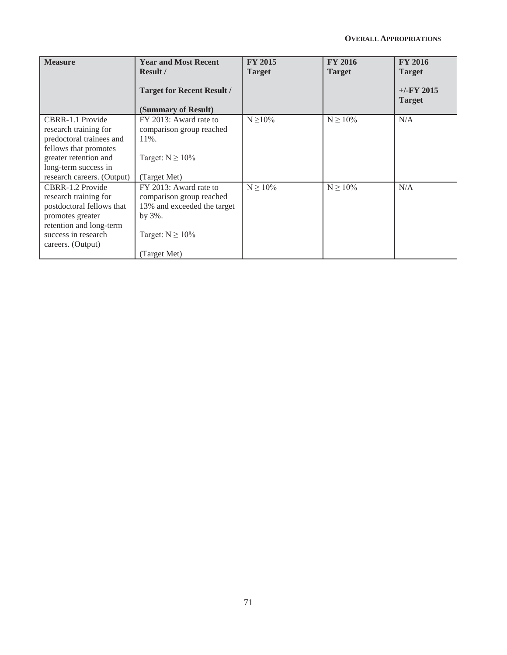| <b>Measure</b>                                                                                                                                                                | <b>Year and Most Recent</b><br>Result /<br><b>Target for Recent Result /</b><br>(Summary of Result)                                     | <b>FY 2015</b><br><b>Target</b> | <b>FY 2016</b><br><b>Target</b> | <b>FY 2016</b><br><b>Target</b><br>$+/-$ FY 2015<br><b>Target</b> |
|-------------------------------------------------------------------------------------------------------------------------------------------------------------------------------|-----------------------------------------------------------------------------------------------------------------------------------------|---------------------------------|---------------------------------|-------------------------------------------------------------------|
| CBRR-1.1 Provide<br>research training for<br>predoctoral trainees and<br>fellows that promotes<br>greater retention and<br>long-term success in<br>research careers. (Output) | FY 2013: Award rate to<br>comparison group reached<br>$11\%$ .<br>Target: $N \ge 10\%$<br>(Target Met)                                  | $N \geq 10\%$                   | $N \ge 10\%$                    | N/A                                                               |
| CBRR-1.2 Provide<br>research training for<br>postdoctoral fellows that<br>promotes greater<br>retention and long-term<br>success in research<br>careers. (Output)             | FY 2013: Award rate to<br>comparison group reached<br>13% and exceeded the target<br>by $3\%$ .<br>Target: $N \ge 10\%$<br>(Target Met) | $N \ge 10\%$                    | $N \ge 10\%$                    | N/A                                                               |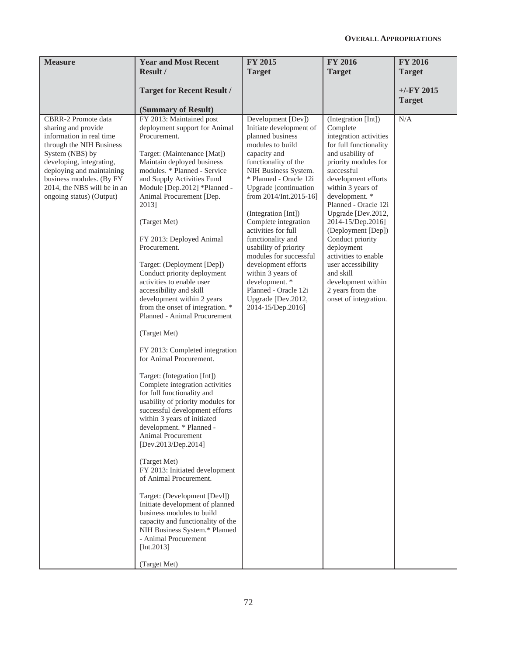| <b>Measure</b>                                                                                                                                                                                                                                                        | <b>Year and Most Recent</b><br><b>Result</b> /                                                                                                                                                                                                                                                                                                                                                                                                                                                                                                                                                                                                                                                                                                                                                                                                                                                                                                                                                                                                                                                                                                                                                                                   | <b>FY 2015</b><br><b>Target</b>                                                                                                                                                                                                                                                                                                                                                                                                                                                                                   | <b>FY 2016</b><br><b>Target</b>                                                                                                                                                                                                                                                                                                                                                                                                                                      | <b>FY 2016</b><br><b>Target</b> |
|-----------------------------------------------------------------------------------------------------------------------------------------------------------------------------------------------------------------------------------------------------------------------|----------------------------------------------------------------------------------------------------------------------------------------------------------------------------------------------------------------------------------------------------------------------------------------------------------------------------------------------------------------------------------------------------------------------------------------------------------------------------------------------------------------------------------------------------------------------------------------------------------------------------------------------------------------------------------------------------------------------------------------------------------------------------------------------------------------------------------------------------------------------------------------------------------------------------------------------------------------------------------------------------------------------------------------------------------------------------------------------------------------------------------------------------------------------------------------------------------------------------------|-------------------------------------------------------------------------------------------------------------------------------------------------------------------------------------------------------------------------------------------------------------------------------------------------------------------------------------------------------------------------------------------------------------------------------------------------------------------------------------------------------------------|----------------------------------------------------------------------------------------------------------------------------------------------------------------------------------------------------------------------------------------------------------------------------------------------------------------------------------------------------------------------------------------------------------------------------------------------------------------------|---------------------------------|
|                                                                                                                                                                                                                                                                       | <b>Target for Recent Result /</b><br>(Summary of Result)                                                                                                                                                                                                                                                                                                                                                                                                                                                                                                                                                                                                                                                                                                                                                                                                                                                                                                                                                                                                                                                                                                                                                                         |                                                                                                                                                                                                                                                                                                                                                                                                                                                                                                                   |                                                                                                                                                                                                                                                                                                                                                                                                                                                                      | $+/-FY$ 2015<br><b>Target</b>   |
| CBRR-2 Promote data<br>sharing and provide<br>information in real time<br>through the NIH Business<br>System (NBS) by<br>developing, integrating,<br>deploying and maintaining<br>business modules. (By FY<br>2014, the NBS will be in an<br>ongoing status) (Output) | FY 2013: Maintained post<br>deployment support for Animal<br>Procurement.<br>Target: (Maintenance [Mat])<br>Maintain deployed business<br>modules. * Planned - Service<br>and Supply Activities Fund<br>Module [Dep.2012] *Planned -<br>Animal Procurement [Dep.<br>2013]<br>(Target Met)<br>FY 2013: Deployed Animal<br>Procurement.<br>Target: (Deployment [Dep])<br>Conduct priority deployment<br>activities to enable user<br>accessibility and skill<br>development within 2 years<br>from the onset of integration. *<br>Planned - Animal Procurement<br>(Target Met)<br>FY 2013: Completed integration<br>for Animal Procurement.<br>Target: (Integration [Int])<br>Complete integration activities<br>for full functionality and<br>usability of priority modules for<br>successful development efforts<br>within 3 years of initiated<br>development. * Planned -<br>Animal Procurement<br>[Dev.2013/Dep.2014]<br>(Target Met)<br>FY 2013: Initiated development<br>of Animal Procurement.<br>Target: (Development [Devl])<br>Initiate development of planned<br>business modules to build<br>capacity and functionality of the<br>NIH Business System.* Planned<br>- Animal Procurement<br>[Int.2013]<br>(Target Met) | Development [Dev])<br>Initiate development of<br>planned business<br>modules to build<br>capacity and<br>functionality of the<br>NIH Business System.<br>* Planned - Oracle 12i<br>Upgrade [continuation<br>from 2014/Int.2015-16]<br>(Integration [Int])<br>Complete integration<br>activities for full<br>functionality and<br>usability of priority<br>modules for successful<br>development efforts<br>within 3 years of<br>development. *<br>Planned - Oracle 12i<br>Upgrade [Dev.2012,<br>2014-15/Dep.2016] | (Integration [Int])<br>Complete<br>integration activities<br>for full functionality<br>and usability of<br>priority modules for<br>successful<br>development efforts<br>within 3 years of<br>development. *<br>Planned - Oracle 12i<br>Upgrade [Dev.2012,<br>2014-15/Dep.2016]<br>(Deployment [Dep])<br>Conduct priority<br>deployment<br>activities to enable<br>user accessibility<br>and skill<br>development within<br>2 years from the<br>onset of integration. | N/A                             |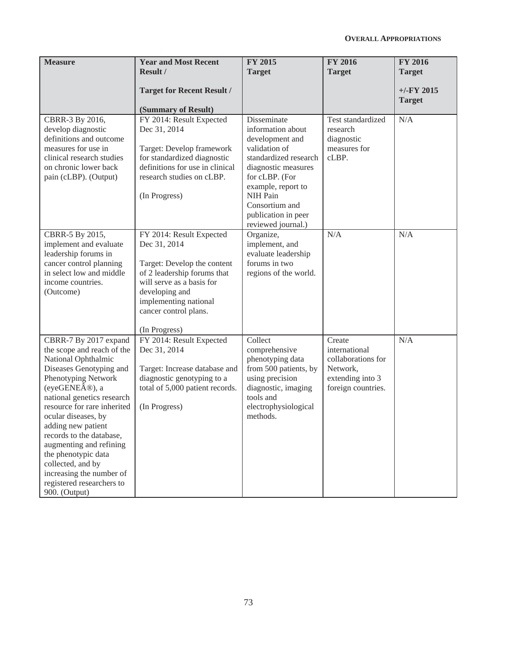| <b>Measure</b>                                                                                                                                                                                                                                                                                                                                                                                                                       | <b>Year and Most Recent</b><br>Result /                                                                                                                                                                                  | <b>FY 2015</b><br><b>Target</b>                                                                                                                                                                                                         | <b>FY 2016</b><br><b>Target</b>                                                                     | <b>FY 2016</b><br><b>Target</b> |
|--------------------------------------------------------------------------------------------------------------------------------------------------------------------------------------------------------------------------------------------------------------------------------------------------------------------------------------------------------------------------------------------------------------------------------------|--------------------------------------------------------------------------------------------------------------------------------------------------------------------------------------------------------------------------|-----------------------------------------------------------------------------------------------------------------------------------------------------------------------------------------------------------------------------------------|-----------------------------------------------------------------------------------------------------|---------------------------------|
|                                                                                                                                                                                                                                                                                                                                                                                                                                      | <b>Target for Recent Result /</b><br>(Summary of Result)                                                                                                                                                                 |                                                                                                                                                                                                                                         |                                                                                                     | $+/-$ FY 2015<br><b>Target</b>  |
| CBRR-3 By 2016,<br>develop diagnostic<br>definitions and outcome<br>measures for use in<br>clinical research studies<br>on chronic lower back<br>pain (cLBP). (Output)                                                                                                                                                                                                                                                               | FY 2014: Result Expected<br>Dec 31, 2014<br>Target: Develop framework<br>for standardized diagnostic<br>definitions for use in clinical<br>research studies on cLBP.<br>(In Progress)                                    | Disseminate<br>information about<br>development and<br>validation of<br>standardized research<br>diagnostic measures<br>for cLBP. (For<br>example, report to<br>NIH Pain<br>Consortium and<br>publication in peer<br>reviewed journal.) | Test standardized<br>research<br>diagnostic<br>measures for<br>cLBP.                                | N/A                             |
| CBRR-5 By 2015,<br>implement and evaluate<br>leadership forums in<br>cancer control planning<br>in select low and middle<br>income countries.<br>(Outcome)                                                                                                                                                                                                                                                                           | FY 2014: Result Expected<br>Dec 31, 2014<br>Target: Develop the content<br>of 2 leadership forums that<br>will serve as a basis for<br>developing and<br>implementing national<br>cancer control plans.<br>(In Progress) | Organize,<br>implement, and<br>evaluate leadership<br>forums in two<br>regions of the world.                                                                                                                                            | N/A                                                                                                 | N/A                             |
| CBRR-7 By 2017 expand<br>the scope and reach of the<br>National Ophthalmic<br>Diseases Genotyping and<br>Phenotyping Network<br>(eyeGENE®), a<br>national genetics research<br>resource for rare inherited<br>ocular diseases, by<br>adding new patient<br>records to the database,<br>augmenting and refining<br>the phenotypic data<br>collected, and by<br>increasing the number of<br>registered researchers to<br>900. (Output) | FY 2014: Result Expected<br>Dec 31, 2014<br>Target: Increase database and<br>diagnostic genotyping to a<br>total of 5,000 patient records.<br>(In Progress)                                                              | Collect<br>comprehensive<br>phenotyping data<br>from 500 patients, by<br>using precision<br>diagnostic, imaging<br>tools and<br>electrophysiological<br>methods.                                                                        | Create<br>international<br>collaborations for<br>Network,<br>extending into 3<br>foreign countries. | N/A                             |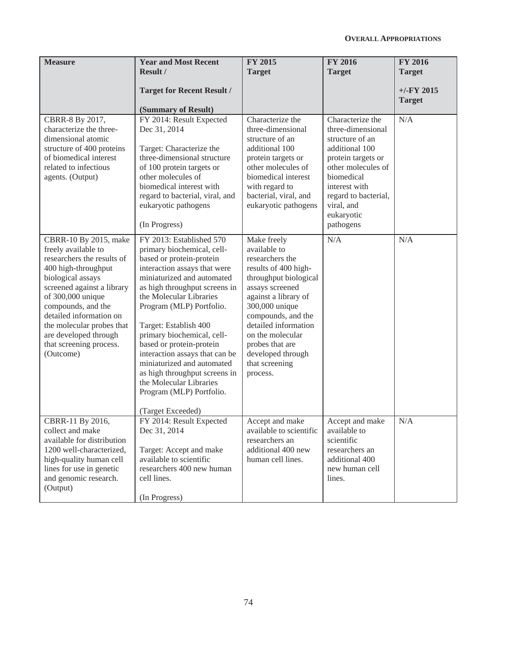| <b>Measure</b>                                                                                                                                                                                                                                                                                                           | <b>Year and Most Recent</b><br>Result /<br><b>Target for Recent Result /</b><br>(Summary of Result)                                                                                                                                                                                                                                                                                                                                                                                                      | <b>FY 2015</b><br><b>Target</b>                                                                                                                                                                                                                                                                      | <b>FY 2016</b><br><b>Target</b>                                                                                                                                                                                        | <b>FY 2016</b><br><b>Target</b><br>$+/-$ FY 2015<br><b>Target</b> |
|--------------------------------------------------------------------------------------------------------------------------------------------------------------------------------------------------------------------------------------------------------------------------------------------------------------------------|----------------------------------------------------------------------------------------------------------------------------------------------------------------------------------------------------------------------------------------------------------------------------------------------------------------------------------------------------------------------------------------------------------------------------------------------------------------------------------------------------------|------------------------------------------------------------------------------------------------------------------------------------------------------------------------------------------------------------------------------------------------------------------------------------------------------|------------------------------------------------------------------------------------------------------------------------------------------------------------------------------------------------------------------------|-------------------------------------------------------------------|
| CBRR-8 By 2017,<br>characterize the three-<br>dimensional atomic<br>structure of 400 proteins<br>of biomedical interest<br>related to infectious<br>agents. (Output)                                                                                                                                                     | FY 2014: Result Expected<br>Dec 31, 2014<br>Target: Characterize the<br>three-dimensional structure<br>of 100 protein targets or<br>other molecules of<br>biomedical interest with<br>regard to bacterial, viral, and<br>eukaryotic pathogens<br>(In Progress)                                                                                                                                                                                                                                           | Characterize the<br>three-dimensional<br>structure of an<br>additional 100<br>protein targets or<br>other molecules of<br>biomedical interest<br>with regard to<br>bacterial, viral, and<br>eukaryotic pathogens                                                                                     | Characterize the<br>three-dimensional<br>structure of an<br>additional 100<br>protein targets or<br>other molecules of<br>biomedical<br>interest with<br>regard to bacterial,<br>viral, and<br>eukaryotic<br>pathogens | N/A                                                               |
| CBRR-10 By 2015, make<br>freely available to<br>researchers the results of<br>400 high-throughput<br>biological assays<br>screened against a library<br>of 300,000 unique<br>compounds, and the<br>detailed information on<br>the molecular probes that<br>are developed through<br>that screening process.<br>(Outcome) | FY 2013: Established 570<br>primary biochemical, cell-<br>based or protein-protein<br>interaction assays that were<br>miniaturized and automated<br>as high throughput screens in<br>the Molecular Libraries<br>Program (MLP) Portfolio.<br>Target: Establish 400<br>primary biochemical, cell-<br>based or protein-protein<br>interaction assays that can be<br>miniaturized and automated<br>as high throughput screens in<br>the Molecular Libraries<br>Program (MLP) Portfolio.<br>(Target Exceeded) | Make freely<br>available to<br>researchers the<br>results of 400 high-<br>throughput biological<br>assays screened<br>against a library of<br>300,000 unique<br>compounds, and the<br>detailed information<br>on the molecular<br>probes that are<br>developed through<br>that screening<br>process. | N/A                                                                                                                                                                                                                    | N/A                                                               |
| CBRR-11 By 2016,<br>collect and make<br>available for distribution<br>1200 well-characterized,<br>high-quality human cell<br>lines for use in genetic<br>and genomic research.<br>(Output)                                                                                                                               | FY 2014: Result Expected<br>Dec 31, 2014<br>Target: Accept and make<br>available to scientific<br>researchers 400 new human<br>cell lines.<br>(In Progress)                                                                                                                                                                                                                                                                                                                                              | Accept and make<br>available to scientific<br>researchers an<br>additional 400 new<br>human cell lines.                                                                                                                                                                                              | Accept and make<br>available to<br>scientific<br>researchers an<br>additional 400<br>new human cell<br>lines.                                                                                                          | N/A                                                               |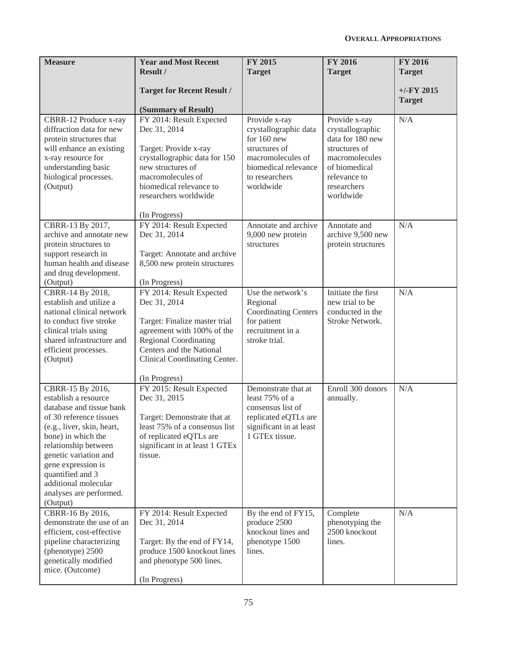| <b>Measure</b>                                                                                                                                                                                                                                                                                                | <b>Year and Most Recent</b><br><b>Result /</b>                                                                                                                                                                        | <b>FY 2015</b><br><b>Target</b>                                                                                                                      | <b>FY 2016</b><br><b>Target</b>                                                                                                                       | <b>FY 2016</b><br><b>Target</b> |
|---------------------------------------------------------------------------------------------------------------------------------------------------------------------------------------------------------------------------------------------------------------------------------------------------------------|-----------------------------------------------------------------------------------------------------------------------------------------------------------------------------------------------------------------------|------------------------------------------------------------------------------------------------------------------------------------------------------|-------------------------------------------------------------------------------------------------------------------------------------------------------|---------------------------------|
|                                                                                                                                                                                                                                                                                                               | <b>Target for Recent Result /</b><br>(Summary of Result)                                                                                                                                                              |                                                                                                                                                      |                                                                                                                                                       | $+/-$ FY 2015<br><b>Target</b>  |
| CBRR-12 Produce x-ray<br>diffraction data for new<br>protein structures that<br>will enhance an existing<br>x-ray resource for<br>understanding basic<br>biological processes.<br>(Output)                                                                                                                    | FY 2014: Result Expected<br>Dec 31, 2014<br>Target: Provide x-ray<br>crystallographic data for 150<br>new structures of<br>macromolecules of<br>biomedical relevance to<br>researchers worldwide<br>(In Progress)     | Provide x-ray<br>crystallographic data<br>for $160$ new<br>structures of<br>macromolecules of<br>biomedical relevance<br>to researchers<br>worldwide | Provide x-ray<br>crystallographic<br>data for 180 new<br>structures of<br>macromolecules<br>of biomedical<br>relevance to<br>researchers<br>worldwide | N/A                             |
| CBRR-13 By 2017,<br>archive and annotate new<br>protein structures to<br>support research in<br>human health and disease<br>and drug development.<br>(Output)                                                                                                                                                 | FY 2014: Result Expected<br>Dec 31, 2014<br>Target: Annotate and archive<br>8,500 new protein structures<br>(In Progress)                                                                                             | Annotate and archive<br>9,000 new protein<br>structures                                                                                              | Annotate and<br>archive 9,500 new<br>protein structures                                                                                               | N/A                             |
| CBRR-14 By 2018,<br>establish and utilize a<br>national clinical network<br>to conduct five stroke<br>clinical trials using<br>shared infrastructure and<br>efficient processes.<br>(Output)                                                                                                                  | FY 2014: Result Expected<br>Dec 31, 2014<br>Target: Finalize master trial<br>agreement with 100% of the<br><b>Regional Coordinating</b><br>Centers and the National<br>Clinical Coordinating Center.<br>(In Progress) | Use the network's<br>Regional<br><b>Coordinating Centers</b><br>for patient<br>recruitment in a<br>stroke trial.                                     | Initiate the first<br>new trial to be<br>conducted in the<br>Stroke Network.                                                                          | N/A                             |
| CBRR-15 By 2016,<br>establish a resource<br>database and tissue bank<br>of 30 reference tissues<br>(e.g., liver, skin, heart,<br>bone) in which the<br>relationship between<br>genetic variation and<br>gene expression is<br>quantified and 3<br>additional molecular<br>analyses are performed.<br>(Output) | FY 2015: Result Expected<br>Dec 31, 2015<br>Target: Demonstrate that at<br>least 75% of a consensus list<br>of replicated eQTLs are<br>significant in at least 1 GTEx<br>tissue.                                      | Demonstrate that at<br>least 75% of a<br>consensus list of<br>replicated eQTLs are<br>significant in at least<br>1 GTEx tissue.                      | Enroll 300 donors<br>annually.                                                                                                                        | N/A                             |
| CBRR-16 By 2016,<br>demonstrate the use of an<br>efficient, cost-effective<br>pipeline characterizing<br>(phenotype) 2500<br>genetically modified<br>mice. (Outcome)                                                                                                                                          | FY 2014: Result Expected<br>Dec 31, 2014<br>Target: By the end of FY14,<br>produce 1500 knockout lines<br>and phenotype 500 lines.<br>(In Progress)                                                                   | By the end of FY15,<br>produce 2500<br>knockout lines and<br>phenotype 1500<br>lines.                                                                | Complete<br>phenotyping the<br>2500 knockout<br>lines.                                                                                                | N/A                             |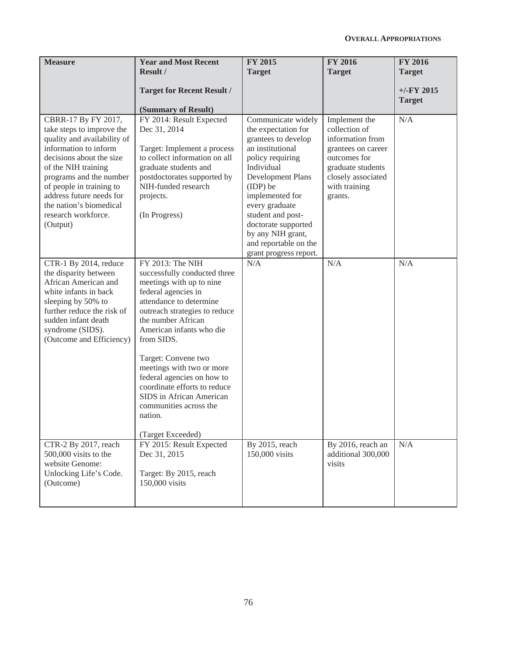| <b>Measure</b>                                                                                                                                                                                                                                                                                               | <b>Year and Most Recent</b><br><b>Result /</b><br><b>Target for Recent Result /</b>                                                                                                                                             | <b>FY 2015</b><br><b>Target</b>                                                                                                                                                                                                                                                                                  | <b>FY 2016</b><br><b>Target</b>                                                                                                                                 | <b>FY 2016</b><br><b>Target</b><br>$+/-FY$ 2015 |
|--------------------------------------------------------------------------------------------------------------------------------------------------------------------------------------------------------------------------------------------------------------------------------------------------------------|---------------------------------------------------------------------------------------------------------------------------------------------------------------------------------------------------------------------------------|------------------------------------------------------------------------------------------------------------------------------------------------------------------------------------------------------------------------------------------------------------------------------------------------------------------|-----------------------------------------------------------------------------------------------------------------------------------------------------------------|-------------------------------------------------|
|                                                                                                                                                                                                                                                                                                              | (Summary of Result)                                                                                                                                                                                                             |                                                                                                                                                                                                                                                                                                                  |                                                                                                                                                                 | <b>Target</b>                                   |
| CBRR-17 By FY 2017,<br>take steps to improve the<br>quality and availability of<br>information to inform<br>decisions about the size<br>of the NIH training<br>programs and the number<br>of people in training to<br>address future needs for<br>the nation's biomedical<br>research workforce.<br>(Output) | FY 2014: Result Expected<br>Dec 31, 2014<br>Target: Implement a process<br>to collect information on all<br>graduate students and<br>postdoctorates supported by<br>NIH-funded research<br>projects.<br>(In Progress)           | Communicate widely<br>the expectation for<br>grantees to develop<br>an institutional<br>policy requiring<br>Individual<br>Development Plans<br>(IDP) be<br>implemented for<br>every graduate<br>student and post-<br>doctorate supported<br>by any NIH grant,<br>and reportable on the<br>grant progress report. | Implement the<br>collection of<br>information from<br>grantees on career<br>outcomes for<br>graduate students<br>closely associated<br>with training<br>grants. | N/A                                             |
| CTR-1 By 2014, reduce<br>the disparity between<br>African American and<br>white infants in back<br>sleeping by 50% to<br>further reduce the risk of<br>sudden infant death<br>syndrome (SIDS).<br>(Outcome and Efficiency)                                                                                   | FY 2013: The NIH<br>successfully conducted three<br>meetings with up to nine<br>federal agencies in<br>attendance to determine<br>outreach strategies to reduce<br>the number African<br>American infants who die<br>from SIDS. | N/A                                                                                                                                                                                                                                                                                                              | N/A                                                                                                                                                             | N/A                                             |
|                                                                                                                                                                                                                                                                                                              | Target: Convene two<br>meetings with two or more<br>federal agencies on how to<br>coordinate efforts to reduce<br>SIDS in African American<br>communities across the<br>nation.<br>(Target Exceeded)                            |                                                                                                                                                                                                                                                                                                                  |                                                                                                                                                                 |                                                 |
| CTR-2 By 2017, reach<br>500,000 visits to the<br>website Genome:<br>Unlocking Life's Code.<br>(Outcome)                                                                                                                                                                                                      | FY 2015: Result Expected<br>Dec 31, 2015<br>Target: By 2015, reach<br>150,000 visits                                                                                                                                            | By 2015, reach<br>150,000 visits                                                                                                                                                                                                                                                                                 | By 2016, reach an<br>additional 300,000<br>visits                                                                                                               | N/A                                             |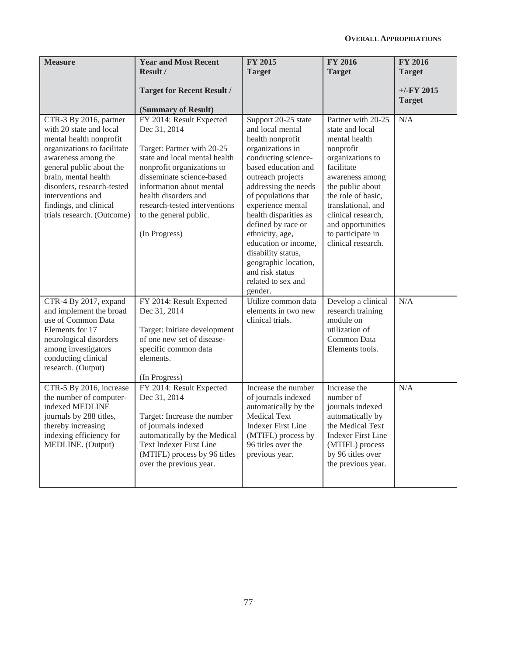| <b>Measure</b>                                                                                                                                                                                                                                                                                    | <b>Year and Most Recent</b><br>Result /<br><b>Target for Recent Result /</b>                                                                                                                                                                                                                       | <b>FY 2015</b><br><b>Target</b>                                                                                                                                                                                                                                                                                                                                                                                    | <b>FY 2016</b><br><b>Target</b>                                                                                                                                                                                                                                                | <b>FY 2016</b><br><b>Target</b><br>$+/-$ FY 2015 |
|---------------------------------------------------------------------------------------------------------------------------------------------------------------------------------------------------------------------------------------------------------------------------------------------------|----------------------------------------------------------------------------------------------------------------------------------------------------------------------------------------------------------------------------------------------------------------------------------------------------|--------------------------------------------------------------------------------------------------------------------------------------------------------------------------------------------------------------------------------------------------------------------------------------------------------------------------------------------------------------------------------------------------------------------|--------------------------------------------------------------------------------------------------------------------------------------------------------------------------------------------------------------------------------------------------------------------------------|--------------------------------------------------|
|                                                                                                                                                                                                                                                                                                   | (Summary of Result)                                                                                                                                                                                                                                                                                |                                                                                                                                                                                                                                                                                                                                                                                                                    |                                                                                                                                                                                                                                                                                | <b>Target</b>                                    |
| CTR-3 By 2016, partner<br>with 20 state and local<br>mental health nonprofit<br>organizations to facilitate<br>awareness among the<br>general public about the<br>brain, mental health<br>disorders, research-tested<br>interventions and<br>findings, and clinical<br>trials research. (Outcome) | FY 2014: Result Expected<br>Dec 31, 2014<br>Target: Partner with 20-25<br>state and local mental health<br>nonprofit organizations to<br>disseminate science-based<br>information about mental<br>health disorders and<br>research-tested interventions<br>to the general public.<br>(In Progress) | Support 20-25 state<br>and local mental<br>health nonprofit<br>organizations in<br>conducting science-<br>based education and<br>outreach projects<br>addressing the needs<br>of populations that<br>experience mental<br>health disparities as<br>defined by race or<br>ethnicity, age,<br>education or income,<br>disability status,<br>geographic location,<br>and risk status<br>related to sex and<br>gender. | Partner with 20-25<br>state and local<br>mental health<br>nonprofit<br>organizations to<br>facilitate<br>awareness among<br>the public about<br>the role of basic,<br>translational, and<br>clinical research,<br>and opportunities<br>to participate in<br>clinical research. | N/A                                              |
| CTR-4 By 2017, expand<br>and implement the broad<br>use of Common Data<br>Elements for 17<br>neurological disorders<br>among investigators<br>conducting clinical<br>research. (Output)                                                                                                           | FY 2014: Result Expected<br>Dec 31, 2014<br>Target: Initiate development<br>of one new set of disease-<br>specific common data<br>elements.<br>(In Progress)                                                                                                                                       | Utilize common data<br>elements in two new<br>clinical trials.                                                                                                                                                                                                                                                                                                                                                     | Develop a clinical<br>research training<br>module on<br>utilization of<br>Common Data<br>Elements tools.                                                                                                                                                                       | N/A                                              |
| CTR-5 By 2016, increase<br>the number of computer-<br>indexed MEDLINE<br>journals by 288 titles,<br>thereby increasing<br>indexing efficiency for<br>MEDLINE. (Output)                                                                                                                            | FY 2014: Result Expected<br>Dec 31, 2014<br>Target: Increase the number<br>of journals indexed<br>automatically by the Medical<br><b>Text Indexer First Line</b><br>(MTIFL) process by 96 titles<br>over the previous year.                                                                        | Increase the number<br>of journals indexed<br>automatically by the<br><b>Medical Text</b><br><b>Indexer First Line</b><br>(MTIFL) process by<br>96 titles over the<br>previous year.                                                                                                                                                                                                                               | Increase the<br>number of<br>journals indexed<br>automatically by<br>the Medical Text<br><b>Indexer First Line</b><br>(MTIFL) process<br>by 96 titles over<br>the previous year.                                                                                               | N/A                                              |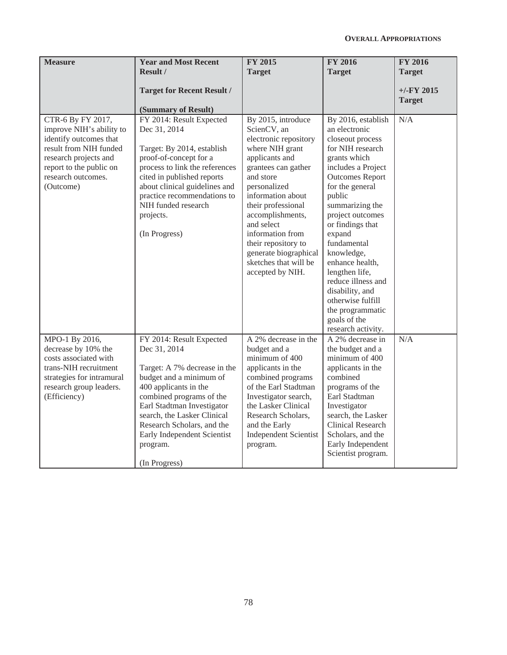| <b>Measure</b>                                                                                                                                                                           | <b>Year and Most Recent</b><br>Result /                                                                                                                                                                                                                                                                         | <b>FY 2015</b><br><b>Target</b>                                                                                                                                                                                                                                                                                                                   | <b>FY 2016</b><br><b>Target</b>                                                                                                                                                                                                                                                                                                                                                                                                         | <b>FY 2016</b><br><b>Target</b> |
|------------------------------------------------------------------------------------------------------------------------------------------------------------------------------------------|-----------------------------------------------------------------------------------------------------------------------------------------------------------------------------------------------------------------------------------------------------------------------------------------------------------------|---------------------------------------------------------------------------------------------------------------------------------------------------------------------------------------------------------------------------------------------------------------------------------------------------------------------------------------------------|-----------------------------------------------------------------------------------------------------------------------------------------------------------------------------------------------------------------------------------------------------------------------------------------------------------------------------------------------------------------------------------------------------------------------------------------|---------------------------------|
|                                                                                                                                                                                          | <b>Target for Recent Result /</b><br>(Summary of Result)                                                                                                                                                                                                                                                        |                                                                                                                                                                                                                                                                                                                                                   |                                                                                                                                                                                                                                                                                                                                                                                                                                         | $+/-$ FY 2015<br><b>Target</b>  |
| CTR-6 By FY 2017,<br>improve NIH's ability to<br>identify outcomes that<br>result from NIH funded<br>research projects and<br>report to the public on<br>research outcomes.<br>(Outcome) | FY 2014: Result Expected<br>Dec 31, 2014<br>Target: By 2014, establish<br>proof-of-concept for a<br>process to link the references<br>cited in published reports<br>about clinical guidelines and<br>practice recommendations to<br>NIH funded research<br>projects.<br>(In Progress)                           | By 2015, introduce<br>ScienCV, an<br>electronic repository<br>where NIH grant<br>applicants and<br>grantees can gather<br>and store<br>personalized<br>information about<br>their professional<br>accomplishments,<br>and select<br>information from<br>their repository to<br>generate biographical<br>sketches that will be<br>accepted by NIH. | By 2016, establish<br>an electronic<br>closeout process<br>for NIH research<br>grants which<br>includes a Project<br><b>Outcomes Report</b><br>for the general<br>public<br>summarizing the<br>project outcomes<br>or findings that<br>expand<br>fundamental<br>knowledge,<br>enhance health,<br>lengthen life,<br>reduce illness and<br>disability, and<br>otherwise fulfill<br>the programmatic<br>goals of the<br>research activity. | N/A                             |
| MPO-1 By 2016,<br>decrease by 10% the<br>costs associated with<br>trans-NIH recruitment<br>strategies for intramural<br>research group leaders.<br>(Efficiency)                          | FY 2014: Result Expected<br>Dec 31, 2014<br>Target: A 7% decrease in the<br>budget and a minimum of<br>400 applicants in the<br>combined programs of the<br>Earl Stadtman Investigator<br>search, the Lasker Clinical<br>Research Scholars, and the<br>Early Independent Scientist<br>program.<br>(In Progress) | A 2% decrease in the<br>budget and a<br>minimum of 400<br>applicants in the<br>combined programs<br>of the Earl Stadtman<br>Investigator search,<br>the Lasker Clinical<br>Research Scholars,<br>and the Early<br><b>Independent Scientist</b><br>program.                                                                                        | $\overline{A}$ 2% decrease in<br>the budget and a<br>minimum of 400<br>applicants in the<br>combined<br>programs of the<br>Earl Stadtman<br>Investigator<br>search, the Lasker<br><b>Clinical Research</b><br>Scholars, and the<br>Early Independent<br>Scientist program.                                                                                                                                                              | N/A                             |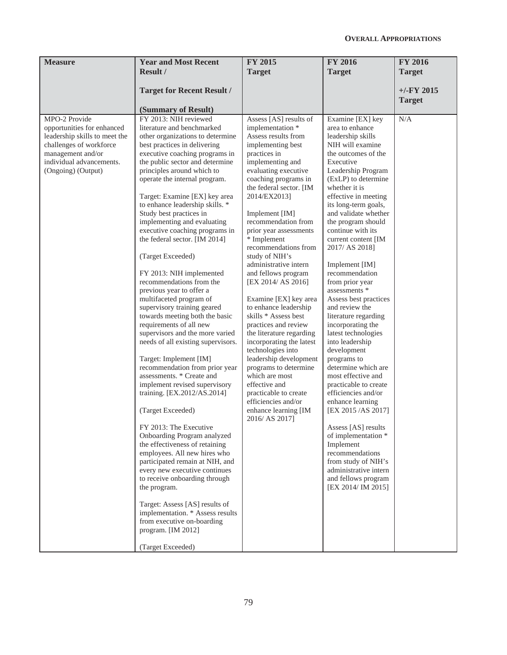| <b>Measure</b>                                                                                                                                                                 | <b>Year and Most Recent</b><br><b>Result /</b>                                                                                                                                                                                                                                                                                                                                                                                                                                                                                                                                                                                                                                                                                                                                                                                                                                                                                                                                                                                                                                                                                                                                                                                                                                                                                                     | <b>FY 2015</b><br><b>Target</b>                                                                                                                                                                                                                                                                                                                                                                                                                                                                                                                                                                                                                                                                                                                                                        | <b>FY 2016</b><br><b>Target</b>                                                                                                                                                                                                                                                                                                                                                                                                                                                                                                                                                                                                                                                                                                                                                                                                                                                                      | <b>FY 2016</b><br><b>Target</b> |
|--------------------------------------------------------------------------------------------------------------------------------------------------------------------------------|----------------------------------------------------------------------------------------------------------------------------------------------------------------------------------------------------------------------------------------------------------------------------------------------------------------------------------------------------------------------------------------------------------------------------------------------------------------------------------------------------------------------------------------------------------------------------------------------------------------------------------------------------------------------------------------------------------------------------------------------------------------------------------------------------------------------------------------------------------------------------------------------------------------------------------------------------------------------------------------------------------------------------------------------------------------------------------------------------------------------------------------------------------------------------------------------------------------------------------------------------------------------------------------------------------------------------------------------------|----------------------------------------------------------------------------------------------------------------------------------------------------------------------------------------------------------------------------------------------------------------------------------------------------------------------------------------------------------------------------------------------------------------------------------------------------------------------------------------------------------------------------------------------------------------------------------------------------------------------------------------------------------------------------------------------------------------------------------------------------------------------------------------|------------------------------------------------------------------------------------------------------------------------------------------------------------------------------------------------------------------------------------------------------------------------------------------------------------------------------------------------------------------------------------------------------------------------------------------------------------------------------------------------------------------------------------------------------------------------------------------------------------------------------------------------------------------------------------------------------------------------------------------------------------------------------------------------------------------------------------------------------------------------------------------------------|---------------------------------|
|                                                                                                                                                                                |                                                                                                                                                                                                                                                                                                                                                                                                                                                                                                                                                                                                                                                                                                                                                                                                                                                                                                                                                                                                                                                                                                                                                                                                                                                                                                                                                    |                                                                                                                                                                                                                                                                                                                                                                                                                                                                                                                                                                                                                                                                                                                                                                                        |                                                                                                                                                                                                                                                                                                                                                                                                                                                                                                                                                                                                                                                                                                                                                                                                                                                                                                      |                                 |
|                                                                                                                                                                                | <b>Target for Recent Result /</b>                                                                                                                                                                                                                                                                                                                                                                                                                                                                                                                                                                                                                                                                                                                                                                                                                                                                                                                                                                                                                                                                                                                                                                                                                                                                                                                  |                                                                                                                                                                                                                                                                                                                                                                                                                                                                                                                                                                                                                                                                                                                                                                                        |                                                                                                                                                                                                                                                                                                                                                                                                                                                                                                                                                                                                                                                                                                                                                                                                                                                                                                      | $+/-FY$ 2015<br><b>Target</b>   |
|                                                                                                                                                                                | (Summary of Result)                                                                                                                                                                                                                                                                                                                                                                                                                                                                                                                                                                                                                                                                                                                                                                                                                                                                                                                                                                                                                                                                                                                                                                                                                                                                                                                                |                                                                                                                                                                                                                                                                                                                                                                                                                                                                                                                                                                                                                                                                                                                                                                                        |                                                                                                                                                                                                                                                                                                                                                                                                                                                                                                                                                                                                                                                                                                                                                                                                                                                                                                      |                                 |
| MPO-2 Provide<br>opportunities for enhanced<br>leadership skills to meet the<br>challenges of workforce<br>management and/or<br>individual advancements.<br>(Ongoing) (Output) | FY 2013: NIH reviewed<br>literature and benchmarked<br>other organizations to determine<br>best practices in delivering<br>executive coaching programs in<br>the public sector and determine<br>principles around which to<br>operate the internal program.<br>Target: Examine [EX] key area<br>to enhance leadership skills. *<br>Study best practices in<br>implementing and evaluating<br>executive coaching programs in<br>the federal sector. [IM 2014]<br>(Target Exceeded)<br>FY 2013: NIH implemented<br>recommendations from the<br>previous year to offer a<br>multifaceted program of<br>supervisory training geared<br>towards meeting both the basic<br>requirements of all new<br>supervisors and the more varied<br>needs of all existing supervisors.<br>Target: Implement [IM]<br>recommendation from prior year<br>assessments. * Create and<br>implement revised supervisory<br>training. [EX.2012/AS.2014]<br>(Target Exceeded)<br>FY 2013: The Executive<br>Onboarding Program analyzed<br>the effectiveness of retaining<br>employees. All new hires who<br>participated remain at NIH, and<br>every new executive continues<br>to receive onboarding through<br>the program.<br>Target: Assess [AS] results of<br>implementation. * Assess results<br>from executive on-boarding<br>program. [IM 2012]<br>(Target Exceeded) | Assess [AS] results of<br>implementation *<br>Assess results from<br>implementing best<br>practices in<br>implementing and<br>evaluating executive<br>coaching programs in<br>the federal sector. [IM<br>2014/EX2013]<br>Implement [IM]<br>recommendation from<br>prior year assessments<br>* Implement<br>recommendations from<br>study of NIH's<br>administrative intern<br>and fellows program<br>[EX 2014/ AS 2016]<br>Examine [EX] key area<br>to enhance leadership<br>skills * Assess best<br>practices and review<br>the literature regarding<br>incorporating the latest<br>technologies into<br>leadership development<br>programs to determine<br>which are most<br>effective and<br>practicable to create<br>efficiencies and/or<br>enhance learning [IM<br>2016/ AS 2017] | Examine [EX] key<br>area to enhance<br>leadership skills<br>NIH will examine<br>the outcomes of the<br>Executive<br>Leadership Program<br>(ExLP) to determine<br>whether it is<br>effective in meeting<br>its long-term goals,<br>and validate whether<br>the program should<br>continue with its<br>current content [IM<br>2017/ AS 2018]<br>Implement [IM]<br>recommendation<br>from prior year<br>assessments *<br>Assess best practices<br>and review the<br>literature regarding<br>incorporating the<br>latest technologies<br>into leadership<br>development<br>programs to<br>determine which are<br>most effective and<br>practicable to create<br>efficiencies and/or<br>enhance learning<br>[EX 2015 /AS 2017]<br>Assess [AS] results<br>of implementation *<br>Implement<br>recommendations<br>from study of NIH's<br>administrative intern<br>and fellows program<br>[EX 2014/ IM 2015] | N/A                             |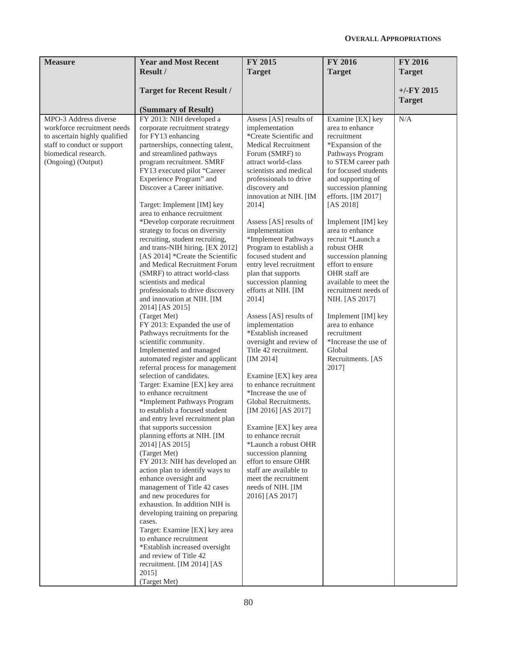| <b>Year and Most Recent</b>                                                                                                                                                                                                                                                                                                                                                                                                                                                                                                                                                                                                                                                                                                                                                                                                                                                                                                                                                                                                                                                                                                                                                                                                                                                                                                                                                                                                                                                                                   | FY 2015                                                                                                                                                                                                                                                                                                                                                                                                                                                                                                                                                                                                                                                                                                                                                                                                                                                                                                                                                       | <b>FY 2016</b>                                                                                                                                                                                                                                                                                                                                                                                                                                                                                                                                               | <b>FY 2016</b><br><b>Target</b> |
|---------------------------------------------------------------------------------------------------------------------------------------------------------------------------------------------------------------------------------------------------------------------------------------------------------------------------------------------------------------------------------------------------------------------------------------------------------------------------------------------------------------------------------------------------------------------------------------------------------------------------------------------------------------------------------------------------------------------------------------------------------------------------------------------------------------------------------------------------------------------------------------------------------------------------------------------------------------------------------------------------------------------------------------------------------------------------------------------------------------------------------------------------------------------------------------------------------------------------------------------------------------------------------------------------------------------------------------------------------------------------------------------------------------------------------------------------------------------------------------------------------------|---------------------------------------------------------------------------------------------------------------------------------------------------------------------------------------------------------------------------------------------------------------------------------------------------------------------------------------------------------------------------------------------------------------------------------------------------------------------------------------------------------------------------------------------------------------------------------------------------------------------------------------------------------------------------------------------------------------------------------------------------------------------------------------------------------------------------------------------------------------------------------------------------------------------------------------------------------------|--------------------------------------------------------------------------------------------------------------------------------------------------------------------------------------------------------------------------------------------------------------------------------------------------------------------------------------------------------------------------------------------------------------------------------------------------------------------------------------------------------------------------------------------------------------|---------------------------------|
|                                                                                                                                                                                                                                                                                                                                                                                                                                                                                                                                                                                                                                                                                                                                                                                                                                                                                                                                                                                                                                                                                                                                                                                                                                                                                                                                                                                                                                                                                                               |                                                                                                                                                                                                                                                                                                                                                                                                                                                                                                                                                                                                                                                                                                                                                                                                                                                                                                                                                               |                                                                                                                                                                                                                                                                                                                                                                                                                                                                                                                                                              |                                 |
| <b>Target for Recent Result /</b>                                                                                                                                                                                                                                                                                                                                                                                                                                                                                                                                                                                                                                                                                                                                                                                                                                                                                                                                                                                                                                                                                                                                                                                                                                                                                                                                                                                                                                                                             |                                                                                                                                                                                                                                                                                                                                                                                                                                                                                                                                                                                                                                                                                                                                                                                                                                                                                                                                                               |                                                                                                                                                                                                                                                                                                                                                                                                                                                                                                                                                              | $+/-$ FY 2015<br><b>Target</b>  |
| (Summary of Result)                                                                                                                                                                                                                                                                                                                                                                                                                                                                                                                                                                                                                                                                                                                                                                                                                                                                                                                                                                                                                                                                                                                                                                                                                                                                                                                                                                                                                                                                                           |                                                                                                                                                                                                                                                                                                                                                                                                                                                                                                                                                                                                                                                                                                                                                                                                                                                                                                                                                               |                                                                                                                                                                                                                                                                                                                                                                                                                                                                                                                                                              |                                 |
| FY 2013: NIH developed a<br>corporate recruitment strategy<br>for FY13 enhancing<br>partnerships, connecting talent,<br>and streamlined pathways<br>program recruitment. SMRF<br>FY13 executed pilot "Career<br>Experience Program" and<br>Discover a Career initiative.<br>Target: Implement [IM] key<br>area to enhance recruitment<br>*Develop corporate recruitment<br>strategy to focus on diversity<br>recruiting, student recruiting,<br>and trans-NIH hiring. [EX 2012]<br>[AS 2014] *Create the Scientific<br>and Medical Recruitment Forum<br>(SMRF) to attract world-class<br>scientists and medical<br>professionals to drive discovery<br>and innovation at NIH. [IM<br>2014] [AS 2015]<br>(Target Met)<br>FY 2013: Expanded the use of<br>Pathways recruitments for the<br>scientific community.<br>Implemented and managed<br>automated register and applicant<br>referral process for management<br>selection of candidates.<br>Target: Examine [EX] key area<br>to enhance recruitment<br>*Implement Pathways Program<br>to establish a focused student<br>and entry level recruitment plan<br>that supports succession<br>planning efforts at NIH. [IM<br>2014] [AS 2015]<br>(Target Met)<br>FY 2013: NIH has developed an<br>action plan to identify ways to<br>enhance oversight and<br>management of Title 42 cases<br>and new procedures for<br>exhaustion. In addition NIH is<br>developing training on preparing<br>cases.<br>Target: Examine [EX] key area<br>to enhance recruitment | Assess [AS] results of<br>implementation<br>*Create Scientific and<br><b>Medical Recruitment</b><br>Forum (SMRF) to<br>attract world-class<br>scientists and medical<br>professionals to drive<br>discovery and<br>innovation at NIH. [IM<br>2014]<br>Assess [AS] results of<br>implementation<br>*Implement Pathways<br>Program to establish a<br>focused student and<br>entry level recruitment<br>plan that supports<br>succession planning<br>efforts at NIH. [IM<br>2014]<br>Assess [AS] results of<br>implementation<br>*Establish increased<br>oversight and review of<br>Title 42 recruitment.<br>[IM 2014]<br>Examine [EX] key area<br>to enhance recruitment<br>*Increase the use of<br>Global Recruitments.<br>[IM 2016] [AS 2017]<br>Examine [EX] key area<br>to enhance recruit<br>*Launch a robust OHR<br>succession planning<br>effort to ensure OHR<br>staff are available to<br>meet the recruitment<br>needs of NIH. [IM<br>2016] [AS 2017] | Examine [EX] key<br>area to enhance<br>recruitment<br>*Expansion of the<br>Pathways Program<br>to STEM career path<br>for focused students<br>and supporting of<br>succession planning<br>efforts. [IM 2017]<br>[AS 2018]<br>Implement [IM] key<br>area to enhance<br>recruit *Launch a<br>robust OHR<br>succession planning<br>effort to ensure<br>OHR staff are<br>available to meet the<br>recruitment needs of<br>NIH. [AS 2017]<br>Implement [IM] key<br>area to enhance<br>recruitment<br>*Increase the use of<br>Global<br>Recruitments. [AS<br>2017] | N/A                             |
|                                                                                                                                                                                                                                                                                                                                                                                                                                                                                                                                                                                                                                                                                                                                                                                                                                                                                                                                                                                                                                                                                                                                                                                                                                                                                                                                                                                                                                                                                                               | Result /                                                                                                                                                                                                                                                                                                                                                                                                                                                                                                                                                                                                                                                                                                                                                                                                                                                                                                                                                      | <b>Target</b><br>*Establish increased oversight                                                                                                                                                                                                                                                                                                                                                                                                                                                                                                              | <b>Target</b>                   |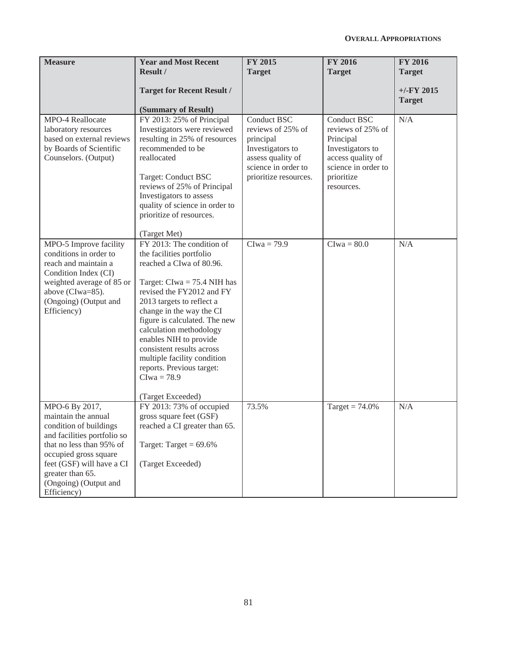| <b>Measure</b>                                                                                                                                                                                                                               | <b>Year and Most Recent</b><br>Result /<br><b>Target for Recent Result /</b><br>(Summary of Result)                                                                                                                                                                                                                                                                                                                           | <b>FY 2015</b><br><b>Target</b>                                                                                                               | <b>FY 2016</b><br><b>Target</b>                                                                                                                  | <b>FY 2016</b><br><b>Target</b><br>$+/-$ FY 2015<br><b>Target</b> |
|----------------------------------------------------------------------------------------------------------------------------------------------------------------------------------------------------------------------------------------------|-------------------------------------------------------------------------------------------------------------------------------------------------------------------------------------------------------------------------------------------------------------------------------------------------------------------------------------------------------------------------------------------------------------------------------|-----------------------------------------------------------------------------------------------------------------------------------------------|--------------------------------------------------------------------------------------------------------------------------------------------------|-------------------------------------------------------------------|
| MPO-4 Reallocate<br>laboratory resources<br>based on external reviews<br>by Boards of Scientific<br>Counselors. (Output)                                                                                                                     | FY 2013: 25% of Principal<br>Investigators were reviewed<br>resulting in 25% of resources<br>recommended to be<br>reallocated<br>Target: Conduct BSC<br>reviews of 25% of Principal<br>Investigators to assess<br>quality of science in order to<br>prioritize of resources.<br>(Target Met)                                                                                                                                  | <b>Conduct BSC</b><br>reviews of 25% of<br>principal<br>Investigators to<br>assess quality of<br>science in order to<br>prioritize resources. | <b>Conduct BSC</b><br>reviews of 25% of<br>Principal<br>Investigators to<br>access quality of<br>science in order to<br>prioritize<br>resources. | N/A                                                               |
| MPO-5 Improve facility<br>conditions in order to<br>reach and maintain a<br>Condition Index (CI)<br>weighted average of 85 or<br>above (CIwa=85).<br>(Ongoing) (Output and<br>Efficiency)                                                    | FY 2013: The condition of<br>the facilities portfolio<br>reached a CIwa of 80.96.<br>Target: $Clwa = 75.4$ NIH has<br>revised the FY2012 and FY<br>2013 targets to reflect a<br>change in the way the CI<br>figure is calculated. The new<br>calculation methodology<br>enables NIH to provide<br>consistent results across<br>multiple facility condition<br>reports. Previous target:<br>$Clwa = 78.9$<br>(Target Exceeded) | $Clwa = 79.9$                                                                                                                                 | $Clwa = 80.0$                                                                                                                                    | N/A                                                               |
| MPO-6 By 2017,<br>maintain the annual<br>condition of buildings<br>and facilities portfolio so<br>that no less than 95% of<br>occupied gross square<br>feet (GSF) will have a CI<br>greater than 65.<br>(Ongoing) (Output and<br>Efficiency) | FY 2013: 73% of occupied<br>gross square feet (GSF)<br>reached a CI greater than 65.<br>Target: Target = $69.6\%$<br>(Target Exceeded)                                                                                                                                                                                                                                                                                        | 73.5%                                                                                                                                         | Target = $74.0\%$                                                                                                                                | N/A                                                               |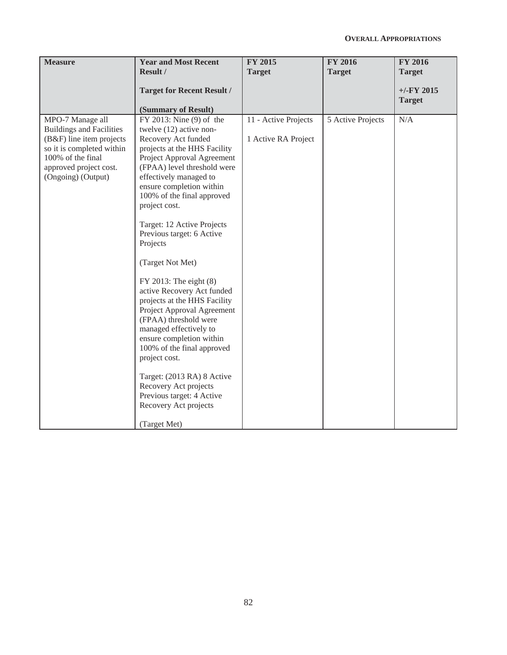| <b>Measure</b>                                                                                                                                                                    | <b>Year and Most Recent</b><br>Result /                                                                                                                                                                                                                                                                                                                                                                                                                                                                                                                                                                                                                                                                                                                    | FY 2015<br><b>Target</b>                    | <b>FY 2016</b><br><b>Target</b> | <b>FY 2016</b><br><b>Target</b> |
|-----------------------------------------------------------------------------------------------------------------------------------------------------------------------------------|------------------------------------------------------------------------------------------------------------------------------------------------------------------------------------------------------------------------------------------------------------------------------------------------------------------------------------------------------------------------------------------------------------------------------------------------------------------------------------------------------------------------------------------------------------------------------------------------------------------------------------------------------------------------------------------------------------------------------------------------------------|---------------------------------------------|---------------------------------|---------------------------------|
|                                                                                                                                                                                   | <b>Target for Recent Result /</b><br>(Summary of Result)                                                                                                                                                                                                                                                                                                                                                                                                                                                                                                                                                                                                                                                                                                   |                                             |                                 | $+/-FY$ 2015<br><b>Target</b>   |
| MPO-7 Manage all<br><b>Buildings and Facilities</b><br>(B&F) line item projects<br>so it is completed within<br>100% of the final<br>approved project cost.<br>(Ongoing) (Output) | FY 2013: Nine (9) of the<br>twelve $(12)$ active non-<br>Recovery Act funded<br>projects at the HHS Facility<br>Project Approval Agreement<br>(FPAA) level threshold were<br>effectively managed to<br>ensure completion within<br>100% of the final approved<br>project cost.<br>Target: 12 Active Projects<br>Previous target: 6 Active<br>Projects<br>(Target Not Met)<br>FY 2013: The eight (8)<br>active Recovery Act funded<br>projects at the HHS Facility<br>Project Approval Agreement<br>(FPAA) threshold were<br>managed effectively to<br>ensure completion within<br>100% of the final approved<br>project cost.<br>Target: (2013 RA) 8 Active<br>Recovery Act projects<br>Previous target: 4 Active<br>Recovery Act projects<br>(Target Met) | 11 - Active Projects<br>1 Active RA Project | 5 Active Projects               | N/A                             |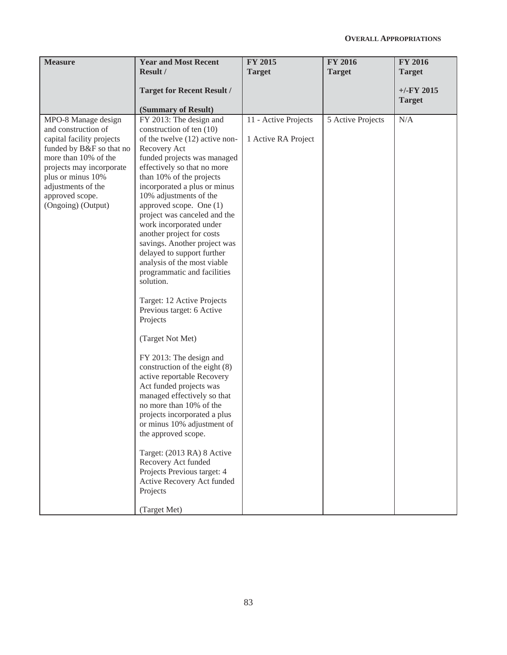| <b>Measure</b>                                                                                                                                                                                                                              | <b>Year and Most Recent</b><br><b>Result /</b>                                                                                                                                                                                                                                                                                                                                                                                                                                                                                                                                                                                                                                                                                                                                                                                                                                                                                                                                                                                     | FY 2015<br><b>Target</b>                    | <b>FY 2016</b><br><b>Target</b> | <b>FY 2016</b><br><b>Target</b> |
|---------------------------------------------------------------------------------------------------------------------------------------------------------------------------------------------------------------------------------------------|------------------------------------------------------------------------------------------------------------------------------------------------------------------------------------------------------------------------------------------------------------------------------------------------------------------------------------------------------------------------------------------------------------------------------------------------------------------------------------------------------------------------------------------------------------------------------------------------------------------------------------------------------------------------------------------------------------------------------------------------------------------------------------------------------------------------------------------------------------------------------------------------------------------------------------------------------------------------------------------------------------------------------------|---------------------------------------------|---------------------------------|---------------------------------|
|                                                                                                                                                                                                                                             | <b>Target for Recent Result /</b><br>(Summary of Result)                                                                                                                                                                                                                                                                                                                                                                                                                                                                                                                                                                                                                                                                                                                                                                                                                                                                                                                                                                           |                                             |                                 | $+/-FY$ 2015<br><b>Target</b>   |
| MPO-8 Manage design<br>and construction of<br>capital facility projects<br>funded by B&F so that no<br>more than 10% of the<br>projects may incorporate<br>plus or minus 10%<br>adjustments of the<br>approved scope.<br>(Ongoing) (Output) | FY 2013: The design and<br>construction of ten (10)<br>of the twelve (12) active non-<br>Recovery Act<br>funded projects was managed<br>effectively so that no more<br>than 10% of the projects<br>incorporated a plus or minus<br>10% adjustments of the<br>approved scope. One (1)<br>project was canceled and the<br>work incorporated under<br>another project for costs<br>savings. Another project was<br>delayed to support further<br>analysis of the most viable<br>programmatic and facilities<br>solution.<br>Target: 12 Active Projects<br>Previous target: 6 Active<br>Projects<br>(Target Not Met)<br>FY 2013: The design and<br>construction of the eight (8)<br>active reportable Recovery<br>Act funded projects was<br>managed effectively so that<br>no more than 10% of the<br>projects incorporated a plus<br>or minus 10% adjustment of<br>the approved scope.<br>Target: (2013 RA) 8 Active<br>Recovery Act funded<br>Projects Previous target: 4<br>Active Recovery Act funded<br>Projects<br>(Target Met) | 11 - Active Projects<br>1 Active RA Project | 5 Active Projects               | N/A                             |